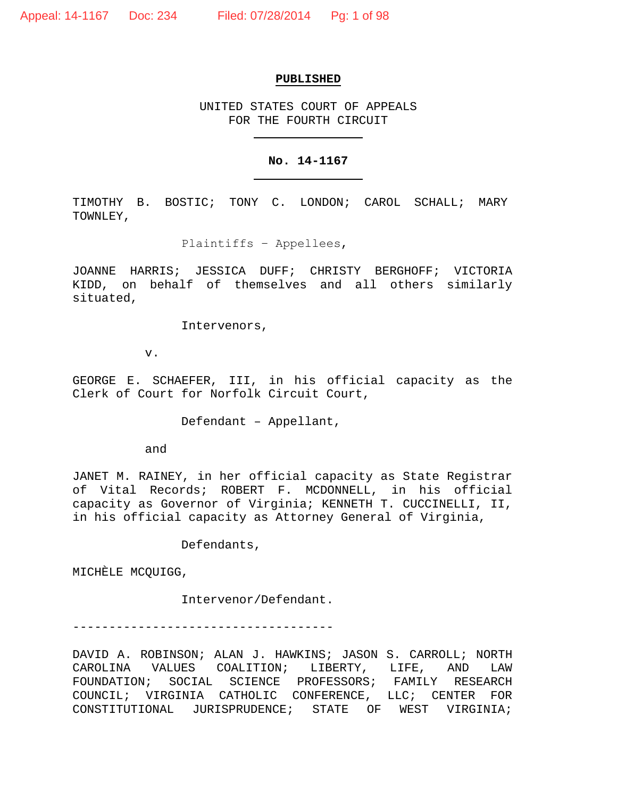#### **PUBLISHED**

UNITED STATES COURT OF APPEALS FOR THE FOURTH CIRCUIT

### **No. 14-1167**

TIMOTHY B. BOSTIC; TONY C. LONDON; CAROL SCHALL; MARY TOWNLEY,

Plaintiffs − Appellees,

JOANNE HARRIS; JESSICA DUFF; CHRISTY BERGHOFF; VICTORIA KIDD, on behalf of themselves and all others similarly situated,

Intervenors,

v.

GEORGE E. SCHAEFER, III, in his official capacity as the Clerk of Court for Norfolk Circuit Court,

Defendant – Appellant,

and

JANET M. RAINEY, in her official capacity as State Registrar of Vital Records; ROBERT F. MCDONNELL, in his official capacity as Governor of Virginia; KENNETH T. CUCCINELLI, II, in his official capacity as Attorney General of Virginia,

Defendants,

MICHÈLE MCQUIGG,

Intervenor/Defendant.

------------------------------------

DAVID A. ROBINSON; ALAN J. HAWKINS; JASON S. CARROLL; NORTH CAROLINA VALUES COALITION; LIBERTY, LIFE, AND LAW FOUNDATION; SOCIAL SCIENCE PROFESSORS; FAMILY RESEARCH COUNCIL; VIRGINIA CATHOLIC CONFERENCE, LLC; CENTER FOR CONSTITUTIONAL JURISPRUDENCE; STATE OF WEST VIRGINIA;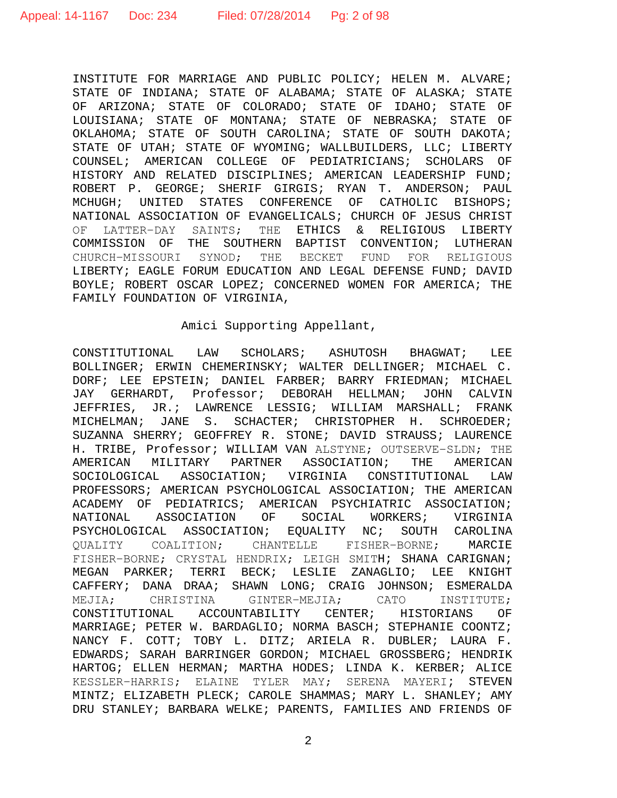INSTITUTE FOR MARRIAGE AND PUBLIC POLICY; HELEN M. ALVARE; STATE OF INDIANA; STATE OF ALABAMA; STATE OF ALASKA; STATE OF ARIZONA; STATE OF COLORADO; STATE OF IDAHO; STATE OF LOUISIANA; STATE OF MONTANA; STATE OF NEBRASKA; STATE OF OKLAHOMA; STATE OF SOUTH CAROLINA; STATE OF SOUTH DAKOTA; STATE OF UTAH; STATE OF WYOMING; WALLBUILDERS, LLC; LIBERTY COUNSEL; AMERICAN COLLEGE OF PEDIATRICIANS; SCHOLARS OF HISTORY AND RELATED DISCIPLINES; AMERICAN LEADERSHIP FUND; ROBERT P. GEORGE; SHERIF GIRGIS; RYAN T. ANDERSON; PAUL MCHUGH; UNITED STATES CONFERENCE OF CATHOLIC BISHOPS; NATIONAL ASSOCIATION OF EVANGELICALS; CHURCH OF JESUS CHRIST<br>OF LATTER-DAY SAINTS; THE ETHICS & RELIGIOUS LIBERTY OF LATTER-DAY SAINTS; THE ETHICS & RELIGIOUS COMMISSION OF THE SOUTHERN BAPTIST CONVENTION; LUTHERAN<br>CHURCH-MISSOURI SYNOD: THE BECKET FUND FOR RELIGIOUS THE BECKET FUND FOR RELIGIOUS LIBERTY; EAGLE FORUM EDUCATION AND LEGAL DEFENSE FUND; DAVID BOYLE; ROBERT OSCAR LOPEZ; CONCERNED WOMEN FOR AMERICA; THE FAMILY FOUNDATION OF VIRGINIA,

### Amici Supporting Appellant,

CONSTITUTIONAL LAW SCHOLARS; ASHUTOSH BHAGWAT; LEE BOLLINGER; ERWIN CHEMERINSKY; WALTER DELLINGER; MICHAEL C. DORF; LEE EPSTEIN; DANIEL FARBER; BARRY FRIEDMAN; MICHAEL JAY GERHARDT, Professor; DEBORAH HELLMAN; JOHN CALVIN JEFFRIES, JR.; LAWRENCE LESSIG; WILLIAM MARSHALL; FRANK MICHELMAN; JANE S. SCHACTER; CHRISTOPHER H. SCHROEDER; SUZANNA SHERRY; GEOFFREY R. STONE; DAVID STRAUSS; LAURENCE H. TRIBE, Professor; WILLIAM VAN ALSTYNE; OUTSERVE-SLDN; THE<br>AMERICAN MILITARY PARTNER ASSOCIATION; THE AMERICAN AMERICAN MILITARY PARTNER ASSOCIATION; THE AMERICAN<br>SOCIOLOGICAL ASSOCIATION; VIRGINIA CONSTITUTIONAL LAW SOCIOLOGICAL ASSOCIATION; PROFESSORS; AMERICAN PSYCHOLOGICAL ASSOCIATION; THE AMERICAN ACADEMY OF PEDIATRICS; AMERICAN PSYCHIATRIC ASSOCIATION;<br>NATIONAL ASSOCIATION OF SOCIAL WORKERS; VIRGINIA NATIONAL ASSOCIATION OF SOCIAL WORKERS; VIRGINIA<br>PSYCHOLOGICAL ASSOCIATION; EQUALITY NC; SOUTH CAROLINA PSYCHOLOGICAL ASSOCIATION; EQUALITY NC; SOUTH<br>OUALITY COALITION; CHANTELLE FISHER-BORNE; QUALITY COALITION; CHANTELLE FISHER−BORNE; MARCIE FISHER−BORNE; CRYSTAL HENDRIX; LEIGH SMITH; SHANA CARIGNAN; MEGAN PARKER; TERRI BECK; LESLIE ZANAGLIO; LEE KNIGHT CAFFERY; DANA DRAA; SHAWN LONG; CRAIG JOHNSON; ESMERALDA MEJIA; CHRISTINA GINTER−MEJIA; CATO INSTITUTE; CONSTITUTIONAL ACCOUNTABILITY CENTER; HISTORIANS OF MARRIAGE; PETER W. BARDAGLIO; NORMA BASCH; STEPHANIE COONTZ; NANCY F. COTT; TOBY L. DITZ; ARIELA R. DUBLER; LAURA F. EDWARDS; SARAH BARRINGER GORDON; MICHAEL GROSSBERG; HENDRIK HARTOG; ELLEN HERMAN; MARTHA HODES; LINDA K. KERBER; ALICE KESSLER−HARRIS; ELAINE TYLER MAY; SERENA MAYERI; STEVEN MINTZ; ELIZABETH PLECK; CAROLE SHAMMAS; MARY L. SHANLEY; AMY DRU STANLEY; BARBARA WELKE; PARENTS, FAMILIES AND FRIENDS OF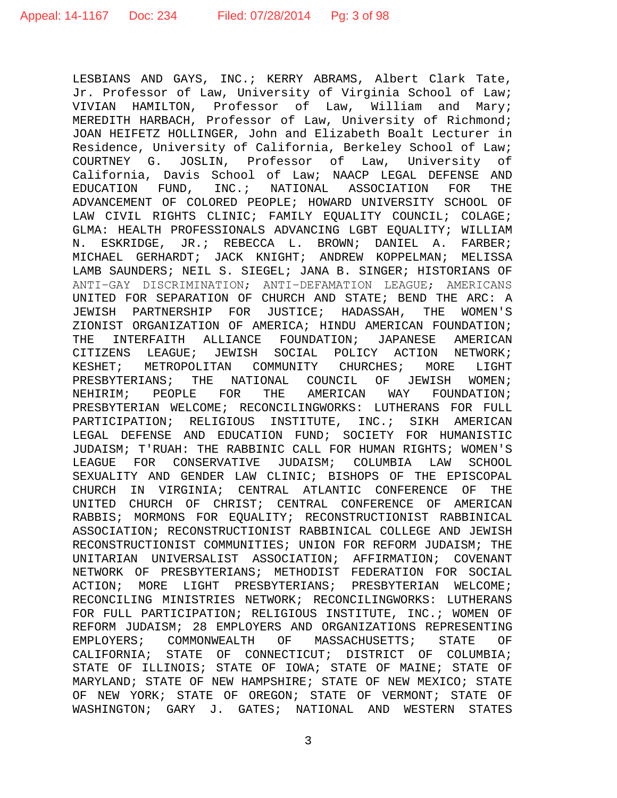LESBIANS AND GAYS, INC.; KERRY ABRAMS, Albert Clark Tate, Jr. Professor of Law, University of Virginia School of Law; VIVIAN HAMILTON, Professor of Law, William and Mary; MEREDITH HARBACH, Professor of Law, University of Richmond; JOAN HEIFETZ HOLLINGER, John and Elizabeth Boalt Lecturer in Residence, University of California, Berkeley School of Law; COURTNEY G. JOSLIN, Professor of Law, University of California, Davis School of Law; NAACP LEGAL DEFENSE AND<br>EDUCATION FUND, INC.; NATIONAL ASSOCIATION FOR THE EDUCATION FUND, INC.; NATIONAL ASSOCIATION FOR ADVANCEMENT OF COLORED PEOPLE; HOWARD UNIVERSITY SCHOOL OF LAW CIVIL RIGHTS CLINIC; FAMILY EQUALITY COUNCIL; COLAGE; GLMA: HEALTH PROFESSIONALS ADVANCING LGBT EQUALITY; WILLIAM N. ESKRIDGE, JR.; REBECCA L. BROWN; DANIEL A. FARBER; MICHAEL GERHARDT; JACK KNIGHT; ANDREW KOPPELMAN; MELISSA LAMB SAUNDERS; NEIL S. SIEGEL; JANA B. SINGER; HISTORIANS OF ANTI−GAY DISCRIMINATION; ANTI−DEFAMATION LEAGUE; AMERICANS UNITED FOR SEPARATION OF CHURCH AND STATE; BEND THE ARC: A JEWISH PARTNERSHIP FOR JUSTICE; HADASSAH, THE WOMEN'S ZIONIST ORGANIZATION OF AMERICA; HINDU AMERICAN FOUNDATION;<br>THE INTERFAITH ALLIANCE FOUNDATION; JAPANESE AMERICAN INTERFAITH ALLIANCE FOUNDATION; JAPANESE AMERICAN CITIZENS LEAGUE; JEWISH SOCIAL POLICY ACTION NETWORK; KESHET; METROPOLITAN COMMUNITY CHURCHES; MORE LIGHT PRESBYTERIANS; THE NATIONAL COUNCIL OF JEWISH WOMEN;<br>NEHIRIM; PEOPLE FOR THE AMERICAN WAY FOUNDATION; NEHIRIM; PEOPLE FOR THE AMERICAN WAY FOUNDATION; PRESBYTERIAN WELCOME; RECONCILINGWORKS: LUTHERANS FOR FULL PARTICIPATION; RELIGIOUS INSTITUTE, INC.; SIKH AMERICAN LEGAL DEFENSE AND EDUCATION FUND; SOCIETY FOR HUMANISTIC JUDAISM; T'RUAH: THE RABBINIC CALL FOR HUMAN RIGHTS; WOMEN'S LEAGUE FOR CONSERVATIVE JUDAISM; COLUMBIA LAW SEXUALITY AND GENDER LAW CLINIC; BISHOPS OF THE EPISCOPAL CHURCH IN VIRGINIA; CENTRAL ATLANTIC CONFERENCE OF THE UNITED CHURCH OF CHRIST; CENTRAL CONFERENCE OF AMERICAN RABBIS; MORMONS FOR EQUALITY; RECONSTRUCTIONIST RABBINICAL ASSOCIATION; RECONSTRUCTIONIST RABBINICAL COLLEGE AND JEWISH RECONSTRUCTIONIST COMMUNITIES; UNION FOR REFORM JUDAISM; THE UNITARIAN UNIVERSALIST ASSOCIATION; AFFIRMATION; COVENANT NETWORK OF PRESBYTERIANS; METHODIST FEDERATION FOR SOCIAL<br>ACTION; MORE LIGHT PRESBYTERIANS; PRESBYTERIAN WELCOME; ACTION; MORE LIGHT PRESBYTERIANS; RECONCILING MINISTRIES NETWORK; RECONCILINGWORKS: LUTHERANS FOR FULL PARTICIPATION; RELIGIOUS INSTITUTE, INC.; WOMEN OF REFORM JUDAISM; 28 EMPLOYERS AND ORGANIZATIONS REPRESENTING EMPLOYERS; COMMONWEALTH OF MASSACHUSETTS; STATE OF CALIFORNIA; STATE OF CONNECTICUT; DISTRICT OF COLUMBIA; STATE OF ILLINOIS; STATE OF IOWA; STATE OF MAINE; STATE OF MARYLAND; STATE OF NEW HAMPSHIRE; STATE OF NEW MEXICO; STATE OF NEW YORK; STATE OF OREGON; STATE OF VERMONT; STATE OF WASHINGTON; GARY J. GATES; NATIONAL AND WESTERN STATES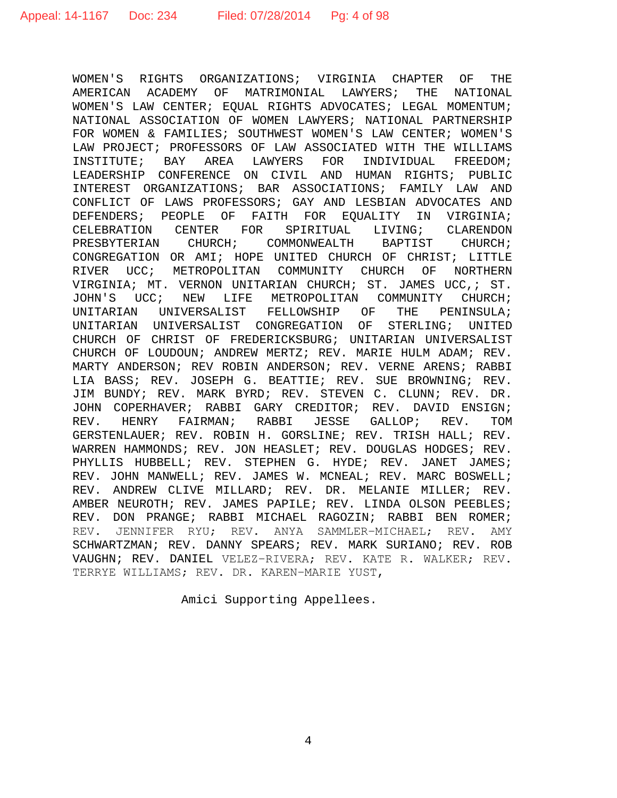WOMEN'S RIGHTS ORGANIZATIONS; VIRGINIA CHAPTER OF THE AMERICAN ACADEMY OF MATRIMONIAL LAWYERS; THE NATIONAL WOMEN'S LAW CENTER; EQUAL RIGHTS ADVOCATES; LEGAL MOMENTUM; NATIONAL ASSOCIATION OF WOMEN LAWYERS; NATIONAL PARTNERSHIP FOR WOMEN & FAMILIES; SOUTHWEST WOMEN'S LAW CENTER; WOMEN'S LAW PROJECT; PROFESSORS OF LAW ASSOCIATED WITH THE WILLIAMS<br>INSTITUTE; BAY AREA LAWYERS FOR INDIVIDUAL FREEDOM; INSTITUTE; BAY AREA LAWYERS FOR INDIVIDUAL LEADERSHIP CONFERENCE ON CIVIL AND HUMAN RIGHTS; PUBLIC INTEREST ORGANIZATIONS; BAR ASSOCIATIONS; FAMILY LAW AND CONFLICT OF LAWS PROFESSORS; GAY AND LESBIAN ADVOCATES AND DEFENDERS; PEOPLE OF FAITH FOR EQUALITY IN VIRGINIA;<br>CELEBRATION CENTER FOR SPIRITUAL LIVING; CLARENDON CELEBRATION CENTER FOR SPIRITUAL LIVING; CLARENDON<br>PRESBYTERIAN CHURCH; COMMONWEALTH BAPTIST CHURCH; CHURCH; COMMONWEALTH CONGREGATION OR AMI; HOPE UNITED CHURCH OF CHRIST; LITTLE RIVER UCC; METROPOLITAN COMMUNITY CHURCH OF NORTHERN VIRGINIA; MT. VERNON UNITARIAN CHURCH; ST. JAMES UCC,; ST. JOHN'S UCC; NEW LIFE METROPOLITAN COMMUNITY CHURCH;<br>UNITARIAN UNIVERSALIST FELLOWSHIP OF THE PENINSULA; UNIVERSALIST FELLOWSHIP OF UNITARIAN UNIVERSALIST CONGREGATION OF STERLING; UNITED CHURCH OF CHRIST OF FREDERICKSBURG; UNITARIAN UNIVERSALIST CHURCH OF LOUDOUN; ANDREW MERTZ; REV. MARIE HULM ADAM; REV. MARTY ANDERSON; REV ROBIN ANDERSON; REV. VERNE ARENS; RABBI LIA BASS; REV. JOSEPH G. BEATTIE; REV. SUE BROWNING; REV. JIM BUNDY; REV. MARK BYRD; REV. STEVEN C. CLUNN; REV. DR. JOHN COPERHAVER; RABBI GARY CREDITOR; REV. DAVID ENSIGN;<br>REV. HENRY FAIRMAN; RABBI JESSE GALLOP; REV. TOM HENRY FAIRMAN; RABBI GERSTENLAUER; REV. ROBIN H. GORSLINE; REV. TRISH HALL; REV. WARREN HAMMONDS; REV. JON HEASLET; REV. DOUGLAS HODGES; REV. PHYLLIS HUBBELL; REV. STEPHEN G. HYDE; REV. JANET JAMES; REV. JOHN MANWELL; REV. JAMES W. MCNEAL; REV. MARC BOSWELL; REV. ANDREW CLIVE MILLARD; REV. DR. MELANIE MILLER; REV. AMBER NEUROTH; REV. JAMES PAPILE; REV. LINDA OLSON PEEBLES; REV. DON PRANGE; RABBI MICHAEL RAGOZIN; RABBI BEN ROMER;<br>REV. JENNIFER RYU; REV. ANYA SAMMLER-MICHAEL; REV. AMY JENNIFER RYU; REV. ANYA SAMMLER-MICHAEL; REV. SCHWARTZMAN; REV. DANNY SPEARS; REV. MARK SURIANO; REV. ROB VAUGHN; REV. DANIEL VELEZ−RIVERA; REV. KATE R. WALKER; REV. TERRYE WILLIAMS; REV. DR. KAREN−MARIE YUST,

Amici Supporting Appellees.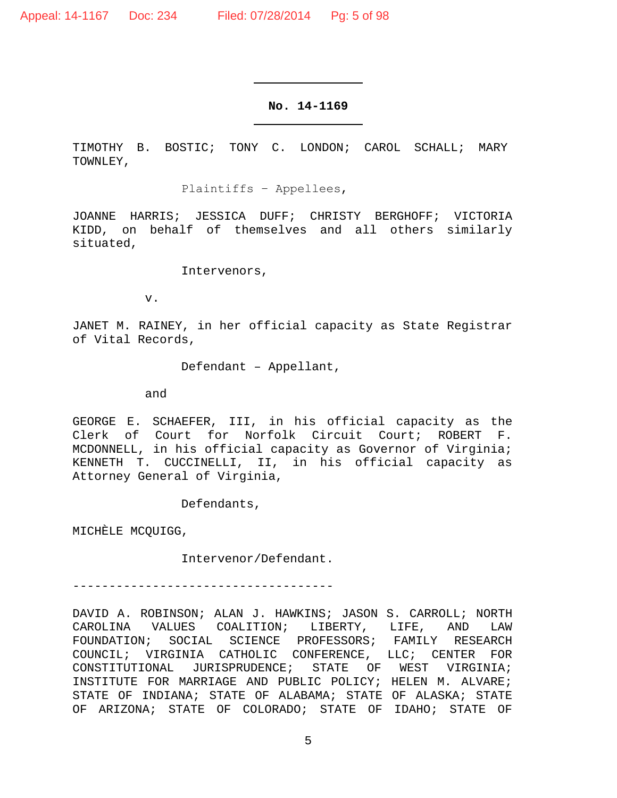### **No. 14-1169**

TIMOTHY B. BOSTIC; TONY C. LONDON; CAROL SCHALL; MARY TOWNLEY,

Plaintiffs − Appellees,

JOANNE HARRIS; JESSICA DUFF; CHRISTY BERGHOFF; VICTORIA KIDD, on behalf of themselves and all others similarly situated,

Intervenors,

v.

JANET M. RAINEY, in her official capacity as State Registrar of Vital Records,

Defendant – Appellant,

and

GEORGE E. SCHAEFER, III, in his official capacity as the Clerk of Court for Norfolk Circuit Court; ROBERT F. MCDONNELL, in his official capacity as Governor of Virginia; KENNETH T. CUCCINELLI, II, in his official capacity as Attorney General of Virginia,

Defendants,

MICHÈLE MCQUIGG,

Intervenor/Defendant.

------------------------------------

DAVID A. ROBINSON; ALAN J. HAWKINS; JASON S. CARROLL; NORTH<br>CAROLINA VALUES COALITION; LIBERTY, LIFE, AND LAW CAROLINA VALUES COALITION; LIBERTY, LIFE, AND LAW FOUNDATION; SOCIAL SCIENCE PROFESSORS; FAMILY RESEARCH COUNCIL; VIRGINIA CATHOLIC CONFERENCE, LLC; CENTER FOR CONSTITUTIONAL JURISPRUDENCE; STATE OF WEST VIRGINIA; INSTITUTE FOR MARRIAGE AND PUBLIC POLICY; HELEN M. ALVARE; STATE OF INDIANA; STATE OF ALABAMA; STATE OF ALASKA; STATE OF ARIZONA; STATE OF COLORADO; STATE OF IDAHO; STATE OF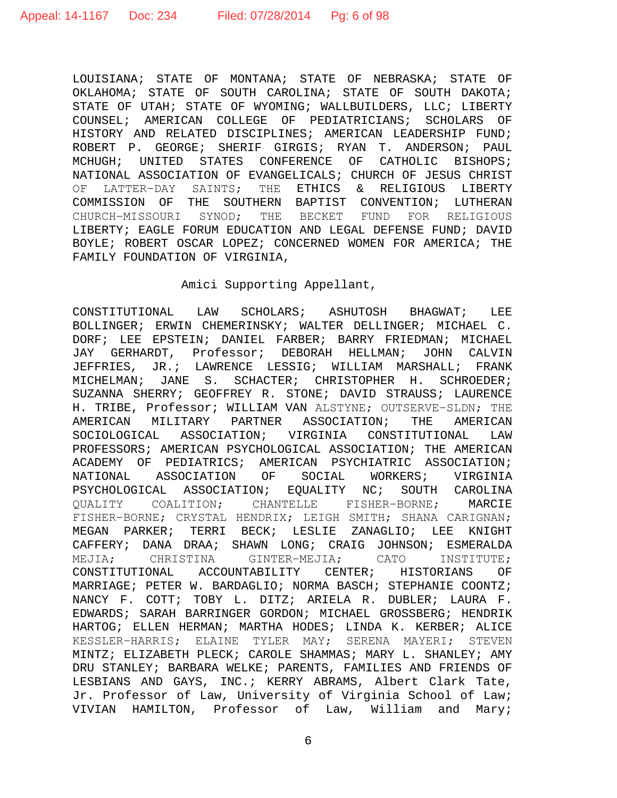LOUISIANA; STATE OF MONTANA; STATE OF NEBRASKA; STATE OF OKLAHOMA; STATE OF SOUTH CAROLINA; STATE OF SOUTH DAKOTA; STATE OF UTAH; STATE OF WYOMING; WALLBUILDERS, LLC; LIBERTY COUNSEL; AMERICAN COLLEGE OF PEDIATRICIANS; SCHOLARS OF HISTORY AND RELATED DISCIPLINES; AMERICAN LEADERSHIP FUND; ROBERT P. GEORGE; SHERIF GIRGIS; RYAN T. ANDERSON; PAUL MCHUGH; UNITED STATES CONFERENCE OF CATHOLIC BISHOPS; NATIONAL ASSOCIATION OF EVANGELICALS; CHURCH OF JESUS CHRIST OF LATTER−DAY SAINTS; THE ETHICS & RELIGIOUS LIBERTY COMMISSION OF THE SOUTHERN BAPTIST CONVENTION; LUTHERAN CHURCH−MISSOURI SYNOD; THE BECKET FUND FOR RELIGIOUS LIBERTY; EAGLE FORUM EDUCATION AND LEGAL DEFENSE FUND; DAVID BOYLE; ROBERT OSCAR LOPEZ; CONCERNED WOMEN FOR AMERICA; THE FAMILY FOUNDATION OF VIRGINIA,

### Amici Supporting Appellant,

CONSTITUTIONAL LAW SCHOLARS; ASHUTOSH BHAGWAT; LEE BOLLINGER; ERWIN CHEMERINSKY; WALTER DELLINGER; MICHAEL C. DORF; LEE EPSTEIN; DANIEL FARBER; BARRY FRIEDMAN; MICHAEL JAY GERHARDT, Professor; DEBORAH HELLMAN; JOHN CALVIN JEFFRIES, JR.; LAWRENCE LESSIG; WILLIAM MARSHALL; FRANK MICHELMAN; JANE S. SCHACTER; CHRISTOPHER H. SCHROEDER; SUZANNA SHERRY; GEOFFREY R. STONE; DAVID STRAUSS; LAURENCE H. TRIBE, Professor; WILLIAM VAN ALSTYNE; OUTSERVE-SLDN; THE<br>AMERICAN MILITARY PARTNER ASSOCIATION; THE AMERICAN AMERICAN MILITARY PARTNER ASSOCIATION; THE AMERICAN<br>SOCIOLOGICAL ASSOCIATION; VIRGINIA CONSTITUTIONAL LAW SOCIOLOGICAL ASSOCIATION; VIRGINIA CONSTITUTIONAL PROFESSORS; AMERICAN PSYCHOLOGICAL ASSOCIATION; THE AMERICAN ACADEMY OF PEDIATRICS; AMERICAN PSYCHIATRIC ASSOCIATION; NATIONAL ASSOCIATION OF SOCIAL WORKERS; VIRGINIA<br>PSYCHOLOGICAL ASSOCIATION; EOUALITY NC; SOUTH CAROLINA PSYCHOLOGICAL ASSOCIATION; EQUALITY NC;<br>QUALITY COALITION; CHANTELLE FISHER-QUALITY COALITION; CHANTELLE FISHER−BORNE; MARCIE FISHER−BORNE; CRYSTAL HENDRIX; LEIGH SMITH; SHANA CARIGNAN; MEGAN PARKER; TERRI BECK; LESLIE ZANAGLIO; LEE KNIGHT CAFFERY; DANA DRAA; SHAWN LONG; CRAIG JOHNSON; ESMERALDA<br>MEJIA; CHRISTINA GINTER-MEJIA; CATO INSTITUTE; GINTER−MEJIA; CATO INSTITUTE; CONSTITUTIONAL ACCOUNTABILITY CENTER; HISTORIANS OF MARRIAGE; PETER W. BARDAGLIO; NORMA BASCH; STEPHANIE COONTZ; NANCY F. COTT; TOBY L. DITZ; ARIELA R. DUBLER; LAURA F. EDWARDS; SARAH BARRINGER GORDON; MICHAEL GROSSBERG; HENDRIK HARTOG; ELLEN HERMAN; MARTHA HODES; LINDA K. KERBER; ALICE KESSLER−HARRIS; ELAINE TYLER MAY; SERENA MAYERI; STEVEN MINTZ; ELIZABETH PLECK; CAROLE SHAMMAS; MARY L. SHANLEY; AMY DRU STANLEY; BARBARA WELKE; PARENTS, FAMILIES AND FRIENDS OF LESBIANS AND GAYS, INC.; KERRY ABRAMS, Albert Clark Tate, Jr. Professor of Law, University of Virginia School of Law; VIVIAN HAMILTON, Professor of Law, William and Mary;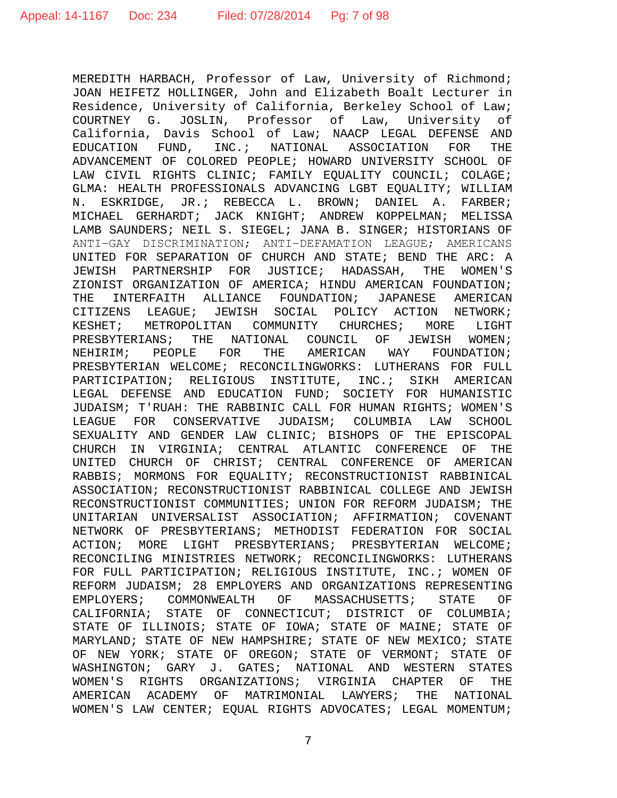MEREDITH HARBACH, Professor of Law, University of Richmond; JOAN HEIFETZ HOLLINGER, John and Elizabeth Boalt Lecturer in Residence, University of California, Berkeley School of Law; COURTNEY G. JOSLIN, Professor of Law, University of California, Davis School of Law; NAACP LEGAL DEFENSE AND EDUCATION FUND, INC.; NATIONAL ASSOCIATION FOR THE ADVANCEMENT OF COLORED PEOPLE; HOWARD UNIVERSITY SCHOOL OF LAW CIVIL RIGHTS CLINIC; FAMILY EQUALITY COUNCIL; COLAGE; GLMA: HEALTH PROFESSIONALS ADVANCING LGBT EQUALITY; WILLIAM N. ESKRIDGE, JR.; REBECCA L. BROWN; DANIEL A. FARBER; MICHAEL GERHARDT; JACK KNIGHT; ANDREW KOPPELMAN; MELISSA LAMB SAUNDERS; NEIL S. SIEGEL; JANA B. SINGER; HISTORIANS OF ANTI−GAY DISCRIMINATION; ANTI−DEFAMATION LEAGUE; AMERICANS UNITED FOR SEPARATION OF CHURCH AND STATE; BEND THE ARC: A<br>JEWISH PARTNERSHIP FOR JUSTICE; HADASSAH, THE WOMEN'S JEWISH PARTNERSHIP FOR JUSTICE; HADASSAH, THE ZIONIST ORGANIZATION OF AMERICA; HINDU AMERICAN FOUNDATION;<br>THE INTERFAITH ALLIANCE FOUNDATION; JAPANESE AMERICAN THE INTERFAITH ALLIANCE FOUNDATION; JAPANESE AMERICAN CITIZENS LEAGUE; JEWISH SOCIAL POLICY ACTION NETWORK;<br>KESHET; METROPOLITAN COMMUNITY CHURCHES; MORE LIGHT KESHET; METROPOLITAN COMMUNITY CHURCHES; MORE LIGHT<br>PRESBYTERIANS; THE NATIONAL COUNCIL OF JEWISH WOMEN; ANS; THE NATIONAL COUNCIL OF JEWISH<br>PEOPLE FOR THE AMERICAN WAY FOUI NEHIRIM; PEOPLE FOR THE AMERICAN WAY FOUNDATION; PRESBYTERIAN WELCOME; RECONCILINGWORKS: LUTHERANS FOR FULL PARTICIPATION; RELIGIOUS INSTITUTE, INC.; SIKH AMERICAN LEGAL DEFENSE AND EDUCATION FUND; SOCIETY FOR HUMANISTIC JUDAISM; T'RUAH: THE RABBINIC CALL FOR HUMAN RIGHTS; WOMEN'S LEAGUE FOR CONSERVATIVE JUDAISM; COLUMBIA LAW SEXUALITY AND GENDER LAW CLINIC; BISHOPS OF THE EPISCOPAL CHURCH IN VIRGINIA; CENTRAL ATLANTIC CONFERENCE OF THE UNITED CHURCH OF CHRIST; CENTRAL CONFERENCE OF AMERICAN RABBIS; MORMONS FOR EQUALITY; RECONSTRUCTIONIST RABBINICAL ASSOCIATION; RECONSTRUCTIONIST RABBINICAL COLLEGE AND JEWISH RECONSTRUCTIONIST COMMUNITIES; UNION FOR REFORM JUDAISM; THE UNITARIAN UNIVERSALIST ASSOCIATION; AFFIRMATION; COVENANT NETWORK OF PRESBYTERIANS; METHODIST FEDERATION FOR SOCIAL<br>ACTION; MORE LIGHT PRESBYTERIANS; PRESBYTERIAN WELCOME; ACTION; MORE LIGHT PRESBYTERIANS; RECONCILING MINISTRIES NETWORK; RECONCILINGWORKS: LUTHERANS FOR FULL PARTICIPATION; RELIGIOUS INSTITUTE, INC.; WOMEN OF REFORM JUDAISM; 28 EMPLOYERS AND ORGANIZATIONS REPRESENTING<br>EMPLOYERS; COMMONWEALTH OF MASSACHUSETTS; STATE OF EMPLOYERS; COMMONWEALTH OF MASSACHUSETTS; STATE OF CALIFORNIA; STATE OF CONNECTICUT; DISTRICT OF COLUMBIA; STATE OF ILLINOIS; STATE OF IOWA; STATE OF MAINE; STATE OF MARYLAND; STATE OF NEW HAMPSHIRE; STATE OF NEW MEXICO; STATE OF NEW YORK; STATE OF OREGON; STATE OF VERMONT; STATE OF WASHINGTON; GARY J. GATES; NATIONAL AND WESTERN STATES<br>WOMEN'S RIGHTS ORGANIZATIONS; VIRGINIA CHAPTER OF THE WOMEN'S RIGHTS ORGANIZATIONS; VIRGINIA CHAPTER OF AMERICAN ACADEMY OF MATRIMONIAL LAWYERS; THE NATIONAL WOMEN'S LAW CENTER; EQUAL RIGHTS ADVOCATES; LEGAL MOMENTUM;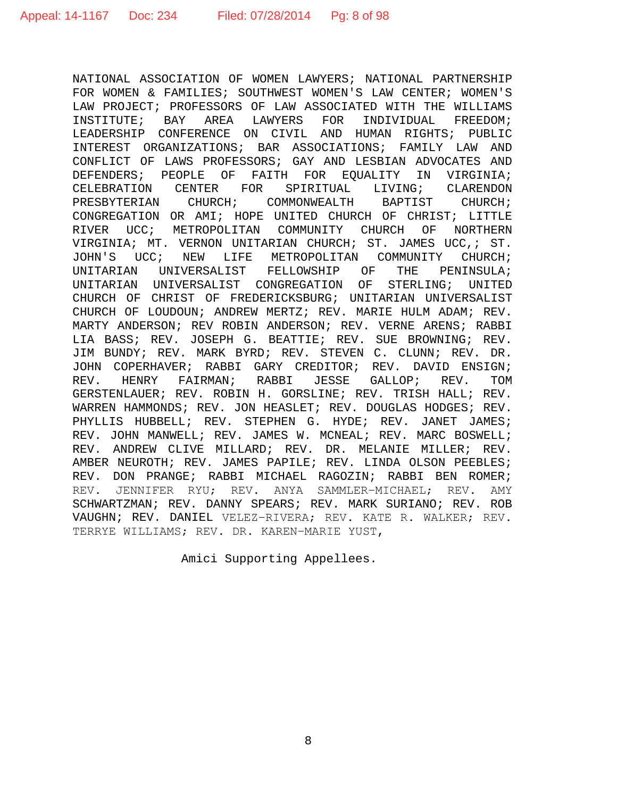NATIONAL ASSOCIATION OF WOMEN LAWYERS; NATIONAL PARTNERSHIP FOR WOMEN & FAMILIES; SOUTHWEST WOMEN'S LAW CENTER; WOMEN'S LAW PROJECT; PROFESSORS OF LAW ASSOCIATED WITH THE WILLIAMS<br>INSTITUTE; BAY AREA LAWYERS FOR INDIVIDUAL FREEDOM; BAY AREA LAWYERS FOR INDIVIDUAL FREEDOM; LEADERSHIP CONFERENCE ON CIVIL AND HUMAN RIGHTS; PUBLIC INTEREST ORGANIZATIONS; BAR ASSOCIATIONS; FAMILY LAW AND CONFLICT OF LAWS PROFESSORS; GAY AND LESBIAN ADVOCATES AND DEFENDERS; PEOPLE OF FAITH FOR EQUALITY IN VIRGINIA;<br>CELEBRATION CENTER FOR SPIRITUAL LIVING; CLARENDON ENTER FOR SPIRITUAL LIVING;<br>CHURCH; COMMONWEALTH BAPTIST PRESBYTERIAN CHURCH; COMMONWEALTH BAPTIST CHURCH; CONGREGATION OR AMI; HOPE UNITED CHURCH OF CHRIST; LITTLE<br>RIVER UCC; METROPOLITAN COMMUNITY CHURCH OF NORTHERN RIVER UCC; METROPOLITAN COMMUNITY CHURCH OF VIRGINIA; MT. VERNON UNITARIAN CHURCH; ST. JAMES UCC, ; ST.<br>JOHN'S UCC; NEW LIFE METROPOLITAN COMMUNITY CHURCH; LIFE METROPOLITAN COMMUNITY CHURCH; UNITARIAN UNIVERSALIST FELLOWSHIP OF THE PENINSULA; UNITARIAN UNIVERSALIST CONGREGATION OF STERLING; UNITED CHURCH OF CHRIST OF FREDERICKSBURG; UNITARIAN UNIVERSALIST CHURCH OF LOUDOUN; ANDREW MERTZ; REV. MARIE HULM ADAM; REV. MARTY ANDERSON; REV ROBIN ANDERSON; REV. VERNE ARENS; RABBI LIA BASS; REV. JOSEPH G. BEATTIE; REV. SUE BROWNING; REV. JIM BUNDY; REV. MARK BYRD; REV. STEVEN C. CLUNN; REV. DR. JOHN COPERHAVER; RABBI GARY CREDITOR; REV. DAVID ENSIGN;<br>REV. HENRY FAIRMAN; RABBI JESSE GALLOP; REV. TOM REV. HENRY FAIRMAN; RABBI JESSE GALLOP; REV. TOM GERSTENLAUER; REV. ROBIN H. GORSLINE; REV. TRISH HALL; REV. WARREN HAMMONDS; REV. JON HEASLET; REV. DOUGLAS HODGES; REV. PHYLLIS HUBBELL; REV. STEPHEN G. HYDE; REV. JANET JAMES; REV. JOHN MANWELL; REV. JAMES W. MCNEAL; REV. MARC BOSWELL; REV. ANDREW CLIVE MILLARD; REV. DR. MELANIE MILLER; REV. AMBER NEUROTH; REV. JAMES PAPILE; REV. LINDA OLSON PEEBLES; REV. DON PRANGE; RABBI MICHAEL RAGOZIN; RABBI BEN ROMER; REV. JENNIFER RYU; REV. ANYA SAMMLER−MICHAEL; REV. AMY SCHWARTZMAN; REV. DANNY SPEARS; REV. MARK SURIANO; REV. ROB VAUGHN; REV. DANIEL VELEZ−RIVERA; REV. KATE R. WALKER; REV. TERRYE WILLIAMS; REV. DR. KAREN−MARIE YUST,

Amici Supporting Appellees.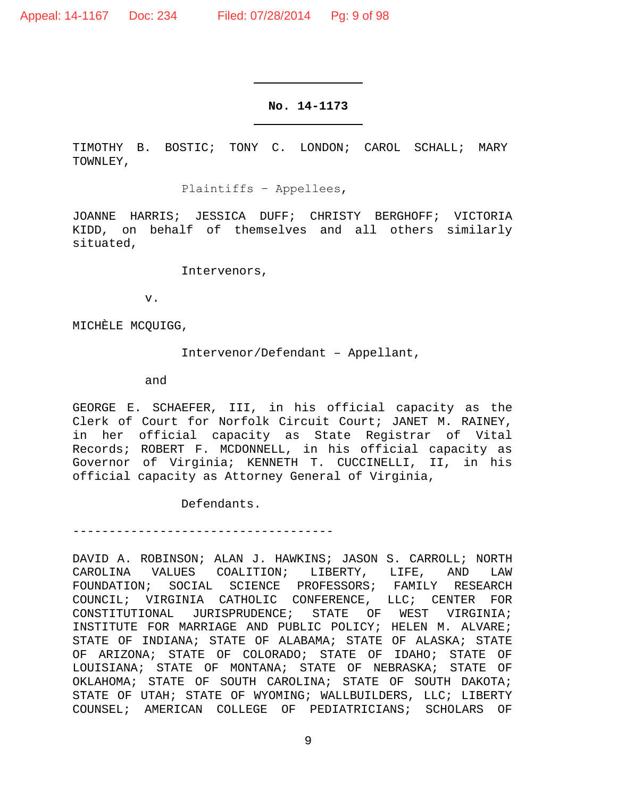## **No. 14-1173**

TIMOTHY B. BOSTIC; TONY C. LONDON; CAROL SCHALL; MARY TOWNLEY,

Plaintiffs − Appellees,

JOANNE HARRIS; JESSICA DUFF; CHRISTY BERGHOFF; VICTORIA KIDD, on behalf of themselves and all others similarly situated,

Intervenors,

v.

MICHÈLE MCQUIGG,

Intervenor/Defendant – Appellant,

and

GEORGE E. SCHAEFER, III, in his official capacity as the Clerk of Court for Norfolk Circuit Court; JANET M. RAINEY, in her official capacity as State Registrar of Vital Records; ROBERT F. MCDONNELL, in his official capacity as Governor of Virginia; KENNETH T. CUCCINELLI, II, in his official capacity as Attorney General of Virginia,

Defendants.

------------------------------------

DAVID A. ROBINSON; ALAN J. HAWKINS; JASON S. CARROLL; NORTH CAROLINA VALUES COALITION; LIBERTY, LIFE, AND LAW FOUNDATION; SOCIAL SCIENCE PROFESSORS; FAMILY RESEARCH COUNCIL; VIRGINIA CATHOLIC CONFERENCE, LLC; CENTER FOR CONSTITUTIONAL JURISPRUDENCE; STATE OF WEST VIRGINIA; INSTITUTE FOR MARRIAGE AND PUBLIC POLICY; HELEN M. ALVARE; STATE OF INDIANA; STATE OF ALABAMA; STATE OF ALASKA; STATE OF ARIZONA; STATE OF COLORADO; STATE OF IDAHO; STATE OF LOUISIANA; STATE OF MONTANA; STATE OF NEBRASKA; STATE OF OKLAHOMA; STATE OF SOUTH CAROLINA; STATE OF SOUTH DAKOTA; STATE OF UTAH; STATE OF WYOMING; WALLBUILDERS, LLC; LIBERTY COUNSEL; AMERICAN COLLEGE OF PEDIATRICIANS; SCHOLARS OF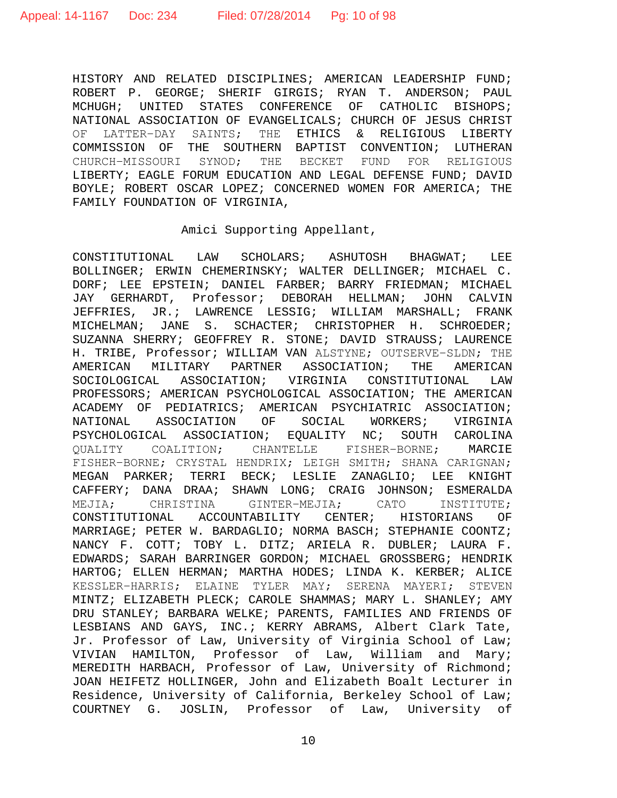HISTORY AND RELATED DISCIPLINES; AMERICAN LEADERSHIP FUND; ROBERT P. GEORGE; SHERIF GIRGIS; RYAN T. ANDERSON; PAUL MCHUGH; UNITED STATES CONFERENCE OF CATHOLIC BISHOPS; NATIONAL ASSOCIATION OF EVANGELICALS; CHURCH OF JESUS CHRIST<br>OF LATTER-DAY SAINTS; THE ETHICS & RELIGIOUS LIBERTY THE ETHICS & RELIGIOUS LIBERTY COMMISSION OF THE SOUTHERN BAPTIST CONVENTION; LUTHERAN CHURCH−MISSOURI SYNOD; THE BECKET FUND FOR RELIGIOUS LIBERTY; EAGLE FORUM EDUCATION AND LEGAL DEFENSE FUND; DAVID BOYLE; ROBERT OSCAR LOPEZ; CONCERNED WOMEN FOR AMERICA; THE FAMILY FOUNDATION OF VIRGINIA,

# Amici Supporting Appellant,

CONSTITUTIONAL LAW SCHOLARS; ASHUTOSH BHAGWAT; LEE BOLLINGER; ERWIN CHEMERINSKY; WALTER DELLINGER; MICHAEL C. DORF; LEE EPSTEIN; DANIEL FARBER; BARRY FRIEDMAN; MICHAEL JAY GERHARDT, Professor; DEBORAH HELLMAN; JOHN CALVIN JEFFRIES, JR.; LAWRENCE LESSIG; WILLIAM MARSHALL; FRANK MICHELMAN; JANE S. SCHACTER; CHRISTOPHER H. SCHROEDER; SUZANNA SHERRY; GEOFFREY R. STONE; DAVID STRAUSS; LAURENCE H. TRIBE, Professor; WILLIAM VAN ALSTYNE; OUTSERVE-SLDN; THE<br>AMERICAN MILITARY PARTNER ASSOCIATION; THE AMERICAN AMERICAN MILITARY PARTNER ASSOCIATION; THE SOCIOLOGICAL ASSOCIATION; VIRGINIA CONSTITUTIONAL LAW PROFESSORS; AMERICAN PSYCHOLOGICAL ASSOCIATION; THE AMERICAN ACADEMY OF PEDIATRICS; AMERICAN PSYCHIATRIC ASSOCIATION; NATIONAL ASSOCIATION OF SOCIAL WORKERS; VIRGINIA PSYCHOLOGICAL ASSOCIATION; EQUALITY NC; SOUTH CAROLINA<br>OUALITY COALITION; CHANTELLE FISHER-BORNE; MARCIE QUALITY COALITION; CHANTELLE FISHER-BORNE; FISHER−BORNE; CRYSTAL HENDRIX; LEIGH SMITH; SHANA CARIGNAN; MEGAN PARKER; TERRI BECK; LESLIE ZANAGLIO; LEE KNIGHT CAFFERY; DANA DRAA; SHAWN LONG; CRAIG JOHNSON; ESMERALDA MEJIA; CHRISTINA GINTER-MEJIA; CATO INSTITUTE;<br>CONSTITUTIONAL ACCOUNTABILITY CENTER; HISTORIANS OF CONSTITUTIONAL ACCOUNTABILITY CENTER; HISTORIANS MARRIAGE; PETER W. BARDAGLIO; NORMA BASCH; STEPHANIE COONTZ; NANCY F. COTT; TOBY L. DITZ; ARIELA R. DUBLER; LAURA F. EDWARDS; SARAH BARRINGER GORDON; MICHAEL GROSSBERG; HENDRIK HARTOG; ELLEN HERMAN; MARTHA HODES; LINDA K. KERBER; ALICE KESSLER−HARRIS; ELAINE TYLER MAY; SERENA MAYERI; STEVEN MINTZ; ELIZABETH PLECK; CAROLE SHAMMAS; MARY L. SHANLEY; AMY DRU STANLEY; BARBARA WELKE; PARENTS, FAMILIES AND FRIENDS OF LESBIANS AND GAYS, INC.; KERRY ABRAMS, Albert Clark Tate, Jr. Professor of Law, University of Virginia School of Law; VIVIAN HAMILTON, Professor of Law, William and Mary; MEREDITH HARBACH, Professor of Law, University of Richmond; JOAN HEIFETZ HOLLINGER, John and Elizabeth Boalt Lecturer in Residence, University of California, Berkeley School of Law; COURTNEY G. JOSLIN, Professor of Law, University of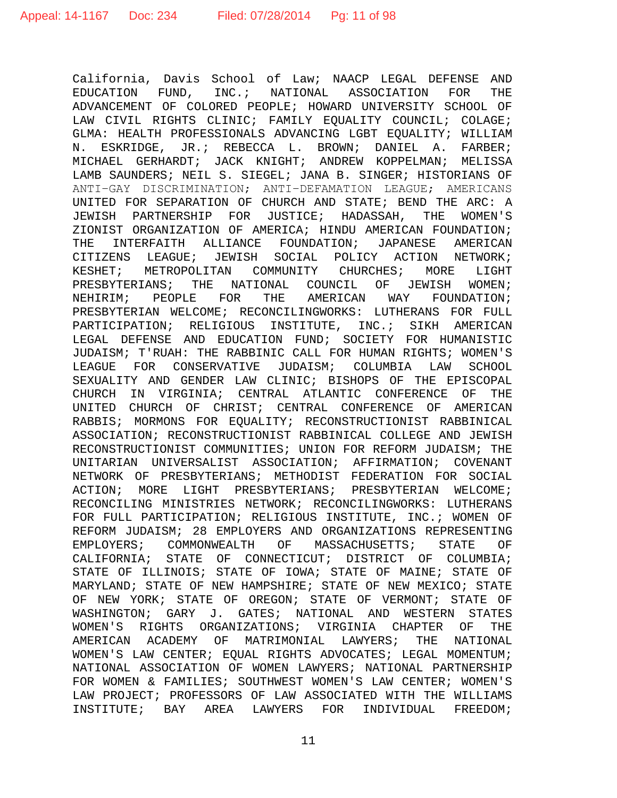California, Davis School of Law; NAACP LEGAL DEFENSE AND<br>EDUCATION FUND. INC.; NATIONAL ASSOCIATION FOR THE EDUCATION FUND, INC.; NATIONAL ASSOCIATION FOR ADVANCEMENT OF COLORED PEOPLE; HOWARD UNIVERSITY SCHOOL OF LAW CIVIL RIGHTS CLINIC; FAMILY EQUALITY COUNCIL; COLAGE; GLMA: HEALTH PROFESSIONALS ADVANCING LGBT EQUALITY; WILLIAM N. ESKRIDGE, JR.; REBECCA L. BROWN; DANIEL A. FARBER; MICHAEL GERHARDT; JACK KNIGHT; ANDREW KOPPELMAN; MELISSA LAMB SAUNDERS; NEIL S. SIEGEL; JANA B. SINGER; HISTORIANS OF ANTI−GAY DISCRIMINATION; ANTI−DEFAMATION LEAGUE; AMERICANS UNITED FOR SEPARATION OF CHURCH AND STATE; BEND THE ARC: A JEWISH PARTNERSHIP FOR JUSTICE; HADASSAH, THE WOMEN'S ZIONIST ORGANIZATION OF AMERICA; HINDU AMERICAN FOUNDATION;<br>THE INTERFAITH ALLIANCE FOUNDATION; JAPANESE AMERICAN  $INTERFAITH$  ALLIANCE FOUNDATION; JAPANESE CITIZENS LEAGUE; JEWISH SOCIAL POLICY ACTION NETWORK;<br>KESHET; METROPOLITAN COMMUNITY CHURCHES; MORE LIGHT METROPOLITAN COMMUNITY CHURCHES; MORE LIGHT PRESBYTERIANS; THE NATIONAL COUNCIL OF JEWISH WOMEN;<br>NEHIRIM; PEOPLE FOR THE AMERICAN WAY FOUNDATION; NEHIRIM; PEOPLE FOR THE AMERICAN WAY FOUNDATION; PRESBYTERIAN WELCOME; RECONCILINGWORKS: LUTHERANS FOR FULL PARTICIPATION; RELIGIOUS INSTITUTE, INC.; SIKH AMERICAN LEGAL DEFENSE AND EDUCATION FUND; SOCIETY FOR HUMANISTIC JUDAISM; T'RUAH: THE RABBINIC CALL FOR HUMAN RIGHTS; WOMEN'S LEAGUE FOR CONSERVATIVE JUDAISM; COLUMBIA LAW SEXUALITY AND GENDER LAW CLINIC; BISHOPS OF THE EPISCOPAL CHURCH IN VIRGINIA; CENTRAL ATLANTIC CONFERENCE OF THE UNITED CHURCH OF CHRIST; CENTRAL CONFERENCE OF AMERICAN RABBIS; MORMONS FOR EQUALITY; RECONSTRUCTIONIST RABBINICAL ASSOCIATION; RECONSTRUCTIONIST RABBINICAL COLLEGE AND JEWISH RECONSTRUCTIONIST COMMUNITIES; UNION FOR REFORM JUDAISM; THE UNITARIAN UNIVERSALIST ASSOCIATION; AFFIRMATION; COVENANT NETWORK OF PRESBYTERIANS; METHODIST FEDERATION FOR SOCIAL ACTION; MORE LIGHT PRESBYTERIANS; PRESBYTERIAN WELCOME; RECONCILING MINISTRIES NETWORK; RECONCILINGWORKS: LUTHERANS FOR FULL PARTICIPATION; RELIGIOUS INSTITUTE, INC.; WOMEN OF REFORM JUDAISM; 28 EMPLOYERS AND ORGANIZATIONS REPRESENTING<br>EMPLOYERS; COMMONWEALTH OF MASSACHUSETTS; STATE OF MASSACHUSETTS; STATE CALIFORNIA; STATE OF CONNECTICUT; DISTRICT OF COLUMBIA; STATE OF ILLINOIS; STATE OF IOWA; STATE OF MAINE; STATE OF MARYLAND; STATE OF NEW HAMPSHIRE; STATE OF NEW MEXICO; STATE OF NEW YORK; STATE OF OREGON; STATE OF VERMONT; STATE OF WASHINGTON; GARY J. GATES; NATIONAL AND WESTERN STATES<br>WOMEN'S RIGHTS ORGANIZATIONS; VIRGINIA CHAPTER OF THE WOMEN'S RIGHTS ORGANIZATIONS; VIRGINIA CHAPTER OF AMERICAN ACADEMY OF MATRIMONIAL LAWYERS; THE NATIONAL WOMEN'S LAW CENTER; EQUAL RIGHTS ADVOCATES; LEGAL MOMENTUM; NATIONAL ASSOCIATION OF WOMEN LAWYERS; NATIONAL PARTNERSHIP FOR WOMEN & FAMILIES; SOUTHWEST WOMEN'S LAW CENTER; WOMEN'S LAW PROJECT; PROFESSORS OF LAW ASSOCIATED WITH THE WILLIAMS INSTITUTE; BAY AREA LAWYERS FOR INDIVIDUAL FREEDOM;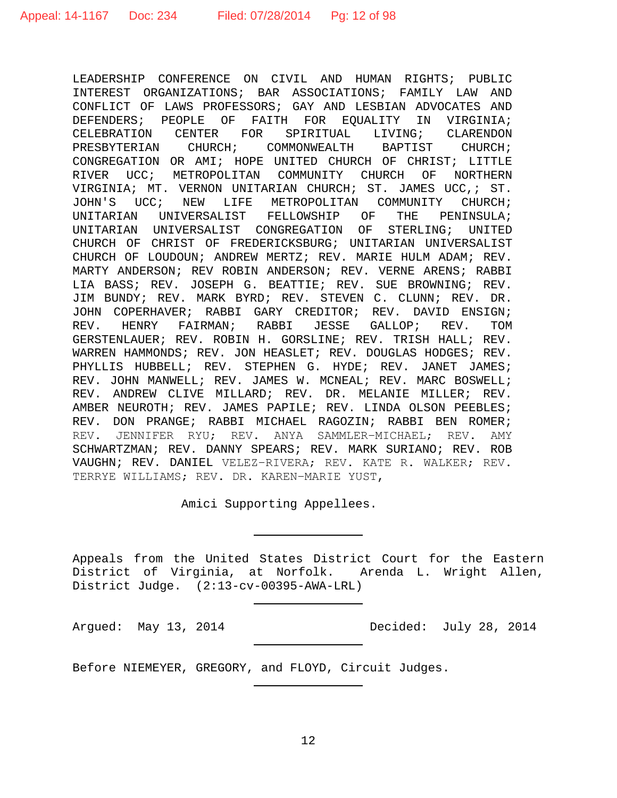LEADERSHIP CONFERENCE ON CIVIL AND HUMAN RIGHTS; PUBLIC INTEREST ORGANIZATIONS; BAR ASSOCIATIONS; FAMILY LAW AND CONFLICT OF LAWS PROFESSORS; GAY AND LESBIAN ADVOCATES AND DEFENDERS; PEOPLE OF FAITH FOR EQUALITY IN VIRGINIA; CELEBRATION CENTER FOR SPIRITUAL LIVING; CLARENDON PRESBYTERIAN CHURCH; COMMONWEALTH BAPTIST CHURCH; CONGREGATION OR AMI; HOPE UNITED CHURCH OF CHRIST; LITTLE RIVER UCC; METROPOLITAN COMMUNITY CHURCH OF NORTHERN VIRGINIA; MT. VERNON UNITARIAN CHURCH; ST. JAMES UCC,; ST. JOHN'S UCC; NEW LIFE METROPOLITAN COMMUNITY CHURCH;<br>UNITARIAN UNIVERSALIST FELLOWSHIP OF THE PENINSULA; UNITARIAN UNIVERSALIST FELLOWSHIP OF UNITARIAN UNIVERSALIST CONGREGATION OF STERLING; UNITED CHURCH OF CHRIST OF FREDERICKSBURG; UNITARIAN UNIVERSALIST CHURCH OF LOUDOUN; ANDREW MERTZ; REV. MARIE HULM ADAM; REV. MARTY ANDERSON; REV ROBIN ANDERSON; REV. VERNE ARENS; RABBI LIA BASS; REV. JOSEPH G. BEATTIE; REV. SUE BROWNING; REV. JIM BUNDY; REV. MARK BYRD; REV. STEVEN C. CLUNN; REV. DR. JOHN COPERHAVER; RABBI GARY CREDITOR; REV. DAVID ENSIGN;<br>REV. HENRY FAIRMAN; RABBI JESSE GALLOP; REV. TOM REV. HENRY FAIRMAN; RABBI JESSE GALLOP; REV. GERSTENLAUER; REV. ROBIN H. GORSLINE; REV. TRISH HALL; REV. WARREN HAMMONDS; REV. JON HEASLET; REV. DOUGLAS HODGES; REV. PHYLLIS HUBBELL; REV. STEPHEN G. HYDE; REV. JANET JAMES; REV. JOHN MANWELL; REV. JAMES W. MCNEAL; REV. MARC BOSWELL; REV. ANDREW CLIVE MILLARD; REV. DR. MELANIE MILLER; REV. AMBER NEUROTH; REV. JAMES PAPILE; REV. LINDA OLSON PEEBLES; REV. DON PRANGE; RABBI MICHAEL RAGOZIN; RABBI BEN ROMER; REV. JENNIFER RYU; REV. ANYA SAMMLER−MICHAEL; REV. AMY SCHWARTZMAN; REV. DANNY SPEARS; REV. MARK SURIANO; REV. ROB VAUGHN; REV. DANIEL VELEZ−RIVERA; REV. KATE R. WALKER; REV. TERRYE WILLIAMS; REV. DR. KAREN−MARIE YUST,

Amici Supporting Appellees.

Appeals from the United States District Court for the Eastern District of Virginia, at Norfolk. Arenda L. Wright Allen, District Judge. (2:13-cv-00395-AWA-LRL)

Argued: May 13, 2014 Decided: July 28, 2014

Before NIEMEYER, GREGORY, and FLOYD, Circuit Judges.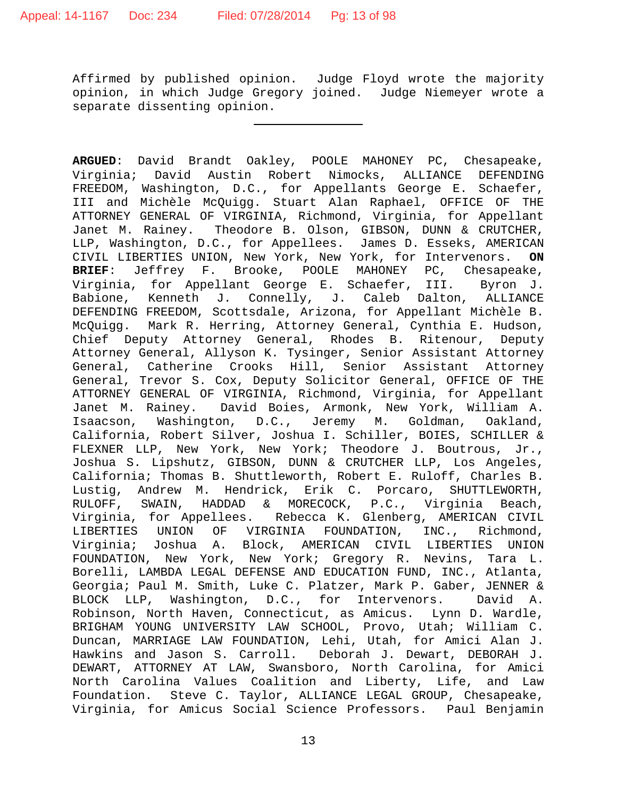Affirmed by published opinion. Judge Floyd wrote the majority opinion, in which Judge Gregory joined. Judge Niemeyer wrote a separate dissenting opinion.

**ARGUED**: David Brandt Oakley, POOLE MAHONEY PC, Chesapeake, Virginia; David Austin Robert Nimocks, ALLIANCE DEFENDING FREEDOM, Washington, D.C., for Appellants George E. Schaefer, III and Michèle McQuigg. Stuart Alan Raphael, OFFICE OF THE ATTORNEY GENERAL OF VIRGINIA, Richmond, Virginia, for Appellant Janet M. Rainey. Theodore B. Olson, GIBSON, DUNN & CRUTCHER, LLP, Washington, D.C., for Appellees. James D. Esseks, AMERICAN<br>CIVIL LIBERTIES UNION, New York, New York, for Intervenors. ON CIVIL LIBERTIES UNION, New York, New York, for Intervenors. **ON**  Jeffrey F. Brooke, POOLE MAHONEY PC, Virginia, for Appellant George E. Schaefer, III. Byron J. Babione, Kenneth J. Connelly, J. Caleb Dalton, ALLIANCE DEFENDING FREEDOM, Scottsdale, Arizona, for Appellant Michèle B. McQuigg. Mark R. Herring, Attorney General, Cynthia E. Hudson, Chief Deputy Attorney General, Rhodes B. Ritenour, Deputy Attorney General, Allyson K. Tysinger, Senior Assistant Attorney General, Catherine Crooks Hill, Senior Assistant Attorney General, Trevor S. Cox, Deputy Solicitor General, OFFICE OF THE ATTORNEY GENERAL OF VIRGINIA, Richmond, Virginia, for Appellant Janet M. Rainey. David Boies, Armonk, New York, William A. Isaacson, Washington, D.C., Jeremy M. Goldman, Oakland, California, Robert Silver, Joshua I. Schiller, BOIES, SCHILLER & FLEXNER LLP, New York, New York; Theodore J. Boutrous, Jr., Joshua S. Lipshutz, GIBSON, DUNN & CRUTCHER LLP, Los Angeles, California; Thomas B. Shuttleworth, Robert E. Ruloff, Charles B. Lustig, Andrew M. Hendrick, Erik C. Porcaro, SHUTTLEWORTH, RULOFF, SWAIN, HADDAD & MORECOCK, P.C., Virginia Beach, Virginia, for Appellees. Rebecca K. Glenberg, AMERICAN CIVIL<br>LIBERTIES UNION OF VIRGINIA FOUNDATION, INC., Richmond, VIRGINIA FOUNDATION, INC., Virginia; Joshua A. Block, AMERICAN CIVIL LIBERTIES UNION FOUNDATION, New York, New York; Gregory R. Nevins, Tara L. Borelli, LAMBDA LEGAL DEFENSE AND EDUCATION FUND, INC., Atlanta, Georgia; Paul M. Smith, Luke C. Platzer, Mark P. Gaber, JENNER & BLOCK LLP, Washington, D.C., for Intervenors. David A. Robinson, North Haven, Connecticut, as Amicus. Lynn D. Wardle, BRIGHAM YOUNG UNIVERSITY LAW SCHOOL, Provo, Utah; William C. Duncan, MARRIAGE LAW FOUNDATION, Lehi, Utah, for Amici Alan J. Hawkins and Jason S. Carroll. Deborah J. Dewart, DEBORAH J. DEWART, ATTORNEY AT LAW, Swansboro, North Carolina, for Amici North Carolina Values Coalition and Liberty, Life, and Law Foundation. Steve C. Taylor, ALLIANCE LEGAL GROUP, Chesapeake, Virginia, for Amicus Social Science Professors. Paul Benjamin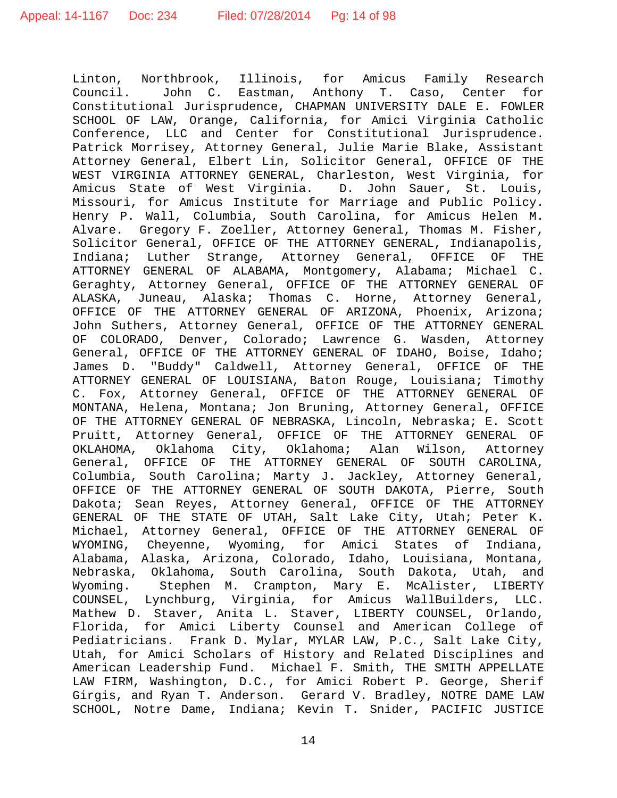Linton, Northbrook, Illinois, for Amicus Family Research<br>Council. John C. Eastman, Anthony T. Caso, Center for John C. Eastman, Anthony T. Caso, Center Constitutional Jurisprudence, CHAPMAN UNIVERSITY DALE E. FOWLER SCHOOL OF LAW, Orange, California, for Amici Virginia Catholic Conference, LLC and Center for Constitutional Jurisprudence. Patrick Morrisey, Attorney General, Julie Marie Blake, Assistant Attorney General, Elbert Lin, Solicitor General, OFFICE OF THE WEST VIRGINIA ATTORNEY GENERAL, Charleston, West Virginia, for Amicus State of West Virginia. D. John Sauer, St. Louis, Missouri, for Amicus Institute for Marriage and Public Policy. Henry P. Wall, Columbia, South Carolina, for Amicus Helen M. Alvare. Gregory F. Zoeller, Attorney General, Thomas M. Fisher, Solicitor General, OFFICE OF THE ATTORNEY GENERAL, Indianapolis, Indiana; Luther Strange, Attorney General, OFFICE OF THE ATTORNEY GENERAL OF ALABAMA, Montgomery, Alabama; Michael C. Geraghty, Attorney General, OFFICE OF THE ATTORNEY GENERAL OF ALASKA, Juneau, Alaska; Thomas C. Horne, Attorney General, OFFICE OF THE ATTORNEY GENERAL OF ARIZONA, Phoenix, Arizona; John Suthers, Attorney General, OFFICE OF THE ATTORNEY GENERAL OF COLORADO, Denver, Colorado; Lawrence G. Wasden, Attorney General, OFFICE OF THE ATTORNEY GENERAL OF IDAHO, Boise, Idaho; James D. "Buddy" Caldwell, Attorney General, OFFICE OF THE ATTORNEY GENERAL OF LOUISIANA, Baton Rouge, Louisiana; Timothy C. Fox, Attorney General, OFFICE OF THE ATTORNEY GENERAL OF MONTANA, Helena, Montana; Jon Bruning, Attorney General, OFFICE OF THE ATTORNEY GENERAL OF NEBRASKA, Lincoln, Nebraska; E. Scott Pruitt, Attorney General, OFFICE OF THE ATTORNEY GENERAL OF<br>OKLAHOMA, Oklahoma City, Oklahoma; Alan Wilson, Attorney Oklahoma City, Oklahoma; General, OFFICE OF THE ATTORNEY GENERAL OF SOUTH CAROLINA, Columbia, South Carolina; Marty J. Jackley, Attorney General, OFFICE OF THE ATTORNEY GENERAL OF SOUTH DAKOTA, Pierre, South Dakota; Sean Reyes, Attorney General, OFFICE OF THE ATTORNEY GENERAL OF THE STATE OF UTAH, Salt Lake City, Utah; Peter K. Michael, Attorney General, OFFICE OF THE ATTORNEY GENERAL OF WYOMING, Cheyenne, Wyoming, for Amici States of Indiana, Alabama, Alaska, Arizona, Colorado, Idaho, Louisiana, Montana, Nebraska, Oklahoma, South Carolina, South Dakota, Utah, and Wyoming. Stephen M. Crampton, Mary E. McAlister, LIBERTY COUNSEL, Lynchburg, Virginia, for Amicus WallBuilders, LLC. Mathew D. Staver, Anita L. Staver, LIBERTY COUNSEL, Orlando, Florida, for Amici Liberty Counsel and American College of Pediatricians. Frank D. Mylar, MYLAR LAW, P.C., Salt Lake City, Utah, for Amici Scholars of History and Related Disciplines and American Leadership Fund. Michael F. Smith, THE SMITH APPELLATE LAW FIRM, Washington, D.C., for Amici Robert P. George, Sherif Girgis, and Ryan T. Anderson. Gerard V. Bradley, NOTRE DAME LAW SCHOOL, Notre Dame, Indiana; Kevin T. Snider, PACIFIC JUSTICE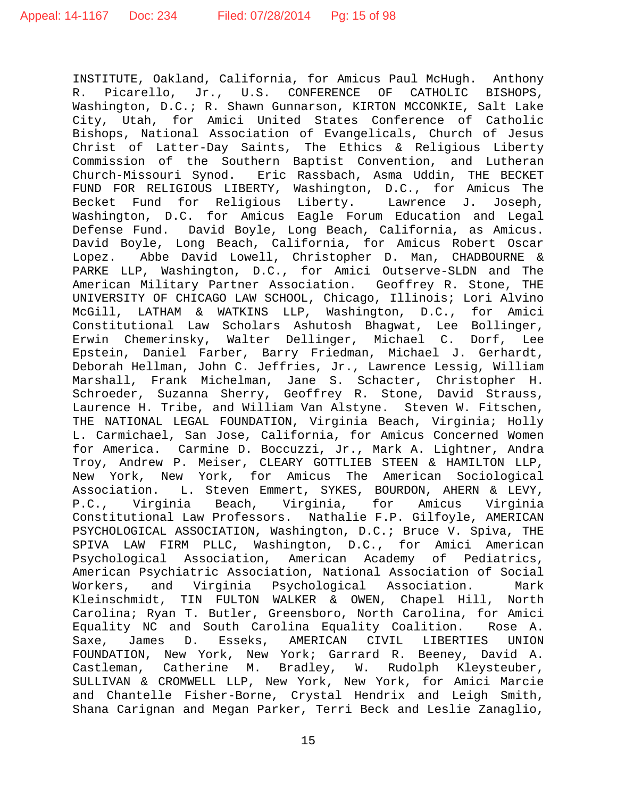INSTITUTE, Oakland, California, for Amicus Paul McHugh. Anthony Picarello, Jr., U.S. CONFERENCE OF Washington, D.C.; R. Shawn Gunnarson, KIRTON MCCONKIE, Salt Lake City, Utah, for Amici United States Conference of Catholic Bishops, National Association of Evangelicals, Church of Jesus Christ of Latter-Day Saints, The Ethics & Religious Liberty Commission of the Southern Baptist Convention, and Lutheran Church-Missouri Synod. Eric Rassbach, Asma Uddin, THE BECKET FUND FOR RELIGIOUS LIBERTY, Washington, D.C., for Amicus The Becket Fund for Religious Liberty. Lawrence J. Joseph, Washington, D.C. for Amicus Eagle Forum Education and Legal Defense Fund. David Boyle, Long Beach, California, as Amicus. David Boyle, Long Beach, California, for Amicus Robert Oscar Lopez. Abbe David Lowell, Christopher D. Man, CHADBOURNE & PARKE LLP, Washington, D.C., for Amici Outserve-SLDN and The American Military Partner Association. Geoffrey R. Stone, THE UNIVERSITY OF CHICAGO LAW SCHOOL, Chicago, Illinois; Lori Alvino McGill, LATHAM & WATKINS LLP, Washington, D.C., Constitutional Law Scholars Ashutosh Bhagwat, Lee Bollinger, Erwin Chemerinsky, Walter Dellinger, Michael C. Dorf, Lee Epstein, Daniel Farber, Barry Friedman, Michael J. Gerhardt, Deborah Hellman, John C. Jeffries, Jr., Lawrence Lessig, William Marshall, Frank Michelman, Jane S. Schacter, Christopher H. Schroeder, Suzanna Sherry, Geoffrey R. Stone, David Strauss, Laurence H. Tribe, and William Van Alstyne. Steven W. Fitschen, THE NATIONAL LEGAL FOUNDATION, Virginia Beach, Virginia; Holly L. Carmichael, San Jose, California, for Amicus Concerned Women for America. Carmine D. Boccuzzi, Jr., Mark A. Lightner, Andra Troy, Andrew P. Meiser, CLEARY GOTTLIEB STEEN & HAMILTON LLP, New York, New York, for Amicus The American Sociological<br>Association. L. Steven Emmert, SYKES, BOURDON, AHERN & LEVY, L. Steven Emmert, SYKES, BOURDON, AHERN & LEVY,<br>ia Beach, Virginia, for Amicus Virginia P.C., Virginia Beach, Virginia, for Amicus Virginia Constitutional Law Professors. Nathalie F.P. Gilfoyle, AMERICAN PSYCHOLOGICAL ASSOCIATION, Washington, D.C.; Bruce V. Spiva, THE SPIVA LAW FIRM PLLC, Washington, D.C., for Amici American<br>Psychological Association, American Academy of Pediatrics, Psychological Association, American Psychiatric Association, National Association of Social Workers, and Virginia Psychological Association. Mark Kleinschmidt, TIN FULTON WALKER & OWEN, Chapel Hill, North Carolina; Ryan T. Butler, Greensboro, North Carolina, for Amici Equality NC and South Carolina Equality Coalition. Rose A. Saxe, James D. Esseks, AMERICAN CIVIL LIBERTIES UNION FOUNDATION, New York, New York; Garrard R. Beeney, David A. Castleman, Catherine M. Bradley, W. Rudolph Kleysteuber, SULLIVAN & CROMWELL LLP, New York, New York, for Amici Marcie and Chantelle Fisher-Borne, Crystal Hendrix and Leigh Smith, Shana Carignan and Megan Parker, Terri Beck and Leslie Zanaglio,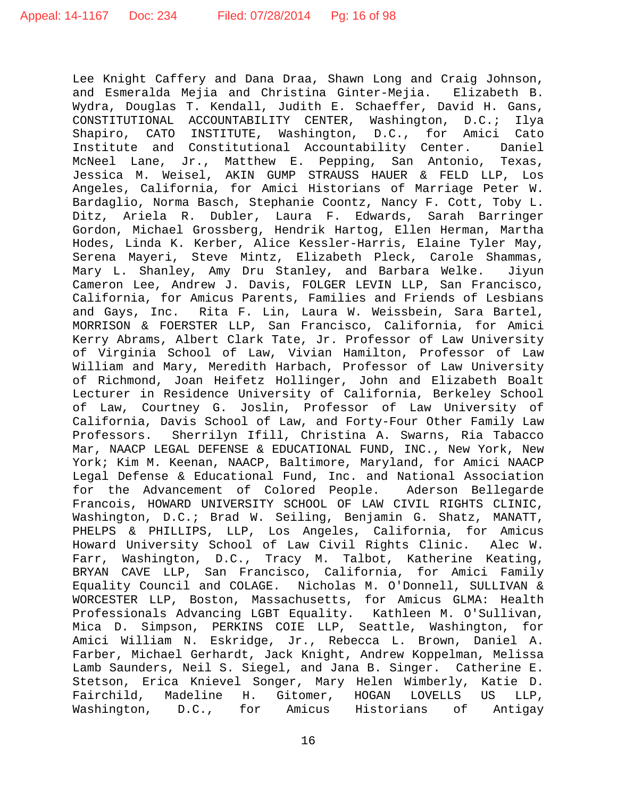Lee Knight Caffery and Dana Draa, Shawn Long and Craig Johnson, and Esmeralda Mejia and Christina Ginter-Mejia. Elizabeth B. Wydra, Douglas T. Kendall, Judith E. Schaeffer, David H. Gans,<br>CONSTITUTIONAL ACCOUNTABILITY CENTER, Washington, D.C.; Ilya CONSTITUTIONAL ACCOUNTABILITY CENTER, Washington, D.C.; Ilya Shapiro, CATO INSTITUTE, Washington, D.C., for Amici Cato Institute and Constitutional Accountability Center. Daniel McNeel Lane, Jr., Matthew E. Pepping, San Antonio, Texas, Jessica M. Weisel, AKIN GUMP STRAUSS HAUER & FELD LLP, Los Angeles, California, for Amici Historians of Marriage Peter W. Bardaglio, Norma Basch, Stephanie Coontz, Nancy F. Cott, Toby L. Ditz, Ariela R. Dubler, Laura F. Edwards, Sarah Barringer Gordon, Michael Grossberg, Hendrik Hartog, Ellen Herman, Martha Hodes, Linda K. Kerber, Alice Kessler-Harris, Elaine Tyler May, Serena Mayeri, Steve Mintz, Elizabeth Pleck, Carole Shammas, Mary L. Shanley, Amy Dru Stanley, and Barbara Welke. Jiyun Cameron Lee, Andrew J. Davis, FOLGER LEVIN LLP, San Francisco, California, for Amicus Parents, Families and Friends of Lesbians<br>and Gays, Inc. Rita F. Lin, Laura W. Weissbein, Sara Bartel, Rita F. Lin, Laura W. Weissbein, Sara Bartel, MORRISON & FOERSTER LLP, San Francisco, California, for Amici Kerry Abrams, Albert Clark Tate, Jr. Professor of Law University of Virginia School of Law, Vivian Hamilton, Professor of Law William and Mary, Meredith Harbach, Professor of Law University of Richmond, Joan Heifetz Hollinger, John and Elizabeth Boalt Lecturer in Residence University of California, Berkeley School of Law, Courtney G. Joslin, Professor of Law University of California, Davis School of Law, and Forty-Four Other Family Law Professors. Sherrilyn Ifill, Christina A. Swarns, Ria Tabacco Mar, NAACP LEGAL DEFENSE & EDUCATIONAL FUND, INC., New York, New York; Kim M. Keenan, NAACP, Baltimore, Maryland, for Amici NAACP Legal Defense & Educational Fund, Inc. and National Association<br>for the Advancement of Colored People. Aderson Bellegarde for the Advancement of Colored People. Francois, HOWARD UNIVERSITY SCHOOL OF LAW CIVIL RIGHTS CLINIC, Washington, D.C.; Brad W. Seiling, Benjamin G. Shatz, MANATT, PHELPS & PHILLIPS, LLP, Los Angeles, California, for Amicus Howard University School of Law Civil Rights Clinic. Alec W. Farr, Washington, D.C., Tracy M. Talbot, Katherine Keating, BRYAN CAVE LLP, San Francisco, California, for Amici Family Equality Council and COLAGE. Nicholas M. O'Donnell, SULLIVAN & WORCESTER LLP, Boston, Massachusetts, for Amicus GLMA: Health Professionals Advancing LGBT Equality. Kathleen M. O'Sullivan, Mica D. Simpson, PERKINS COIE LLP, Seattle, Washington, for Amici William N. Eskridge, Jr., Rebecca L. Brown, Daniel A. Farber, Michael Gerhardt, Jack Knight, Andrew Koppelman, Melissa Lamb Saunders, Neil S. Siegel, and Jana B. Singer. Catherine E. Stetson, Erica Knievel Songer, Mary Helen Wimberly, Katie D.<br>Fairchild, Madeline H. Gitomer, HOGAN LOVELLS US LLP, Gitomer, HOGAN LOVELLS US LLP, Washington, D.C., for Amicus Historians of Antigay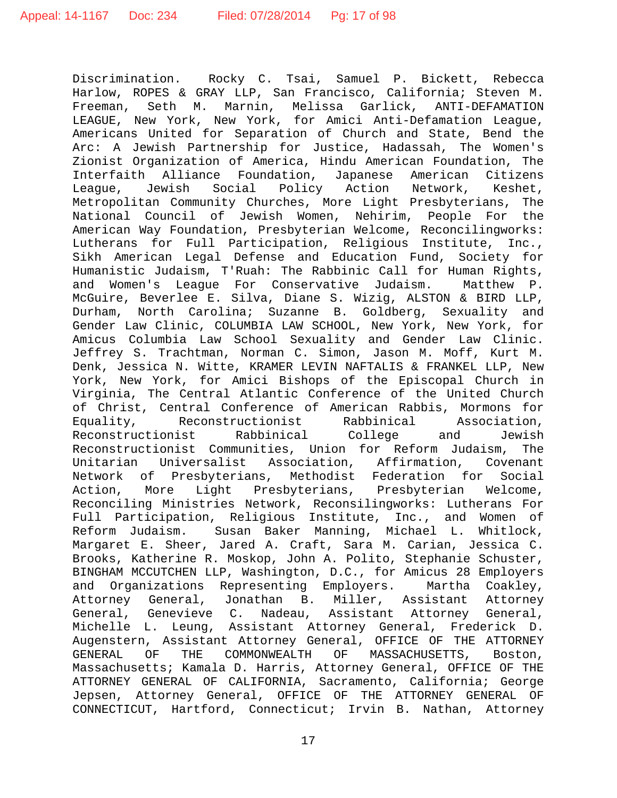Discrimination. Rocky C. Tsai, Samuel P. Bickett, Rebecca Harlow, ROPES & GRAY LLP, San Francisco, California; Steven M.<br>Freeman, Seth M. Marnin, Melissa Garlick, ANTI-DEFAMATION Marnin, Melissa Garlick, LEAGUE, New York, New York, for Amici Anti-Defamation League, Americans United for Separation of Church and State, Bend the Arc: A Jewish Partnership for Justice, Hadassah, The Women's Zionist Organization of America, Hindu American Foundation, The Interfaith Alliance Foundation, Japanese American Citizens League, Jewish Social Policy Action Network, Keshet, Metropolitan Community Churches, More Light Presbyterians, The National Council of Jewish Women, Nehirim, People For the American Way Foundation, Presbyterian Welcome, Reconcilingworks: Lutherans for Full Participation, Religious Institute, Inc., Sikh American Legal Defense and Education Fund, Society for Humanistic Judaism, T'Ruah: The Rabbinic Call for Human Rights, and Women's League For Conservative Judaism. Matthew P. McGuire, Beverlee E. Silva, Diane S. Wizig, ALSTON & BIRD LLP, Durham, North Carolina; Suzanne B. Goldberg, Sexuality and Gender Law Clinic, COLUMBIA LAW SCHOOL, New York, New York, for Amicus Columbia Law School Sexuality and Gender Law Clinic. Jeffrey S. Trachtman, Norman C. Simon, Jason M. Moff, Kurt M. Denk, Jessica N. Witte, KRAMER LEVIN NAFTALIS & FRANKEL LLP, New York, New York, for Amici Bishops of the Episcopal Church in Virginia, The Central Atlantic Conference of the United Church of Christ, Central Conference of American Rabbis, Mormons for<br>Equality, Reconstructionist Rabbinical Association, Reconstructionist Rabbinical Association,<br>ist Rabbinical College and Jewish Reconstructionist Rabbinical College and Reconstructionist Communities, Union for Reform Judaism, The<br>Unitarian Universalist Association, Affirmation, Covenant Unitarian Universalist Association, Affirmation, Covenant Network of Presbyterians, Methodist Federation for Social Light Presbyterians, Presbyterian Reconciling Ministries Network, Reconsilingworks: Lutherans For Full Participation, Religious Institute, Inc., and Women of Reform Judaism. Susan Baker Manning, Michael L. Whitlock, Margaret E. Sheer, Jared A. Craft, Sara M. Carian, Jessica C. Brooks, Katherine R. Moskop, John A. Polito, Stephanie Schuster, BINGHAM MCCUTCHEN LLP, Washington, D.C., for Amicus 28 Employers and Organizations Representing Employers. Martha Coakley,<br>Attorney General, Jonathan B. Miller, Assistant Attorney Attorney General, Jonathan B. Miller, Assistant Attorney General, Genevieve C. Nadeau, Assistant Attorney General, Michelle L. Leung, Assistant Attorney General, Frederick D. Augenstern, Assistant Attorney General, OFFICE OF THE ATTORNEY<br>GENERAL OF THE COMMONWEALTH OF MASSACHUSETTS, Boston, OF MASSACHUSETTS, Boston, Massachusetts; Kamala D. Harris, Attorney General, OFFICE OF THE ATTORNEY GENERAL OF CALIFORNIA, Sacramento, California; George Jepsen, Attorney General, OFFICE OF THE ATTORNEY GENERAL OF CONNECTICUT, Hartford, Connecticut; Irvin B. Nathan, Attorney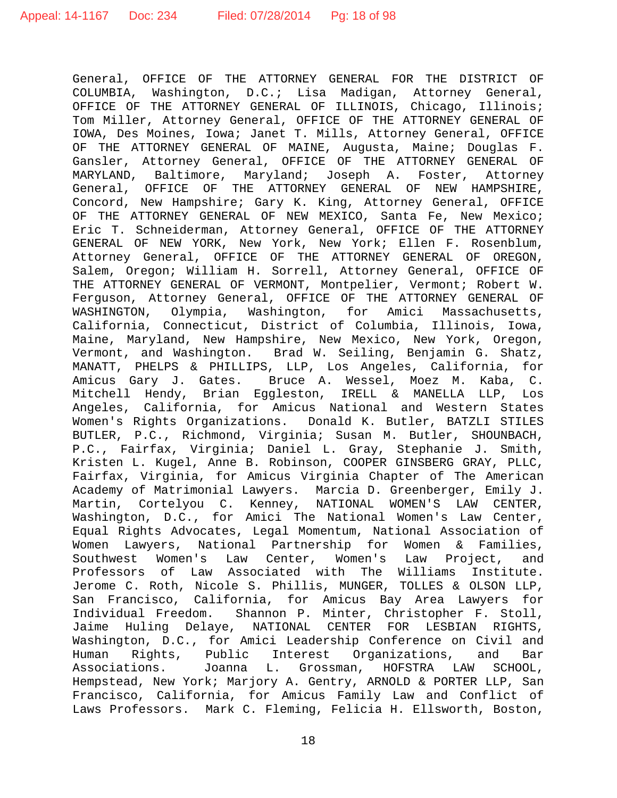General, OFFICE OF THE ATTORNEY GENERAL FOR THE DISTRICT OF COLUMBIA, Washington, D.C.; Lisa Madigan, Attorney General, OFFICE OF THE ATTORNEY GENERAL OF ILLINOIS, Chicago, Illinois; Tom Miller, Attorney General, OFFICE OF THE ATTORNEY GENERAL OF IOWA, Des Moines, Iowa; Janet T. Mills, Attorney General, OFFICE OF THE ATTORNEY GENERAL OF MAINE, Augusta, Maine; Douglas F. Gansler, Attorney General, OFFICE OF THE ATTORNEY GENERAL OF MARYLAND, Baltimore, Maryland; Joseph A. Foster, Attorney General, OFFICE OF THE ATTORNEY GENERAL OF NEW HAMPSHIRE, Concord, New Hampshire; Gary K. King, Attorney General, OFFICE OF THE ATTORNEY GENERAL OF NEW MEXICO, Santa Fe, New Mexico; Eric T. Schneiderman, Attorney General, OFFICE OF THE ATTORNEY GENERAL OF NEW YORK, New York, New York; Ellen F. Rosenblum, Attorney General, OFFICE OF THE ATTORNEY GENERAL OF OREGON, Salem, Oregon; William H. Sorrell, Attorney General, OFFICE OF THE ATTORNEY GENERAL OF VERMONT, Montpelier, Vermont; Robert W. Ferguson, Attorney General, OFFICE OF THE ATTORNEY GENERAL OF<br>WASHINGTON, Olympia, Washington, for Amici Massachusetts, Olympia, Washington, for Amici Massachusetts, California, Connecticut, District of Columbia, Illinois, Iowa, Maine, Maryland, New Hampshire, New Mexico, New York, Oregon, Vermont, and Washington. Brad W. Seiling, Benjamin G. Shatz, MANATT, PHELPS & PHILLIPS, LLP, Los Angeles, California, for Amicus Gary J. Gates. Bruce A. Wessel, Moez M. Kaba, C. Mitchell Hendy, Brian Eggleston, IRELL & MANELLA LLP, Los Angeles, California, for Amicus National and Western States Women's Rights Organizations. Donald K. Butler, BATZLI STILES BUTLER, P.C., Richmond, Virginia; Susan M. Butler, SHOUNBACH, P.C., Fairfax, Virginia; Daniel L. Gray, Stephanie J. Smith, Kristen L. Kugel, Anne B. Robinson, COOPER GINSBERG GRAY, PLLC, Fairfax, Virginia, for Amicus Virginia Chapter of The American Academy of Matrimonial Lawyers. Marcia D. Greenberger, Emily J. Martin, Cortelyou C. Kenney, NATIONAL WOMEN'S LAW CENTER, Washington, D.C., for Amici The National Women's Law Center, Equal Rights Advocates, Legal Momentum, National Association of Women Lawyers, National Partnership for Women & Families, Law Center, Women's Professors of Law Associated with The Williams Institute. Jerome C. Roth, Nicole S. Phillis, MUNGER, TOLLES & OLSON LLP, San Francisco, California, for Amicus Bay Area Lawyers for Individual Freedom. Shannon P. Minter, Christopher F. Stoll, Jaime Huling Delaye, NATIONAL CENTER FOR LESBIAN RIGHTS, Washington, D.C., for Amici Leadership Conference on Civil and<br>Human Rights, Public Interest Organizations, and Bar Organizations, and Bar Associations. Joanna L. Grossman, HOFSTRA LAW SCHOOL, Hempstead, New York; Marjory A. Gentry, ARNOLD & PORTER LLP, San Francisco, California, for Amicus Family Law and Conflict of Laws Professors. Mark C. Fleming, Felicia H. Ellsworth, Boston,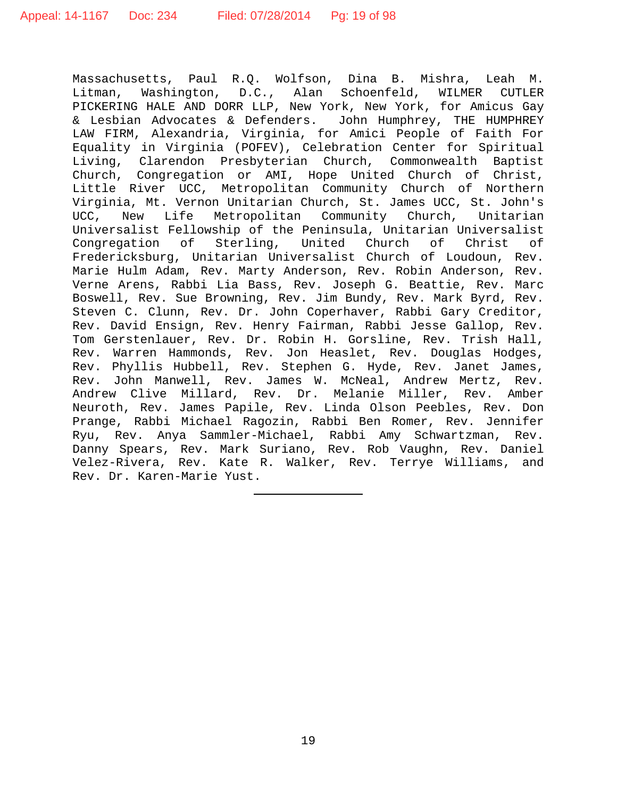Massachusetts, Paul R.Q. Wolfson, Dina B. Mishra, Leah M.<br>Litman, Washington, D.C., Alan Schoenfeld, WILMER CUTLER Litman, Washington, D.C., Alan Schoenfeld, WILMER PICKERING HALE AND DORR LLP, New York, New York, for Amicus Gay & Lesbian Advocates & Defenders. John Humphrey, THE HUMPHREY LAW FIRM, Alexandria, Virginia, for Amici People of Faith For Equality in Virginia (POFEV), Celebration Center for Spiritual Living, Clarendon Presbyterian Church, Commonwealth Baptist Church, Congregation or AMI, Hope United Church of Christ, Little River UCC, Metropolitan Community Church of Northern Virginia, Mt. Vernon Unitarian Church, St. James UCC, St. John's Life Metropolitan Community Church, Unitarian Universalist Fellowship of the Peninsula, Unitarian Universalist Sterling, United Church of Fredericksburg, Unitarian Universalist Church of Loudoun, Rev. Marie Hulm Adam, Rev. Marty Anderson, Rev. Robin Anderson, Rev. Verne Arens, Rabbi Lia Bass, Rev. Joseph G. Beattie, Rev. Marc Boswell, Rev. Sue Browning, Rev. Jim Bundy, Rev. Mark Byrd, Rev. Steven C. Clunn, Rev. Dr. John Coperhaver, Rabbi Gary Creditor, Rev. David Ensign, Rev. Henry Fairman, Rabbi Jesse Gallop, Rev. Tom Gerstenlauer, Rev. Dr. Robin H. Gorsline, Rev. Trish Hall, Rev. Warren Hammonds, Rev. Jon Heaslet, Rev. Douglas Hodges, Rev. Phyllis Hubbell, Rev. Stephen G. Hyde, Rev. Janet James, Rev. John Manwell, Rev. James W. McNeal, Andrew Mertz, Rev. Andrew Clive Millard, Rev. Dr. Melanie Miller, Rev. Amber Neuroth, Rev. James Papile, Rev. Linda Olson Peebles, Rev. Don Prange, Rabbi Michael Ragozin, Rabbi Ben Romer, Rev. Jennifer Ryu, Rev. Anya Sammler-Michael, Rabbi Amy Schwartzman, Rev. Danny Spears, Rev. Mark Suriano, Rev. Rob Vaughn, Rev. Daniel Velez-Rivera, Rev. Kate R. Walker, Rev. Terrye Williams, and Rev. Dr. Karen-Marie Yust.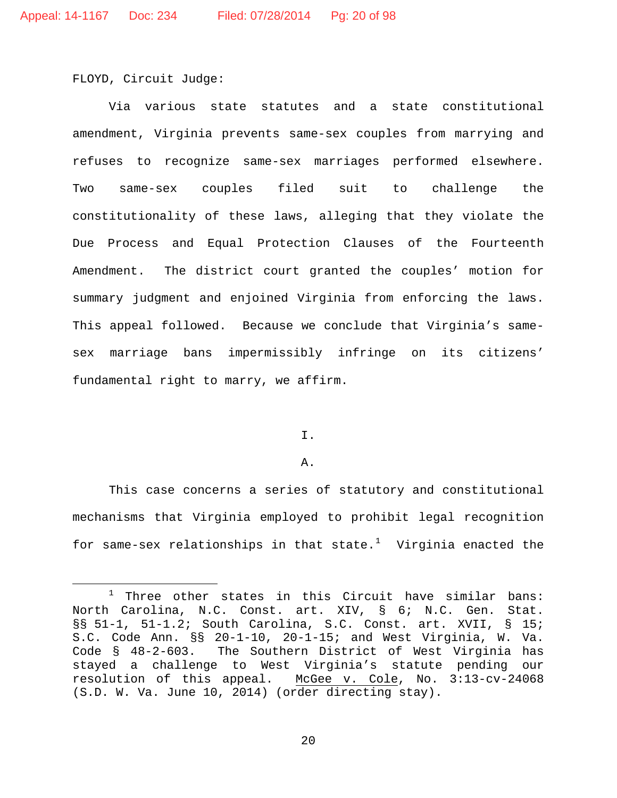FLOYD, Circuit Judge:

Via various state statutes and a state constitutional amendment, Virginia prevents same-sex couples from marrying and refuses to recognize same-sex marriages performed elsewhere. Two same-sex couples filed suit to challenge the constitutionality of these laws, alleging that they violate the Due Process and Equal Protection Clauses of the Fourteenth Amendment. The district court granted the couples' motion for summary judgment and enjoined Virginia from enforcing the laws. This appeal followed. Because we conclude that Virginia's samesex marriage bans impermissibly infringe on its citizens' fundamental right to marry, we affirm.

# I.

### A.

This case concerns a series of statutory and constitutional mechanisms that Virginia employed to prohibit legal recognition for same-sex relationships in that  ${\sf state.}^1$  ${\sf state.}^1$  Virginia enacted the

<span id="page-19-0"></span> $1$  Three other states in this Circuit have similar bans: North Carolina, N.C. Const. art. XIV, § 6; N.C. Gen. Stat. §§ 51-1, 51-1.2; South Carolina, S.C. Const. art. XVII, § 15; S.C. Code Ann. §§ 20-1-10, 20-1-15; and West Virginia, W. Va.<br>Code § 48-2-603. The Southern District of West Virginia has The Southern District of West Virginia has stayed a challenge to West Virginia's statute pending our resolution of this appeal. McGee v. Cole, No. 3:13-cv-24068 (S.D. W. Va. June 10, 2014) (order directing stay).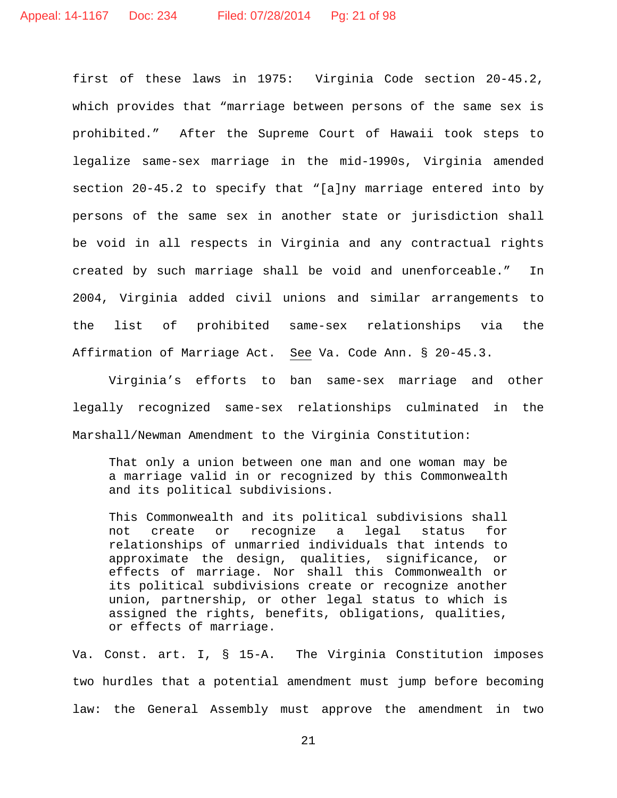first of these laws in 1975: Virginia Code section 20-45.2, which provides that "marriage between persons of the same sex is prohibited." After the Supreme Court of Hawaii took steps to legalize same-sex marriage in the mid-1990s, Virginia amended section 20-45.2 to specify that "[a]ny marriage entered into by persons of the same sex in another state or jurisdiction shall be void in all respects in Virginia and any contractual rights created by such marriage shall be void and unenforceable." In 2004, Virginia added civil unions and similar arrangements to the list of prohibited same-sex relationships via the Affirmation of Marriage Act. See Va. Code Ann. § 20-45.3.

Virginia's efforts to ban same-sex marriage and other legally recognized same-sex relationships culminated in the Marshall/Newman Amendment to the Virginia Constitution:

That only a union between one man and one woman may be a marriage valid in or recognized by this Commonwealth and its political subdivisions.

This Commonwealth and its political subdivisions shall<br>not create or recognize a legal status for not create or recognize a legal status for relationships of unmarried individuals that intends to approximate the design, qualities, significance, or effects of marriage. Nor shall this Commonwealth or its political subdivisions create or recognize another union, partnership, or other legal status to which is assigned the rights, benefits, obligations, qualities, or effects of marriage.

Va. Const. art. I, § 15-A. The Virginia Constitution imposes two hurdles that a potential amendment must jump before becoming law: the General Assembly must approve the amendment in two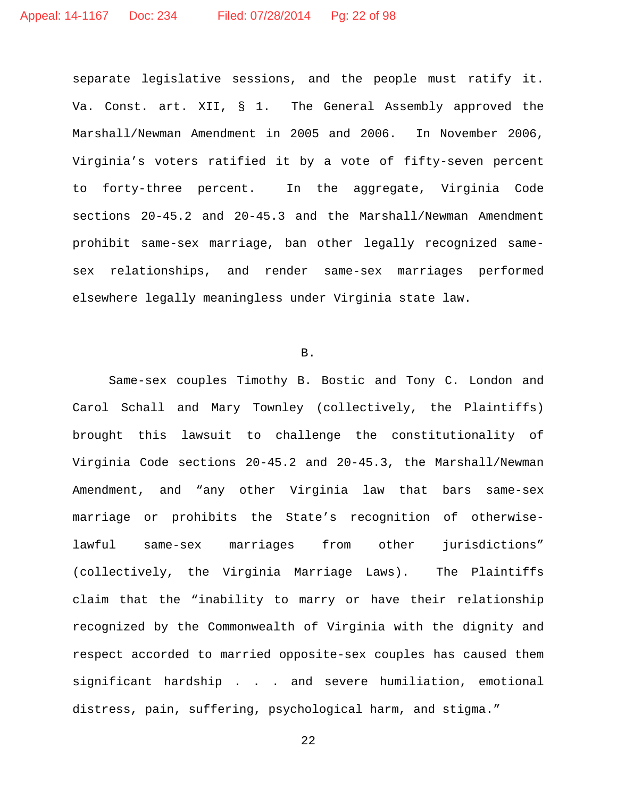separate legislative sessions, and the people must ratify it. Va. Const. art. XII, § 1. The General Assembly approved the Marshall/Newman Amendment in 2005 and 2006. In November 2006, Virginia's voters ratified it by a vote of fifty-seven percent to forty-three percent. In the aggregate, Virginia Code sections 20-45.2 and 20-45.3 and the Marshall/Newman Amendment prohibit same-sex marriage, ban other legally recognized samesex relationships, and render same-sex marriages performed elsewhere legally meaningless under Virginia state law.

### B.

Same-sex couples Timothy B. Bostic and Tony C. London and Carol Schall and Mary Townley (collectively, the Plaintiffs) brought this lawsuit to challenge the constitutionality of Virginia Code sections 20-45.2 and 20-45.3, the Marshall/Newman Amendment, and "any other Virginia law that bars same-sex marriage or prohibits the State's recognition of otherwiselawful same-sex marriages from other jurisdictions" (collectively, the Virginia Marriage Laws). The Plaintiffs claim that the "inability to marry or have their relationship recognized by the Commonwealth of Virginia with the dignity and respect accorded to married opposite-sex couples has caused them significant hardship . . . and severe humiliation, emotional distress, pain, suffering, psychological harm, and stigma."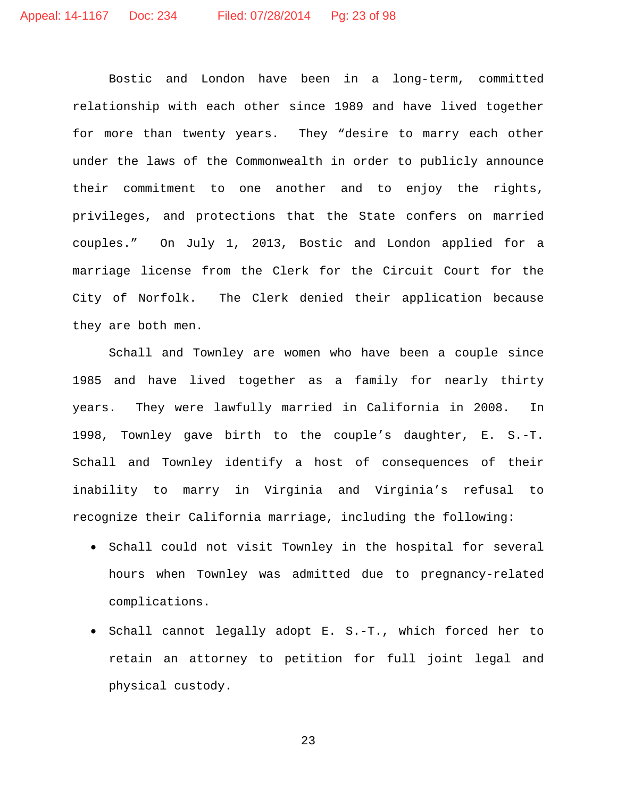Bostic and London have been in a long-term, committed relationship with each other since 1989 and have lived together for more than twenty years. They "desire to marry each other under the laws of the Commonwealth in order to publicly announce their commitment to one another and to enjoy the rights, privileges, and protections that the State confers on married couples." On July 1, 2013, Bostic and London applied for a marriage license from the Clerk for the Circuit Court for the City of Norfolk. The Clerk denied their application because they are both men.

Schall and Townley are women who have been a couple since 1985 and have lived together as a family for nearly thirty years. They were lawfully married in California in 2008. In 1998, Townley gave birth to the couple's daughter, E. S.-T. Schall and Townley identify a host of consequences of their inability to marry in Virginia and Virginia's refusal to recognize their California marriage, including the following:

- Schall could not visit Townley in the hospital for several hours when Townley was admitted due to pregnancy-related complications.
- Schall cannot legally adopt E. S.-T., which forced her to retain an attorney to petition for full joint legal and physical custody.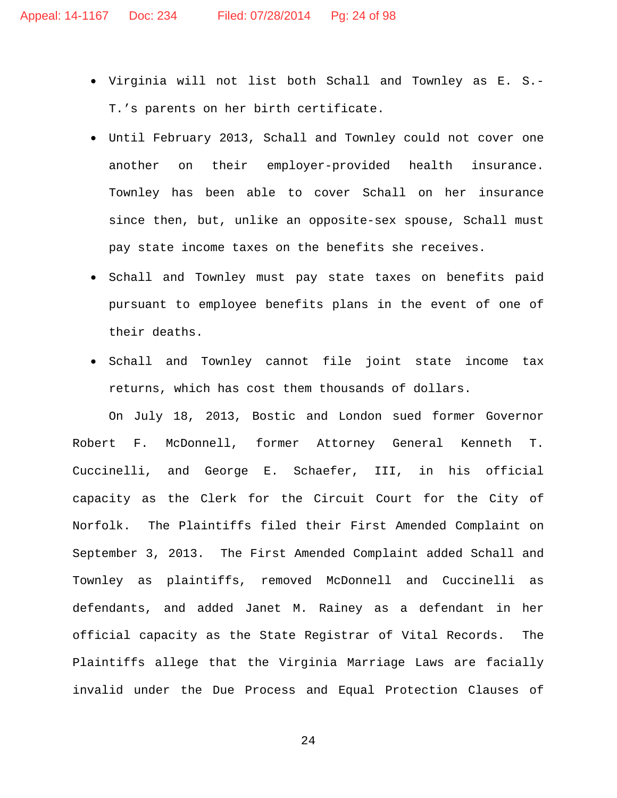- Virginia will not list both Schall and Townley as E. S.- T.'s parents on her birth certificate.
- Until February 2013, Schall and Townley could not cover one another on their employer-provided health insurance. Townley has been able to cover Schall on her insurance since then, but, unlike an opposite-sex spouse, Schall must pay state income taxes on the benefits she receives.
- Schall and Townley must pay state taxes on benefits paid pursuant to employee benefits plans in the event of one of their deaths.
- Schall and Townley cannot file joint state income tax returns, which has cost them thousands of dollars.

On July 18, 2013, Bostic and London sued former Governor Robert F. McDonnell, former Attorney General Kenneth T. Cuccinelli, and George E. Schaefer, III, in his official capacity as the Clerk for the Circuit Court for the City of Norfolk. The Plaintiffs filed their First Amended Complaint on September 3, 2013. The First Amended Complaint added Schall and Townley as plaintiffs, removed McDonnell and Cuccinelli as defendants, and added Janet M. Rainey as a defendant in her official capacity as the State Registrar of Vital Records. The Plaintiffs allege that the Virginia Marriage Laws are facially invalid under the Due Process and Equal Protection Clauses of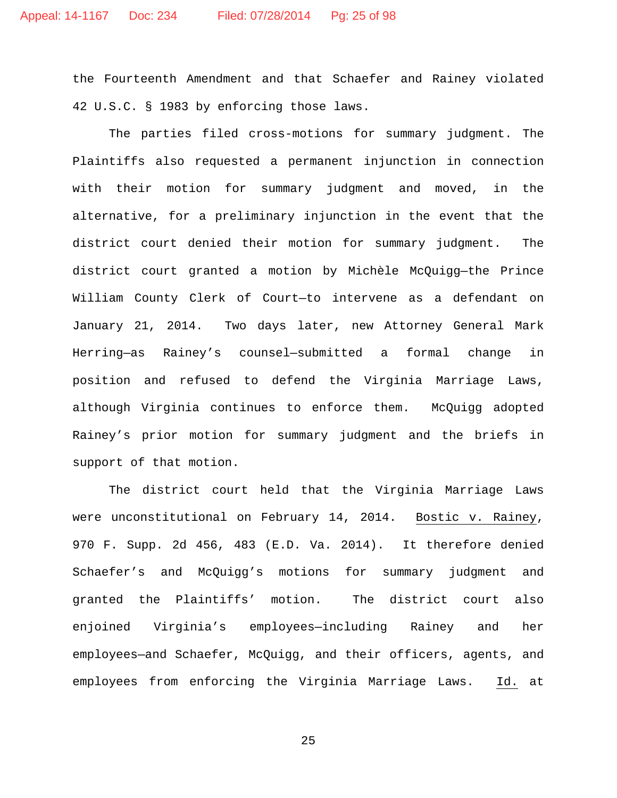the Fourteenth Amendment and that Schaefer and Rainey violated 42 U.S.C. § 1983 by enforcing those laws.

The parties filed cross-motions for summary judgment. The Plaintiffs also requested a permanent injunction in connection with their motion for summary judgment and moved, in the alternative, for a preliminary injunction in the event that the district court denied their motion for summary judgment. The district court granted a motion by Michèle McQuigg—the Prince William County Clerk of Court—to intervene as a defendant on January 21, 2014. Two days later, new Attorney General Mark Herring—as Rainey's counsel—submitted a formal change in position and refused to defend the Virginia Marriage Laws, although Virginia continues to enforce them. McQuigg adopted Rainey's prior motion for summary judgment and the briefs in support of that motion.

The district court held that the Virginia Marriage Laws were unconstitutional on February 14, 2014. Bostic v. Rainey, 970 F. Supp. 2d 456, 483 (E.D. Va. 2014). It therefore denied Schaefer's and McQuigg's motions for summary judgment and granted the Plaintiffs' motion. The district court also enjoined Virginia's employees—including Rainey and her employees—and Schaefer, McQuigg, and their officers, agents, and employees from enforcing the Virginia Marriage Laws. Id. at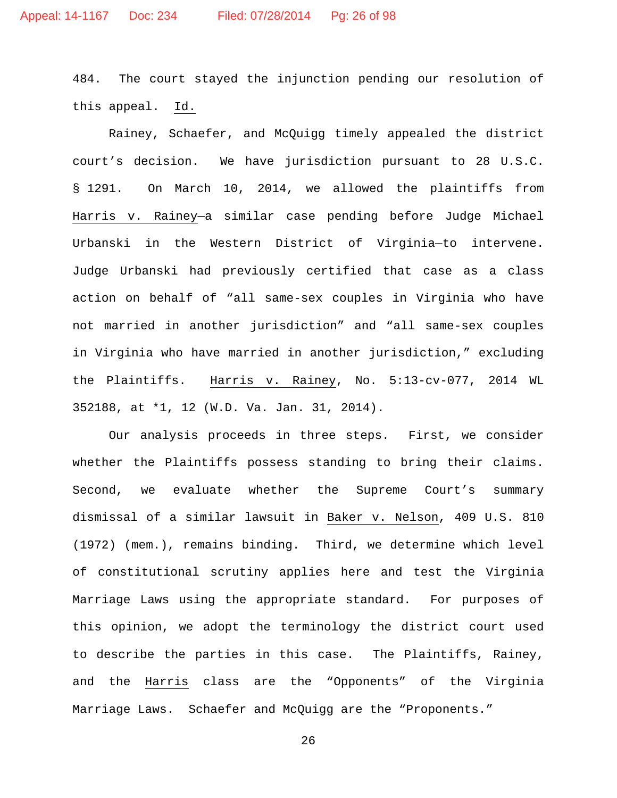484. The court stayed the injunction pending our resolution of this appeal. Id.

Rainey, Schaefer, and McQuigg timely appealed the district court's decision. We have jurisdiction pursuant to 28 U.S.C. § 1291. On March 10, 2014, we allowed the plaintiffs from Harris v. Rainey—a similar case pending before Judge Michael Urbanski in the Western District of Virginia—to intervene. Judge Urbanski had previously certified that case as a class action on behalf of "all same-sex couples in Virginia who have not married in another jurisdiction" and "all same-sex couples in Virginia who have married in another jurisdiction," excluding the Plaintiffs. Harris v. Rainey, No. 5:13-cv-077, 2014 WL 352188, at \*1, 12 (W.D. Va. Jan. 31, 2014).

Our analysis proceeds in three steps. First, we consider whether the Plaintiffs possess standing to bring their claims. Second, we evaluate whether the Supreme Court's summary dismissal of a similar lawsuit in Baker v. Nelson, 409 U.S. 810 (1972) (mem.), remains binding. Third, we determine which level of constitutional scrutiny applies here and test the Virginia Marriage Laws using the appropriate standard. For purposes of this opinion, we adopt the terminology the district court used to describe the parties in this case. The Plaintiffs, Rainey, and the Harris class are the "Opponents" of the Virginia Marriage Laws. Schaefer and McQuigg are the "Proponents."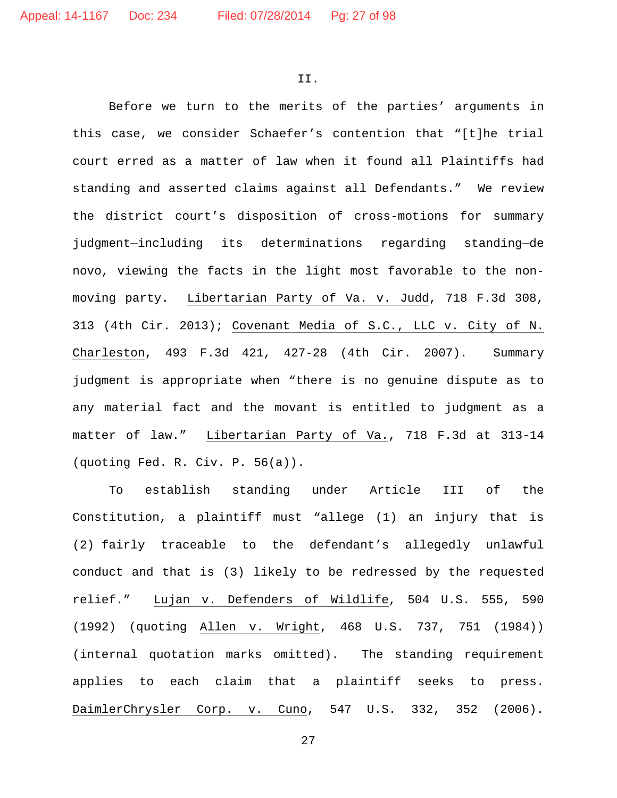II.

Before we turn to the merits of the parties' arguments in this case, we consider Schaefer's contention that "[t]he trial court erred as a matter of law when it found all Plaintiffs had standing and asserted claims against all Defendants." We review the district court's disposition of cross-motions for summary judgment—including its determinations regarding standing—de novo, viewing the facts in the light most favorable to the nonmoving party. Libertarian Party of Va. v. Judd, 718 F.3d 308, 313 (4th Cir. 2013); Covenant Media of S.C., LLC v. City of N. Charleston, 493 F.3d 421, 427-28 (4th Cir. 2007). Summary judgment is appropriate when "there is no genuine dispute as to any material fact and the movant is entitled to judgment as a matter of law." Libertarian Party of Va., 718 F.3d at 313-14 (quoting Fed. R. Civ. P. 56(a)).

To establish standing under Article III of the Constitution, a plaintiff must "allege (1) an injury that is (2) fairly traceable to the defendant's allegedly unlawful conduct and that is (3) likely to be redressed by the requested relief." Lujan v. Defenders of Wildlife, 504 U.S. 555, 590 (1992) (quoting Allen v. Wright, 468 U.S. 737, 751 (1984)) (internal quotation marks omitted). The standing requirement applies to each claim that a plaintiff seeks to press. DaimlerChrysler Corp. v. Cuno, 547 U.S. 332, 352 (2006).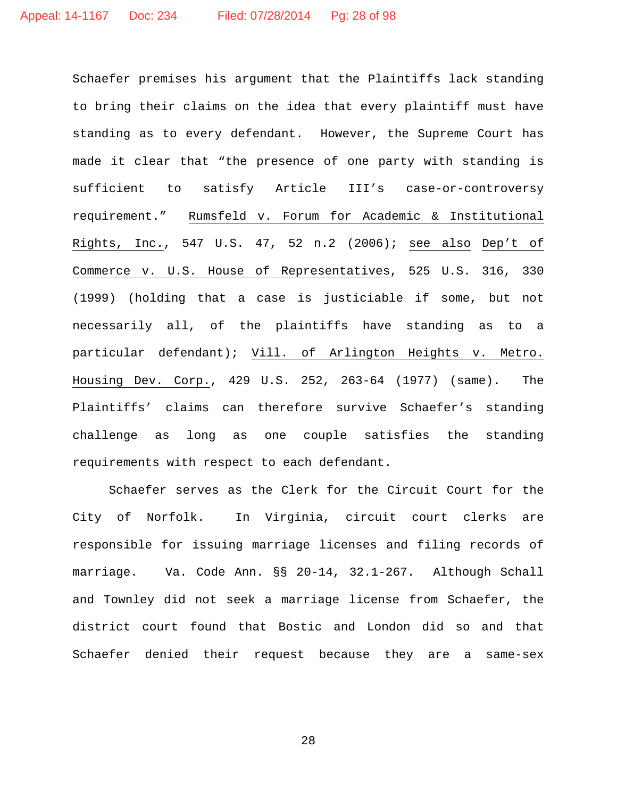Schaefer premises his argument that the Plaintiffs lack standing to bring their claims on the idea that every plaintiff must have standing as to every defendant. However, the Supreme Court has made it clear that "the presence of one party with standing is sufficient to satisfy Article III's case-or-controversy requirement." Rumsfeld v. Forum for Academic & Institutional Rights, Inc., 547 U.S. 47, 52 n.2 (2006); see also Dep't of Commerce v. U.S. House of Representatives, 525 U.S. 316, 330 (1999) (holding that a case is justiciable if some, but not necessarily all, of the plaintiffs have standing as to a particular defendant); Vill. of Arlington Heights v. Metro. Housing Dev. Corp., 429 U.S. 252, 263-64 (1977) (same). The Plaintiffs' claims can therefore survive Schaefer's standing challenge as long as one couple satisfies the standing requirements with respect to each defendant.

Schaefer serves as the Clerk for the Circuit Court for the City of Norfolk. In Virginia, circuit court clerks are responsible for issuing marriage licenses and filing records of marriage. Va. Code Ann. §§ 20-14, 32.1-267. Although Schall and Townley did not seek a marriage license from Schaefer, the district court found that Bostic and London did so and that Schaefer denied their request because they are a same-sex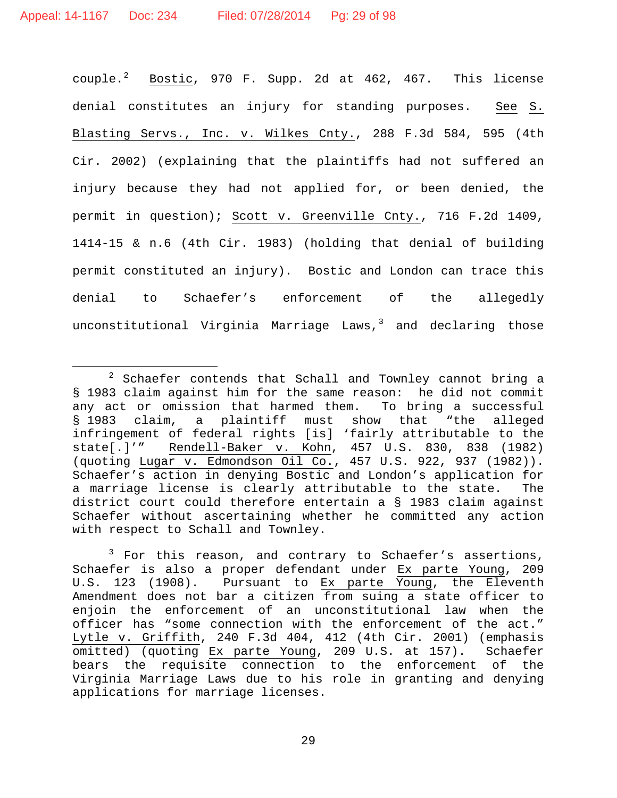couple.<sup>[2](#page-28-0)</sup> Bostic, 970 F. Supp. 2d at 462, 467. This license denial constitutes an injury for standing purposes. See S. Blasting Servs., Inc. v. Wilkes Cnty., 288 F.3d 584, 595 (4th Cir. 2002) (explaining that the plaintiffs had not suffered an injury because they had not applied for, or been denied, the permit in question); Scott v. Greenville Cnty., 716 F.2d 1409, 1414-15 & n.6 (4th Cir. 1983) (holding that denial of building permit constituted an injury). Bostic and London can trace this denial to Schaefer's enforcement of the allegedly unconstitutional Virginia Marriage Laws, $3$  and declaring those

<span id="page-28-0"></span> <sup>2</sup> Schaefer contends that Schall and Townley cannot bring a § 1983 claim against him for the same reason: he did not commit any act or omission that harmed them. To bring a successful<br>§ 1983 claim, a plaintiff must show that "the alleged § 1983 claim, a plaintiff must show that infringement of federal rights [is] 'fairly attributable to the state[.]'" Rendell-Baker v. Kohn, 457 U.S. 830, 838 (1982) (quoting Lugar v. Edmondson Oil Co., 457 U.S. 922, 937 (1982)). Schaefer's action in denying Bostic and London's application for a marriage license is clearly attributable to the state. The district court could therefore entertain a § 1983 claim against Schaefer without ascertaining whether he committed any action with respect to Schall and Townley.

<span id="page-28-1"></span> $3$  For this reason, and contrary to Schaefer's assertions, Schaefer is also a proper defendant under Ex parte Young, 209 U.S. 123 (1908). Pursuant to Ex parte Young, the Eleventh Amendment does not bar a citizen from suing a state officer to enjoin the enforcement of an unconstitutional law when the officer has "some connection with the enforcement of the act." Lytle v. Griffith, 240 F.3d 404, 412 (4th Cir. 2001) (emphasis omitted) (quoting Ex parte Young, 209 U.S. at 157). Schaefer bears the requisite connection to the enforcement of the Virginia Marriage Laws due to his role in granting and denying applications for marriage licenses.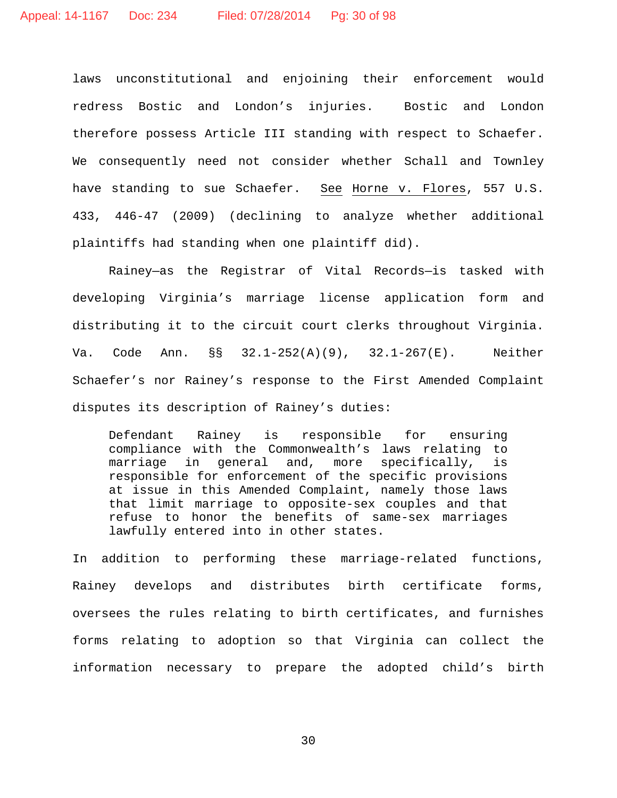laws unconstitutional and enjoining their enforcement would redress Bostic and London's injuries. Bostic and London therefore possess Article III standing with respect to Schaefer. We consequently need not consider whether Schall and Townley have standing to sue Schaefer. See Horne v. Flores, 557 U.S. 433, 446-47 (2009) (declining to analyze whether additional plaintiffs had standing when one plaintiff did).

Rainey—as the Registrar of Vital Records—is tasked with developing Virginia's marriage license application form and distributing it to the circuit court clerks throughout Virginia. Va. Code Ann. §§ 32.1-252(A)(9), 32.1-267(E). Neither Schaefer's nor Rainey's response to the First Amended Complaint disputes its description of Rainey's duties:

Defendant Rainey is responsible for ensuring compliance with the Commonwealth's laws relating to marriage in general and, more specifically, is responsible for enforcement of the specific provisions at issue in this Amended Complaint, namely those laws that limit marriage to opposite-sex couples and that refuse to honor the benefits of same-sex marriages lawfully entered into in other states.

In addition to performing these marriage-related functions, Rainey develops and distributes birth certificate forms, oversees the rules relating to birth certificates, and furnishes forms relating to adoption so that Virginia can collect the information necessary to prepare the adopted child's birth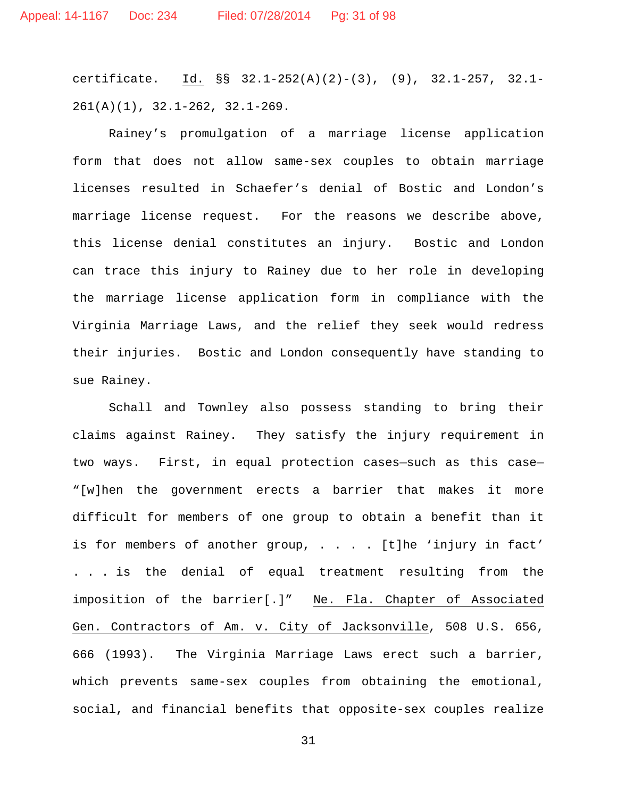certificate. Id. §§ 32.1-252(A)(2)-(3), (9), 32.1-257, 32.1- 261(A)(1), 32.1-262, 32.1-269.

Rainey's promulgation of a marriage license application form that does not allow same-sex couples to obtain marriage licenses resulted in Schaefer's denial of Bostic and London's marriage license request. For the reasons we describe above, this license denial constitutes an injury. Bostic and London can trace this injury to Rainey due to her role in developing the marriage license application form in compliance with the Virginia Marriage Laws, and the relief they seek would redress their injuries. Bostic and London consequently have standing to sue Rainey.

Schall and Townley also possess standing to bring their claims against Rainey. They satisfy the injury requirement in two ways. First, in equal protection cases—such as this case— "[w]hen the government erects a barrier that makes it more difficult for members of one group to obtain a benefit than it is for members of another group, . . . . [t]he 'injury in fact' . . . is the denial of equal treatment resulting from the imposition of the barrier[.]" Ne. Fla. Chapter of Associated Gen. Contractors of Am. v. City of Jacksonville, 508 U.S. 656, 666 (1993). The Virginia Marriage Laws erect such a barrier, which prevents same-sex couples from obtaining the emotional, social, and financial benefits that opposite-sex couples realize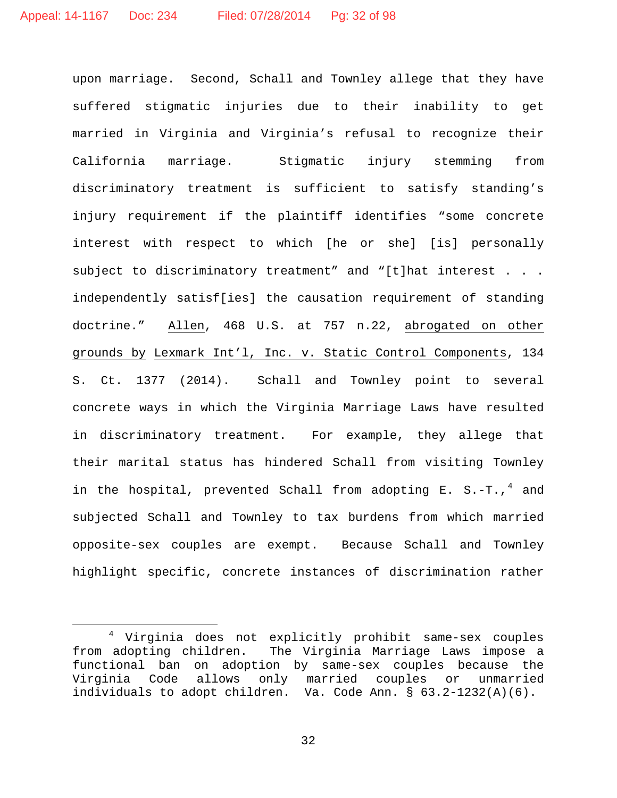upon marriage. Second, Schall and Townley allege that they have suffered stigmatic injuries due to their inability to get married in Virginia and Virginia's refusal to recognize their California marriage. Stigmatic injury stemming from discriminatory treatment is sufficient to satisfy standing's injury requirement if the plaintiff identifies "some concrete interest with respect to which [he or she] [is] personally subject to discriminatory treatment" and "[t]hat interest . . . independently satisf[ies] the causation requirement of standing doctrine." Allen, 468 U.S. at 757 n.22, abrogated on other grounds by Lexmark Int'l, Inc. v. Static Control Components, 134 S. Ct. 1377 (2014). Schall and Townley point to several concrete ways in which the Virginia Marriage Laws have resulted in discriminatory treatment. For example, they allege that their marital status has hindered Schall from visiting Townley in the hospital, prevented Schall from adopting E. S.-T.,<sup>[4](#page-31-0)</sup> and subjected Schall and Townley to tax burdens from which married opposite-sex couples are exempt. Because Schall and Townley highlight specific, concrete instances of discrimination rather

<span id="page-31-0"></span><sup>&</sup>lt;sup>4</sup> Virginia does not explicitly prohibit same-sex couples<br>from adopting children. The Virginia Marriage Laws impose a The Virginia Marriage Laws impose a functional ban on adoption by same-sex couples because the Virginia Code allows only married couples or unmarried individuals to adopt children. Va. Code Ann. § 63.2-1232(A)(6).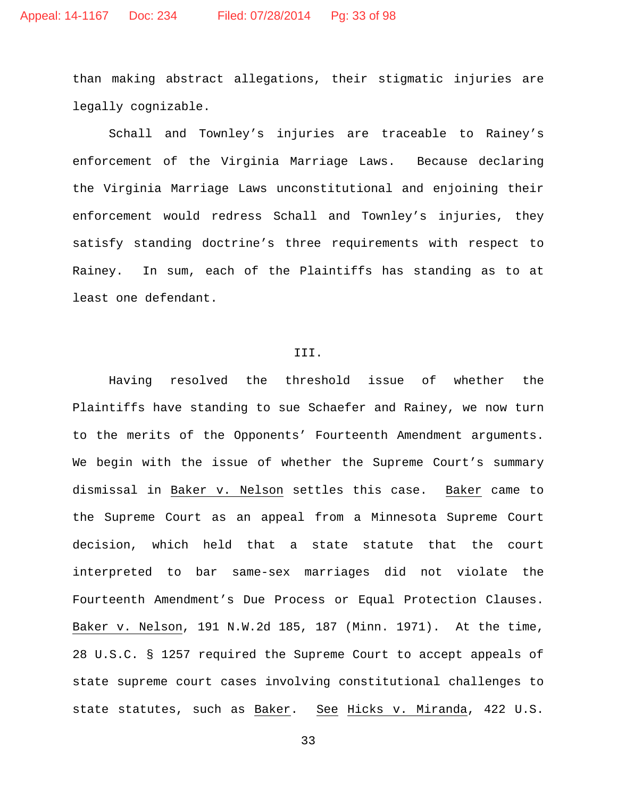than making abstract allegations, their stigmatic injuries are legally cognizable.

Schall and Townley's injuries are traceable to Rainey's enforcement of the Virginia Marriage Laws. Because declaring the Virginia Marriage Laws unconstitutional and enjoining their enforcement would redress Schall and Townley's injuries, they satisfy standing doctrine's three requirements with respect to Rainey. In sum, each of the Plaintiffs has standing as to at least one defendant.

### III.

Having resolved the threshold issue of whether the Plaintiffs have standing to sue Schaefer and Rainey, we now turn to the merits of the Opponents' Fourteenth Amendment arguments. We begin with the issue of whether the Supreme Court's summary dismissal in Baker v. Nelson settles this case. Baker came to the Supreme Court as an appeal from a Minnesota Supreme Court decision, which held that a state statute that the court interpreted to bar same-sex marriages did not violate the Fourteenth Amendment's Due Process or Equal Protection Clauses. Baker v. Nelson, 191 N.W.2d 185, 187 (Minn. 1971). At the time, 28 U.S.C. § 1257 required the Supreme Court to accept appeals of state supreme court cases involving constitutional challenges to state statutes, such as Baker. See Hicks v. Miranda, 422 U.S.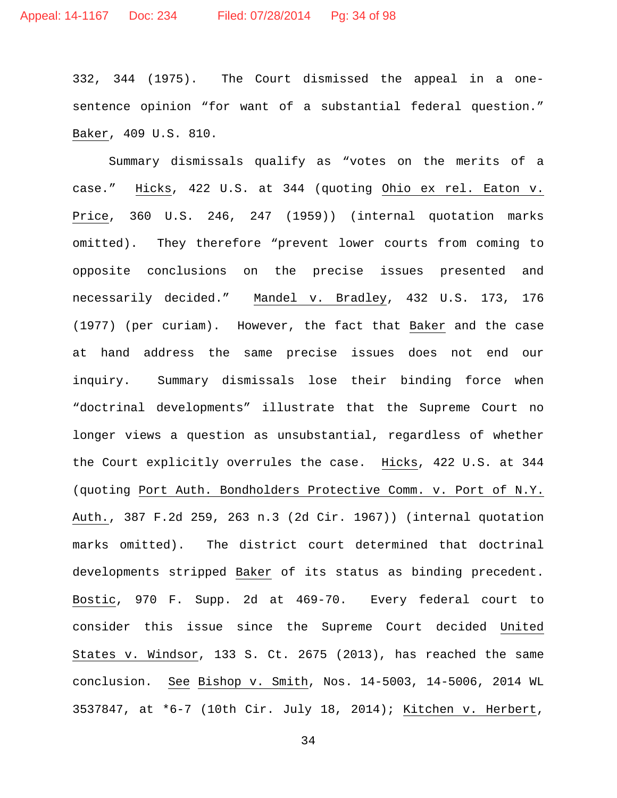332, 344 (1975). The Court dismissed the appeal in a onesentence opinion "for want of a substantial federal question." Baker, 409 U.S. 810.

Summary dismissals qualify as "votes on the merits of a case." Hicks, 422 U.S. at 344 (quoting Ohio ex rel. Eaton v. Price, 360 U.S. 246, 247 (1959)) (internal quotation marks omitted). They therefore "prevent lower courts from coming to opposite conclusions on the precise issues presented and necessarily decided." Mandel v. Bradley, 432 U.S. 173, 176 (1977) (per curiam). However, the fact that Baker and the case at hand address the same precise issues does not end our inquiry. Summary dismissals lose their binding force when "doctrinal developments" illustrate that the Supreme Court no longer views a question as unsubstantial, regardless of whether the Court explicitly overrules the case. Hicks, 422 U.S. at 344 (quoting Port Auth. Bondholders Protective Comm. v. Port of N.Y. Auth., 387 F.2d 259, 263 n.3 (2d Cir. 1967)) (internal quotation marks omitted). The district court determined that doctrinal developments stripped Baker of its status as binding precedent. Bostic, 970 F. Supp. 2d at 469-70. Every federal court to consider this issue since the Supreme Court decided United States v. Windsor, 133 S. Ct. 2675 (2013), has reached the same conclusion. See Bishop v. Smith, Nos. 14-5003, 14-5006, 2014 WL 3537847, at \*6-7 (10th Cir. July 18, 2014); Kitchen v. Herbert,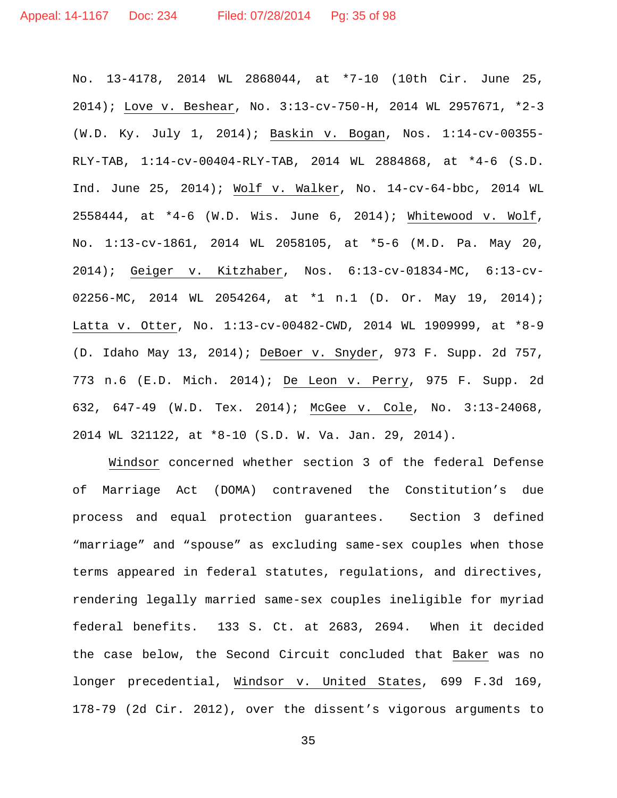No. 13-4178, 2014 WL 2868044, at \*7-10 (10th Cir. June 25, 2014); Love v. Beshear, No. 3:13-cv-750-H, 2014 WL 2957671, \*2-3 (W.D. Ky. July 1, 2014); Baskin v. Bogan, Nos. 1:14-cv-00355- RLY-TAB, 1:14-cv-00404-RLY-TAB, 2014 WL 2884868, at \*4-6 (S.D. Ind. June 25, 2014); Wolf v. Walker, No. 14-cv-64-bbc, 2014 WL 2558444, at \*4-6 (W.D. Wis. June 6, 2014); Whitewood v. Wolf, No. 1:13-cv-1861, 2014 WL 2058105, at \*5-6 (M.D. Pa. May 20, 2014); Geiger v. Kitzhaber, Nos. 6:13-cv-01834-MC, 6:13-cv-02256-MC, 2014 WL 2054264, at \*1 n.1 (D. Or. May 19, 2014); Latta v. Otter, No. 1:13-cv-00482-CWD, 2014 WL 1909999, at \*8-9 (D. Idaho May 13, 2014); DeBoer v. Snyder, 973 F. Supp. 2d 757, 773 n.6 (E.D. Mich. 2014); De Leon v. Perry, 975 F. Supp. 2d 632, 647-49 (W.D. Tex. 2014); McGee v. Cole, No. 3:13-24068, 2014 WL 321122, at \*8-10 (S.D. W. Va. Jan. 29, 2014).

Windsor concerned whether section 3 of the federal Defense of Marriage Act (DOMA) contravened the Constitution's due process and equal protection guarantees. Section 3 defined "marriage" and "spouse" as excluding same-sex couples when those terms appeared in federal statutes, regulations, and directives, rendering legally married same-sex couples ineligible for myriad federal benefits. 133 S. Ct. at 2683, 2694. When it decided the case below, the Second Circuit concluded that Baker was no longer precedential, Windsor v. United States, 699 F.3d 169, 178-79 (2d Cir. 2012), over the dissent's vigorous arguments to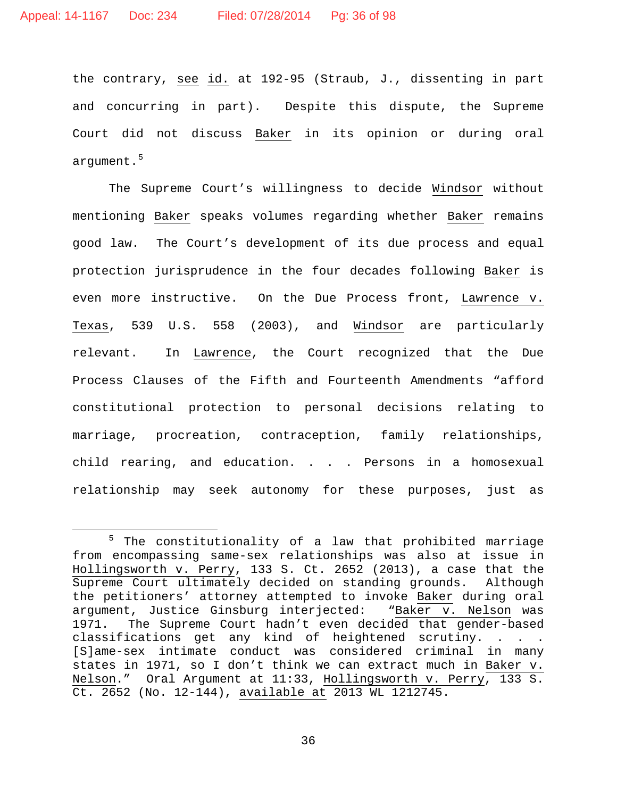the contrary, see id. at 192-95 (Straub, J., dissenting in part and concurring in part). Despite this dispute, the Supreme Court did not discuss Baker in its opinion or during oral argument.<sup>[5](#page-35-0)</sup>

The Supreme Court's willingness to decide Windsor without mentioning Baker speaks volumes regarding whether Baker remains good law. The Court's development of its due process and equal protection jurisprudence in the four decades following Baker is even more instructive. On the Due Process front, Lawrence v. Texas, 539 U.S. 558 (2003), and Windsor are particularly relevant. In Lawrence, the Court recognized that the Due Process Clauses of the Fifth and Fourteenth Amendments "afford constitutional protection to personal decisions relating to marriage, procreation, contraception, family relationships, child rearing, and education. . . . Persons in a homosexual relationship may seek autonomy for these purposes, just as

<span id="page-35-0"></span> <sup>5</sup> The constitutionality of a law that prohibited marriage from encompassing same-sex relationships was also at issue in Hollingsworth v. Perry, 133 S. Ct. 2652 (2013), a case that the Supreme Court ultimately decided on standing grounds. Although the petitioners' attorney attempted to invoke Baker during oral<br>argument, Justice Ginsburg interjected: "Baker v. Nelson was argument, Justice Ginsburg interjected: 1971. The Supreme Court hadn't even decided that gender-based classifications get any kind of heightened scrutiny. . . . [S]ame-sex intimate conduct was considered criminal in many states in 1971, so I don't think we can extract much in Baker v. Nelson." Oral Argument at 11:33, Hollingsworth v. Perry, 133 S. Ct. 2652 (No. 12-144), available at 2013 WL 1212745.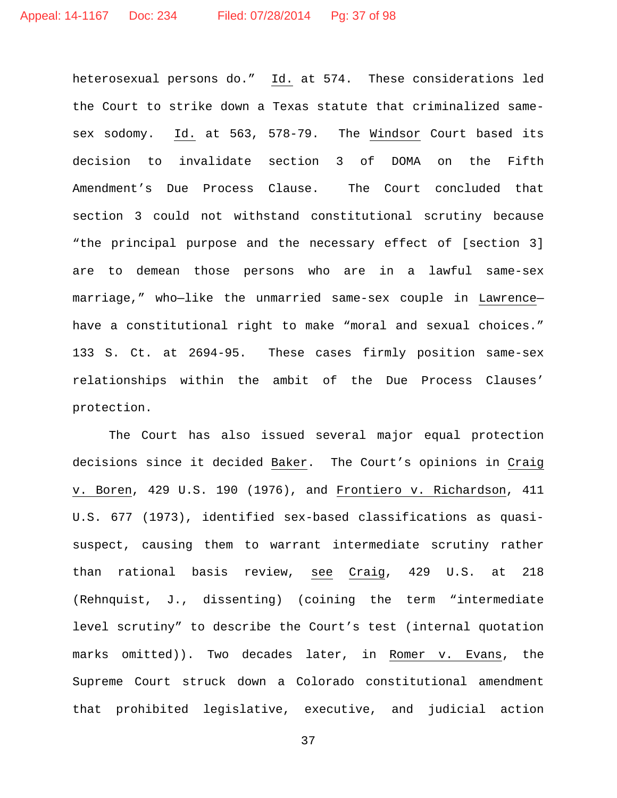heterosexual persons do." Id. at 574. These considerations led the Court to strike down a Texas statute that criminalized samesex sodomy. Id. at 563, 578-79. The Windsor Court based its decision to invalidate section 3 of DOMA on the Fifth Amendment's Due Process Clause. The Court concluded that section 3 could not withstand constitutional scrutiny because "the principal purpose and the necessary effect of [section 3] are to demean those persons who are in a lawful same-sex marriage," who—like the unmarried same-sex couple in Lawrence have a constitutional right to make "moral and sexual choices." 133 S. Ct. at 2694-95. These cases firmly position same-sex relationships within the ambit of the Due Process Clauses' protection.

The Court has also issued several major equal protection decisions since it decided Baker. The Court's opinions in Craig v. Boren, 429 U.S. 190 (1976), and Frontiero v. Richardson, 411 U.S. 677 (1973), identified sex-based classifications as quasisuspect, causing them to warrant intermediate scrutiny rather than rational basis review, see Craig, 429 U.S. at 218 (Rehnquist, J., dissenting) (coining the term "intermediate level scrutiny" to describe the Court's test (internal quotation marks omitted)). Two decades later, in Romer v. Evans, the Supreme Court struck down a Colorado constitutional amendment that prohibited legislative, executive, and judicial action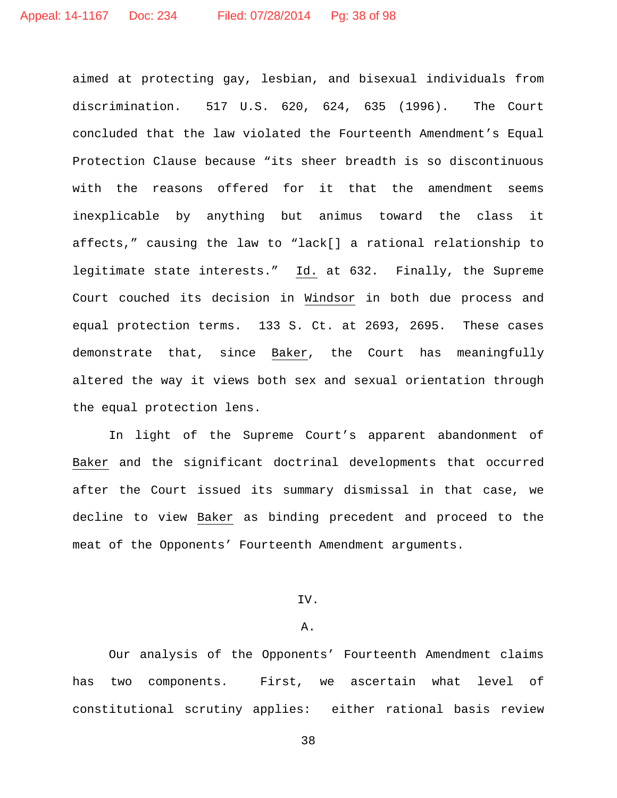aimed at protecting gay, lesbian, and bisexual individuals from discrimination. 517 U.S. 620, 624, 635 (1996). The Court concluded that the law violated the Fourteenth Amendment's Equal Protection Clause because "its sheer breadth is so discontinuous with the reasons offered for it that the amendment seems inexplicable by anything but animus toward the class it affects," causing the law to "lack[] a rational relationship to legitimate state interests." Id. at 632. Finally, the Supreme Court couched its decision in Windsor in both due process and equal protection terms. 133 S. Ct. at 2693, 2695. These cases demonstrate that, since Baker, the Court has meaningfully altered the way it views both sex and sexual orientation through the equal protection lens.

In light of the Supreme Court's apparent abandonment of Baker and the significant doctrinal developments that occurred after the Court issued its summary dismissal in that case, we decline to view Baker as binding precedent and proceed to the meat of the Opponents' Fourteenth Amendment arguments.

## IV.

### A.

Our analysis of the Opponents' Fourteenth Amendment claims has two components. First, we ascertain what level of constitutional scrutiny applies: either rational basis review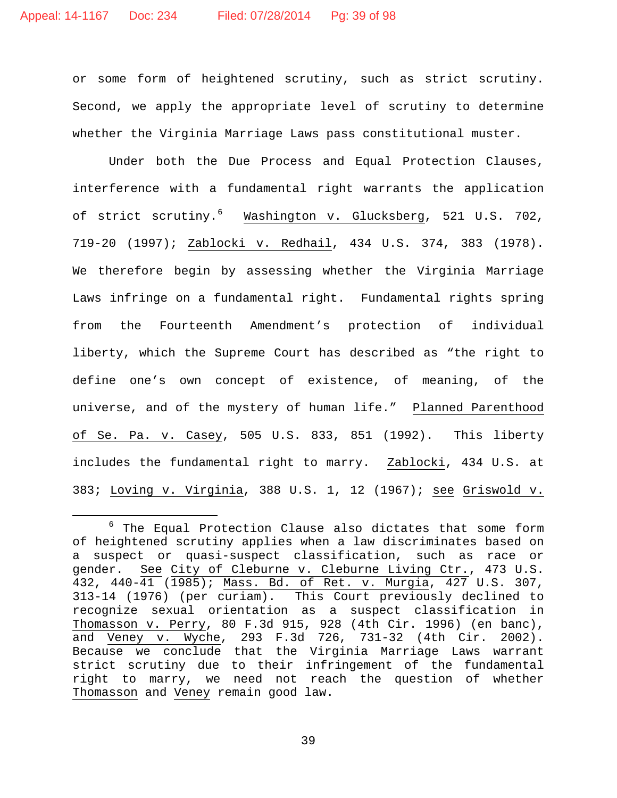or some form of heightened scrutiny, such as strict scrutiny. Second, we apply the appropriate level of scrutiny to determine whether the Virginia Marriage Laws pass constitutional muster.

Under both the Due Process and Equal Protection Clauses, interference with a fundamental right warrants the application of strict scrutiny.<sup>[6](#page-38-0)</sup> Washington v. Glucksberg, 521 U.S. 702, 719-20 (1997); Zablocki v. Redhail, 434 U.S. 374, 383 (1978). We therefore begin by assessing whether the Virginia Marriage Laws infringe on a fundamental right. Fundamental rights spring from the Fourteenth Amendment's protection of individual liberty, which the Supreme Court has described as "the right to define one's own concept of existence, of meaning, of the universe, and of the mystery of human life." Planned Parenthood of Se. Pa. v. Casey, 505 U.S. 833, 851 (1992). This liberty includes the fundamental right to marry. Zablocki, 434 U.S. at 383; Loving v. Virginia, 388 U.S. 1, 12 (1967); see Griswold v.

<span id="page-38-0"></span> $6$  The Equal Protection Clause also dictates that some form of heightened scrutiny applies when a law discriminates based on a suspect or quasi-suspect classification, such as race or gender. See City of Cleburne v. Cleburne Living Ctr., 473 U.S. 432, 440-41 (1985); Mass. Bd. of Ret. v. Murgia, 427 U.S. 307, 313-14 (1976) (per curiam). This Court previously declined to recognize sexual orientation as a suspect classification in Thomasson v. Perry, 80 F.3d 915, 928 (4th Cir. 1996) (en banc), and Veney v. Wyche, 293 F.3d 726, 731-32 (4th Cir. 2002). Because we conclude that the Virginia Marriage Laws warrant strict scrutiny due to their infringement of the fundamental right to marry, we need not reach the question of whether Thomasson and Veney remain good law.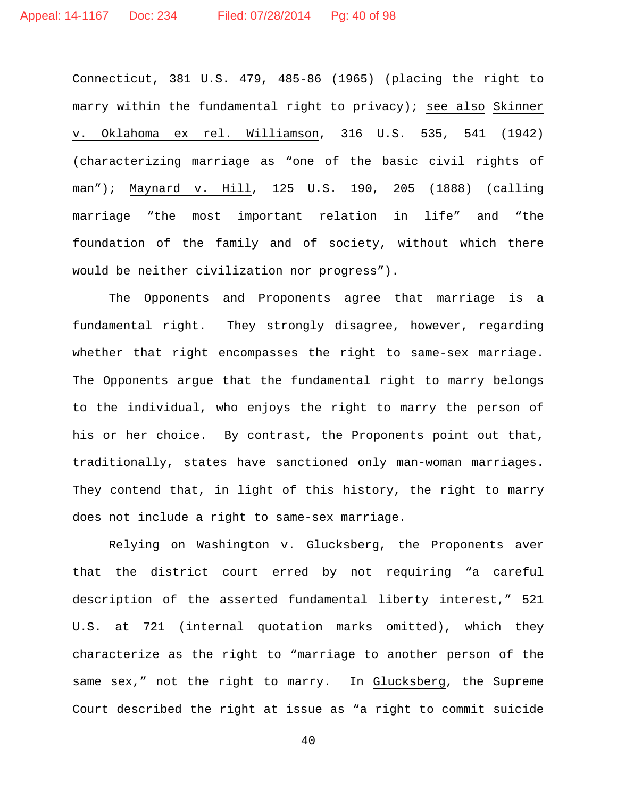Connecticut, 381 U.S. 479, 485-86 (1965) (placing the right to marry within the fundamental right to privacy); see also Skinner v. Oklahoma ex rel. Williamson, 316 U.S. 535, 541 (1942) (characterizing marriage as "one of the basic civil rights of man"); Maynard v. Hill, 125 U.S. 190, 205 (1888) (calling marriage "the most important relation in life" and "the foundation of the family and of society, without which there would be neither civilization nor progress").

The Opponents and Proponents agree that marriage is a fundamental right. They strongly disagree, however, regarding whether that right encompasses the right to same-sex marriage. The Opponents argue that the fundamental right to marry belongs to the individual, who enjoys the right to marry the person of his or her choice. By contrast, the Proponents point out that, traditionally, states have sanctioned only man-woman marriages. They contend that, in light of this history, the right to marry does not include a right to same-sex marriage.

Relying on Washington v. Glucksberg, the Proponents aver that the district court erred by not requiring "a careful description of the asserted fundamental liberty interest," 521 U.S. at 721 (internal quotation marks omitted), which they characterize as the right to "marriage to another person of the same sex," not the right to marry. In Glucksberg, the Supreme Court described the right at issue as "a right to commit suicide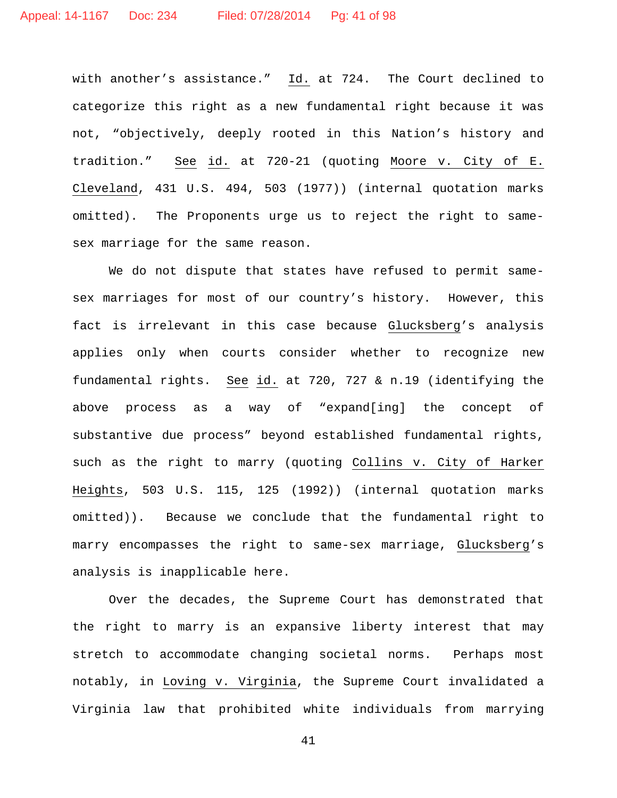with another's assistance." Id. at 724. The Court declined to categorize this right as a new fundamental right because it was not, "objectively, deeply rooted in this Nation's history and tradition." See id. at 720-21 (quoting Moore v. City of E. Cleveland, 431 U.S. 494, 503 (1977)) (internal quotation marks omitted). The Proponents urge us to reject the right to samesex marriage for the same reason.

We do not dispute that states have refused to permit samesex marriages for most of our country's history. However, this fact is irrelevant in this case because Glucksberg's analysis applies only when courts consider whether to recognize new fundamental rights. See id. at 720, 727 & n.19 (identifying the above process as a way of "expand[ing] the concept of substantive due process" beyond established fundamental rights, such as the right to marry (quoting Collins v. City of Harker Heights, 503 U.S. 115, 125 (1992)) (internal quotation marks omitted)). Because we conclude that the fundamental right to marry encompasses the right to same-sex marriage, Glucksberg's analysis is inapplicable here.

Over the decades, the Supreme Court has demonstrated that the right to marry is an expansive liberty interest that may stretch to accommodate changing societal norms. Perhaps most notably, in Loving v. Virginia, the Supreme Court invalidated a Virginia law that prohibited white individuals from marrying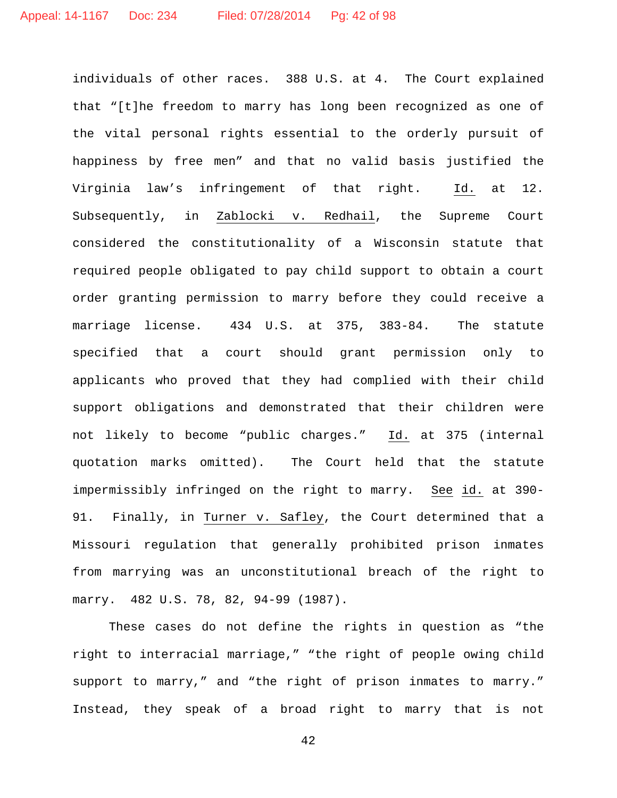individuals of other races. 388 U.S. at 4. The Court explained that "[t]he freedom to marry has long been recognized as one of the vital personal rights essential to the orderly pursuit of happiness by free men" and that no valid basis justified the Virginia law's infringement of that right. Id. at 12. Subsequently, in Zablocki v. Redhail, the Supreme Court considered the constitutionality of a Wisconsin statute that required people obligated to pay child support to obtain a court order granting permission to marry before they could receive a marriage license. 434 U.S. at 375, 383-84. The statute specified that a court should grant permission only to applicants who proved that they had complied with their child support obligations and demonstrated that their children were not likely to become "public charges." Id. at 375 (internal quotation marks omitted). The Court held that the statute impermissibly infringed on the right to marry. See id. at 390- 91. Finally, in Turner v. Safley, the Court determined that a Missouri regulation that generally prohibited prison inmates from marrying was an unconstitutional breach of the right to marry. 482 U.S. 78, 82, 94-99 (1987).

These cases do not define the rights in question as "the right to interracial marriage," "the right of people owing child support to marry," and "the right of prison inmates to marry." Instead, they speak of a broad right to marry that is not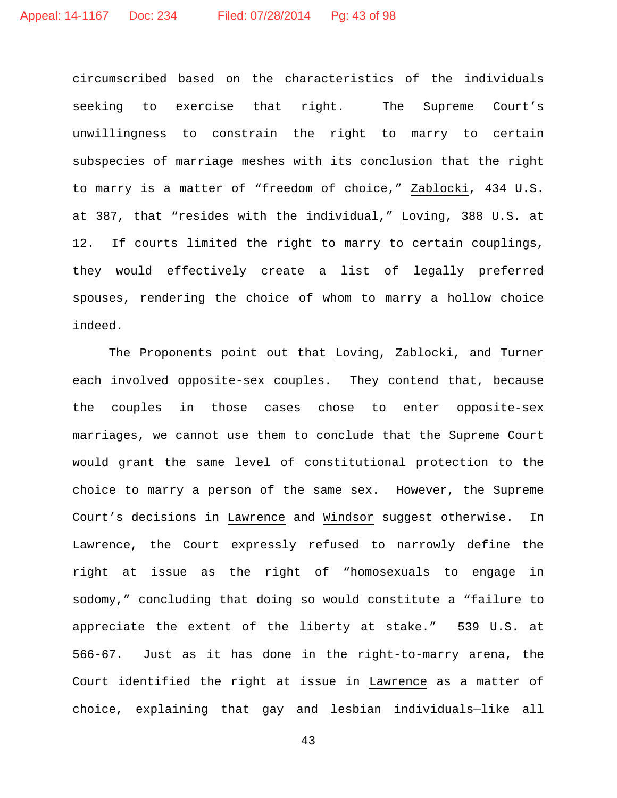circumscribed based on the characteristics of the individuals seeking to exercise that right. The Supreme Court's unwillingness to constrain the right to marry to certain subspecies of marriage meshes with its conclusion that the right to marry is a matter of "freedom of choice," Zablocki, 434 U.S. at 387, that "resides with the individual," Loving, 388 U.S. at 12. If courts limited the right to marry to certain couplings, they would effectively create a list of legally preferred spouses, rendering the choice of whom to marry a hollow choice indeed.

The Proponents point out that Loving, Zablocki, and Turner each involved opposite-sex couples. They contend that, because the couples in those cases chose to enter opposite-sex marriages, we cannot use them to conclude that the Supreme Court would grant the same level of constitutional protection to the choice to marry a person of the same sex. However, the Supreme Court's decisions in Lawrence and Windsor suggest otherwise. In Lawrence, the Court expressly refused to narrowly define the right at issue as the right of "homosexuals to engage in sodomy," concluding that doing so would constitute a "failure to appreciate the extent of the liberty at stake." 539 U.S. at 566-67. Just as it has done in the right-to-marry arena, the Court identified the right at issue in Lawrence as a matter of choice, explaining that gay and lesbian individuals—like all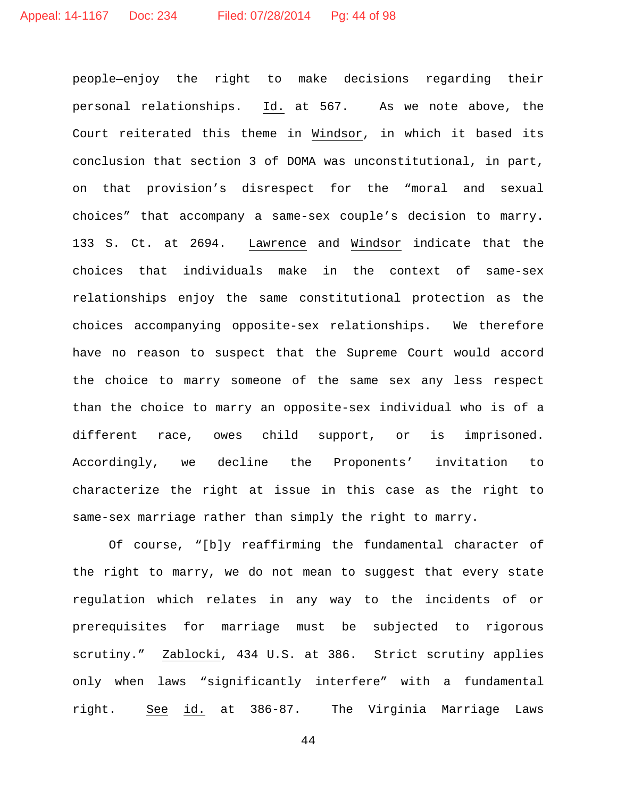people—enjoy the right to make decisions regarding their personal relationships. Id. at 567. As we note above, the Court reiterated this theme in Windsor, in which it based its conclusion that section 3 of DOMA was unconstitutional, in part, on that provision's disrespect for the "moral and sexual choices" that accompany a same-sex couple's decision to marry. 133 S. Ct. at 2694. Lawrence and Windsor indicate that the choices that individuals make in the context of same-sex relationships enjoy the same constitutional protection as the choices accompanying opposite-sex relationships. We therefore have no reason to suspect that the Supreme Court would accord the choice to marry someone of the same sex any less respect than the choice to marry an opposite-sex individual who is of a different race, owes child support, or is imprisoned. Accordingly, we decline the Proponents' invitation to characterize the right at issue in this case as the right to same-sex marriage rather than simply the right to marry.

Of course, "[b]y reaffirming the fundamental character of the right to marry, we do not mean to suggest that every state regulation which relates in any way to the incidents of or prerequisites for marriage must be subjected to rigorous scrutiny." Zablocki, 434 U.S. at 386. Strict scrutiny applies only when laws "significantly interfere" with a fundamental right. See id. at 386-87. The Virginia Marriage Laws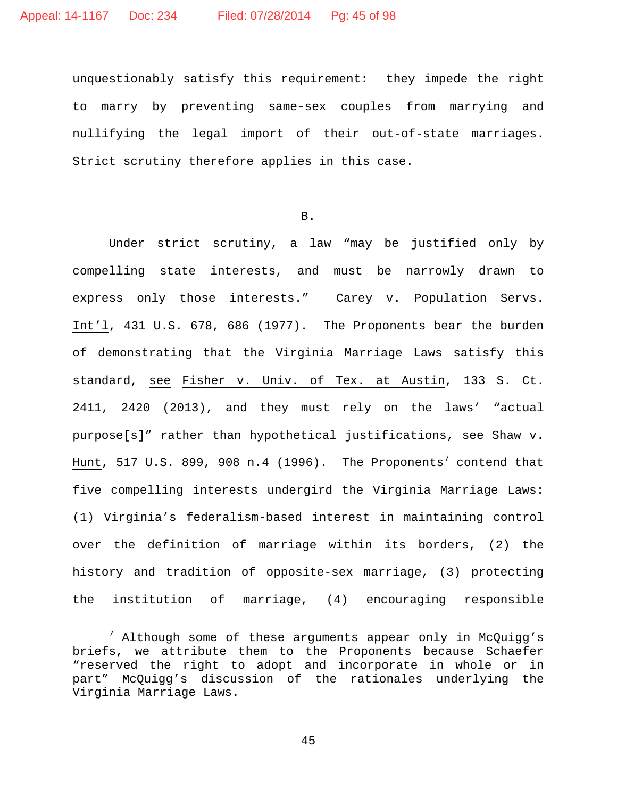unquestionably satisfy this requirement: they impede the right to marry by preventing same-sex couples from marrying and nullifying the legal import of their out-of-state marriages. Strict scrutiny therefore applies in this case.

B.

Under strict scrutiny, a law "may be justified only by compelling state interests, and must be narrowly drawn to express only those interests." Carey v. Population Servs. Int'l, 431 U.S. 678, 686 (1977). The Proponents bear the burden of demonstrating that the Virginia Marriage Laws satisfy this standard, see Fisher v. Univ. of Tex. at Austin, 133 S. Ct. 2411, 2420 (2013), and they must rely on the laws' "actual purpose[s]" rather than hypothetical justifications, see Shaw v. Hunt, 51[7](#page-44-0) U.S. 899, 908 n.4 (1996). The Proponents<sup>7</sup> contend that five compelling interests undergird the Virginia Marriage Laws: (1) Virginia's federalism-based interest in maintaining control over the definition of marriage within its borders, (2) the history and tradition of opposite-sex marriage, (3) protecting the institution of marriage, (4) encouraging responsible

<span id="page-44-0"></span> $7$  Although some of these arguments appear only in McQuigg's briefs, we attribute them to the Proponents because Schaefer "reserved the right to adopt and incorporate in whole or in part" McQuigg's discussion of the rationales underlying the Virginia Marriage Laws.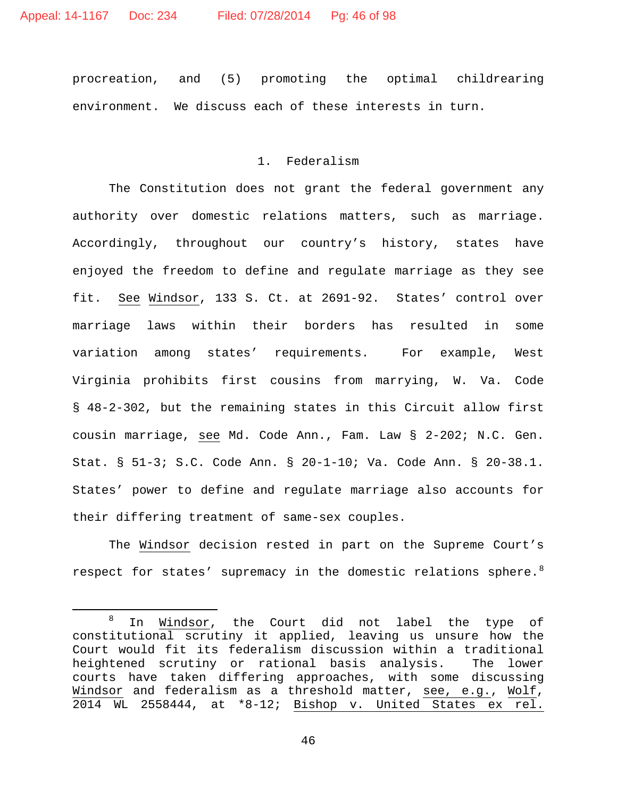procreation, and (5) promoting the optimal childrearing environment. We discuss each of these interests in turn.

## 1. Federalism

The Constitution does not grant the federal government any authority over domestic relations matters, such as marriage. Accordingly, throughout our country's history, states have enjoyed the freedom to define and regulate marriage as they see fit. See Windsor, 133 S. Ct. at 2691-92. States' control over marriage laws within their borders has resulted in some variation among states' requirements. For example, West Virginia prohibits first cousins from marrying, W. Va. Code § 48-2-302, but the remaining states in this Circuit allow first cousin marriage, see Md. Code Ann., Fam. Law § 2-202; N.C. Gen. Stat. § 51-3; S.C. Code Ann. § 20-1-10; Va. Code Ann. § 20-38.1. States' power to define and regulate marriage also accounts for their differing treatment of same-sex couples.

The Windsor decision rested in part on the Supreme Court's respect for states' supremacy in the domestic relations sphere. $^8$  $^8$ 

<span id="page-45-0"></span> $8$  In Windsor, the Court did not label the type of constitutional scrutiny it applied, leaving us unsure how the Court would fit its federalism discussion within a traditional<br>heightened scrutiny or rational basis analysis. The lower heightened scrutiny or rational basis analysis. courts have taken differing approaches, with some discussing Windsor and federalism as a threshold matter, see, e.g., Wolf, 2014 WL 2558444, at \*8-12; Bishop v. United States ex rel.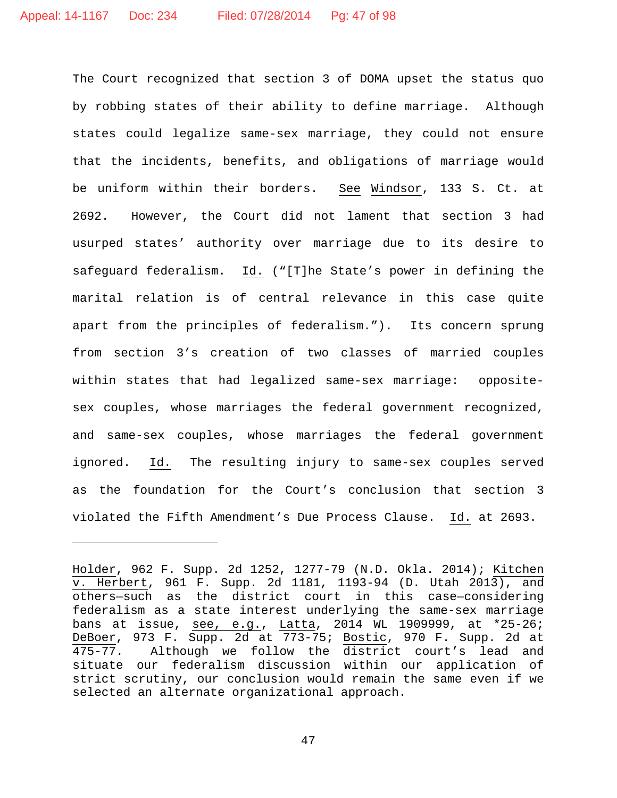ī

The Court recognized that section 3 of DOMA upset the status quo by robbing states of their ability to define marriage. Although states could legalize same-sex marriage, they could not ensure that the incidents, benefits, and obligations of marriage would be uniform within their borders. See Windsor, 133 S. Ct. at 2692. However, the Court did not lament that section 3 had usurped states' authority over marriage due to its desire to safeguard federalism. Id. ("[T]he State's power in defining the marital relation is of central relevance in this case quite apart from the principles of federalism."). Its concern sprung from section 3's creation of two classes of married couples within states that had legalized same-sex marriage: oppositesex couples, whose marriages the federal government recognized, and same-sex couples, whose marriages the federal government ignored. Id. The resulting injury to same-sex couples served as the foundation for the Court's conclusion that section 3 violated the Fifth Amendment's Due Process Clause. Id. at 2693.

Holder, 962 F. Supp. 2d 1252, 1277-79 (N.D. Okla. 2014); Kitchen v. Herbert, 961 F. Supp. 2d 1181, 1193-94 (D. Utah 2013), and others—such as the district court in this case—considering federalism as a state interest underlying the same-sex marriage bans at issue, see, e.g., Latta, 2014 WL 1909999, at \*25-26; DeBoer, 973 F. Supp. 2d at 773-75; Bostic, 970 F. Supp. 2d at 475-77. Although we follow the district court's lead and situate our federalism discussion within our application of strict scrutiny, our conclusion would remain the same even if we selected an alternate organizational approach.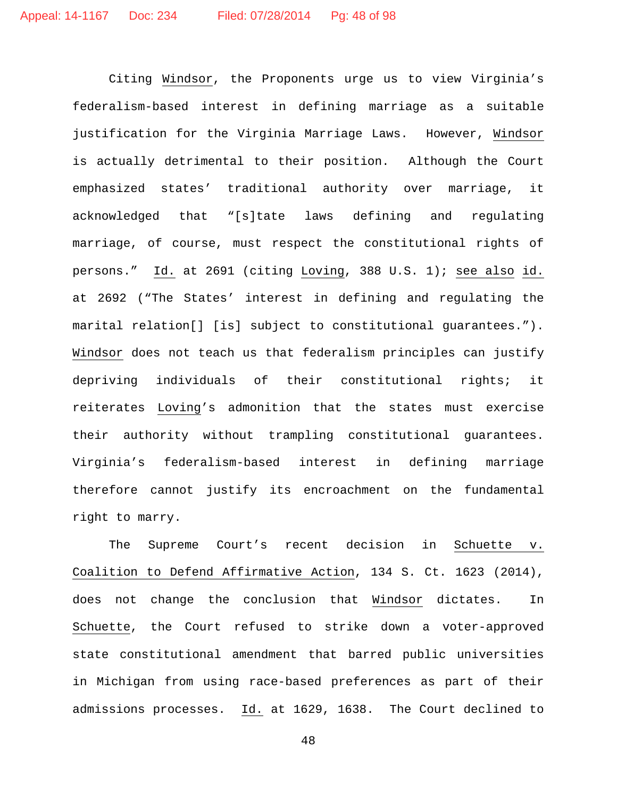Citing Windsor, the Proponents urge us to view Virginia's federalism-based interest in defining marriage as a suitable justification for the Virginia Marriage Laws. However, Windsor is actually detrimental to their position. Although the Court emphasized states' traditional authority over marriage, it acknowledged that "[s]tate laws defining and regulating marriage, of course, must respect the constitutional rights of persons." Id. at 2691 (citing Loving, 388 U.S. 1); see also id. at 2692 ("The States' interest in defining and regulating the marital relation[] [is] subject to constitutional guarantees."). Windsor does not teach us that federalism principles can justify depriving individuals of their constitutional rights; it reiterates Loving's admonition that the states must exercise their authority without trampling constitutional guarantees. Virginia's federalism-based interest in defining marriage therefore cannot justify its encroachment on the fundamental right to marry.

The Supreme Court's recent decision in Schuette v. Coalition to Defend Affirmative Action, 134 S. Ct. 1623 (2014), does not change the conclusion that Windsor dictates. In Schuette, the Court refused to strike down a voter-approved state constitutional amendment that barred public universities in Michigan from using race-based preferences as part of their admissions processes. Id. at 1629, 1638. The Court declined to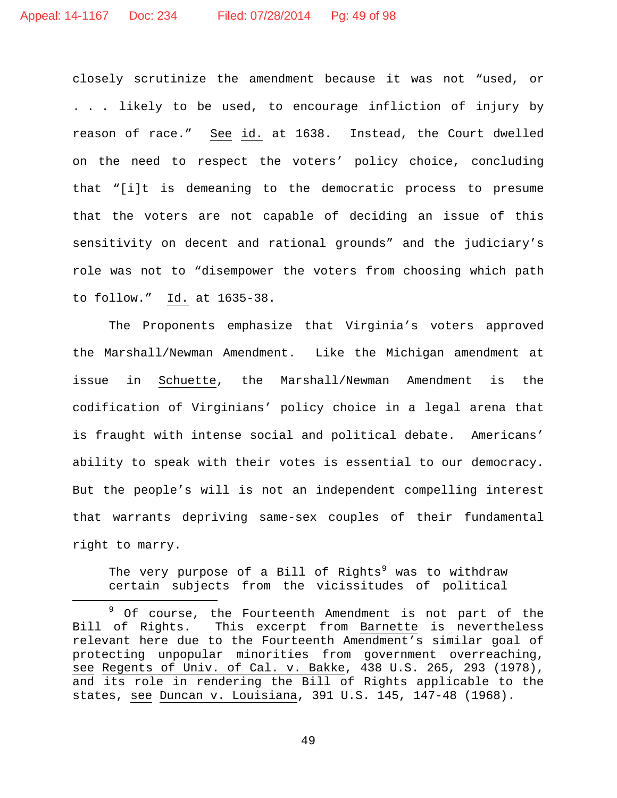closely scrutinize the amendment because it was not "used, or . . . likely to be used, to encourage infliction of injury by reason of race." See id. at 1638. Instead, the Court dwelled on the need to respect the voters' policy choice, concluding that "[i]t is demeaning to the democratic process to presume that the voters are not capable of deciding an issue of this sensitivity on decent and rational grounds" and the judiciary's role was not to "disempower the voters from choosing which path to follow." Id. at 1635-38.

The Proponents emphasize that Virginia's voters approved the Marshall/Newman Amendment. Like the Michigan amendment at issue in Schuette, the Marshall/Newman Amendment is the codification of Virginians' policy choice in a legal arena that is fraught with intense social and political debate. Americans' ability to speak with their votes is essential to our democracy. But the people's will is not an independent compelling interest that warrants depriving same-sex couples of their fundamental right to marry.

The very purpose of a Bill of Rights<sup>[9](#page-48-0)</sup> was to withdraw certain subjects from the vicissitudes of political

<span id="page-48-0"></span><sup>&</sup>lt;sup>9</sup> Of course, the Fourteenth Amendment is not part of the<br>Bill of Rights. This excerpt from Barnette is nevertheless This excerpt from Barnette is nevertheless relevant here due to the Fourteenth Amendment's similar goal of protecting unpopular minorities from government overreaching, see Regents of Univ. of Cal. v. Bakke, 438 U.S. 265, 293 (1978), and its role in rendering the Bill of Rights applicable to the states, see Duncan v. Louisiana, 391 U.S. 145, 147-48 (1968).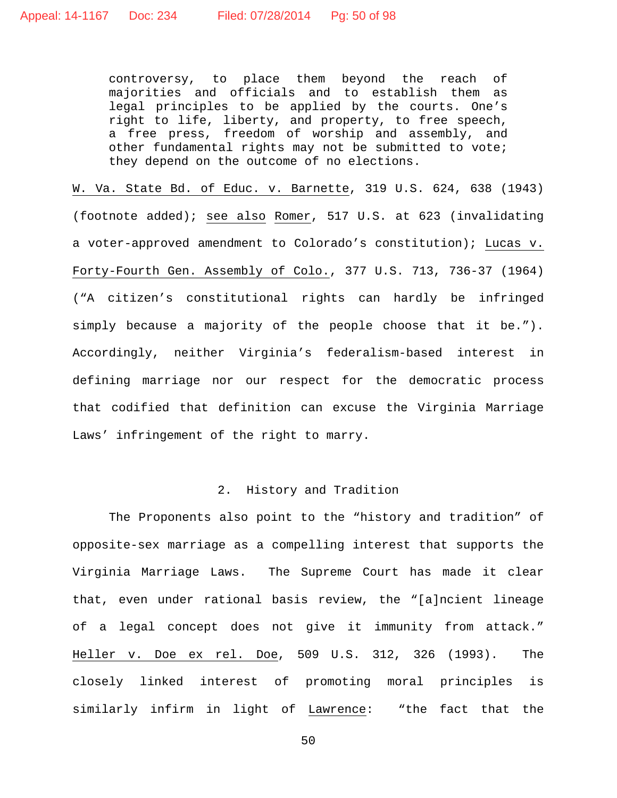controversy, to place them beyond the reach of majorities and officials and to establish them as legal principles to be applied by the courts. One's right to life, liberty, and property, to free speech, a free press, freedom of worship and assembly, and other fundamental rights may not be submitted to vote; they depend on the outcome of no elections.

W. Va. State Bd. of Educ. v. Barnette, 319 U.S. 624, 638 (1943) (footnote added); see also Romer, 517 U.S. at 623 (invalidating a voter-approved amendment to Colorado's constitution); Lucas v. Forty-Fourth Gen. Assembly of Colo., 377 U.S. 713, 736-37 (1964) ("A citizen's constitutional rights can hardly be infringed simply because a majority of the people choose that it be."). Accordingly, neither Virginia's federalism-based interest in defining marriage nor our respect for the democratic process that codified that definition can excuse the Virginia Marriage Laws' infringement of the right to marry.

## 2. History and Tradition

The Proponents also point to the "history and tradition" of opposite-sex marriage as a compelling interest that supports the Virginia Marriage Laws. The Supreme Court has made it clear that, even under rational basis review, the "[a]ncient lineage of a legal concept does not give it immunity from attack." Heller v. Doe ex rel. Doe, 509 U.S. 312, 326 (1993). The closely linked interest of promoting moral principles is similarly infirm in light of Lawrence: "the fact that the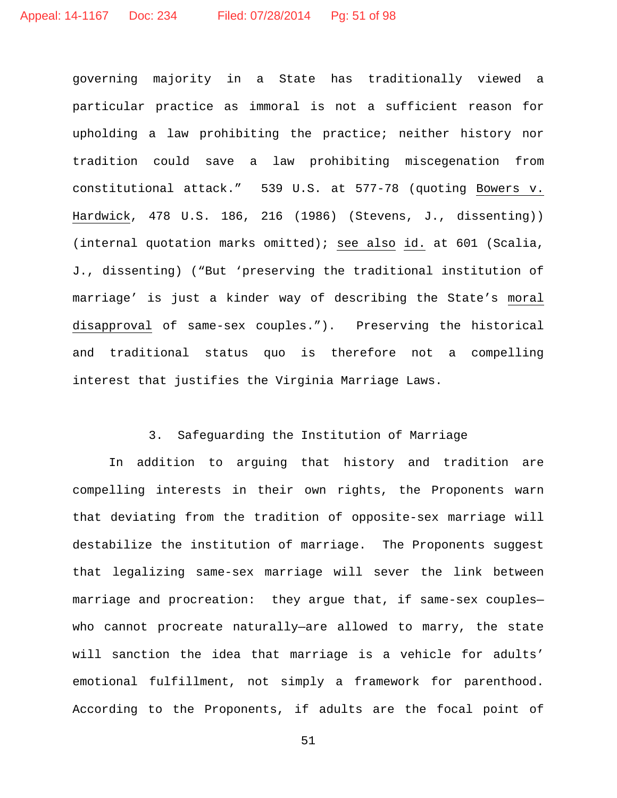governing majority in a State has traditionally viewed a particular practice as immoral is not a sufficient reason for upholding a law prohibiting the practice; neither history nor tradition could save a law prohibiting miscegenation from constitutional attack." 539 U.S. at 577-78 (quoting Bowers v. Hardwick, 478 U.S. 186, 216 (1986) (Stevens, J., dissenting)) (internal quotation marks omitted); see also id. at 601 (Scalia, J., dissenting) ("But 'preserving the traditional institution of marriage' is just a kinder way of describing the State's moral disapproval of same-sex couples."). Preserving the historical and traditional status quo is therefore not a compelling interest that justifies the Virginia Marriage Laws.

# 3. Safeguarding the Institution of Marriage

In addition to arguing that history and tradition are compelling interests in their own rights, the Proponents warn that deviating from the tradition of opposite-sex marriage will destabilize the institution of marriage. The Proponents suggest that legalizing same-sex marriage will sever the link between marriage and procreation: they argue that, if same-sex couples who cannot procreate naturally—are allowed to marry, the state will sanction the idea that marriage is a vehicle for adults' emotional fulfillment, not simply a framework for parenthood. According to the Proponents, if adults are the focal point of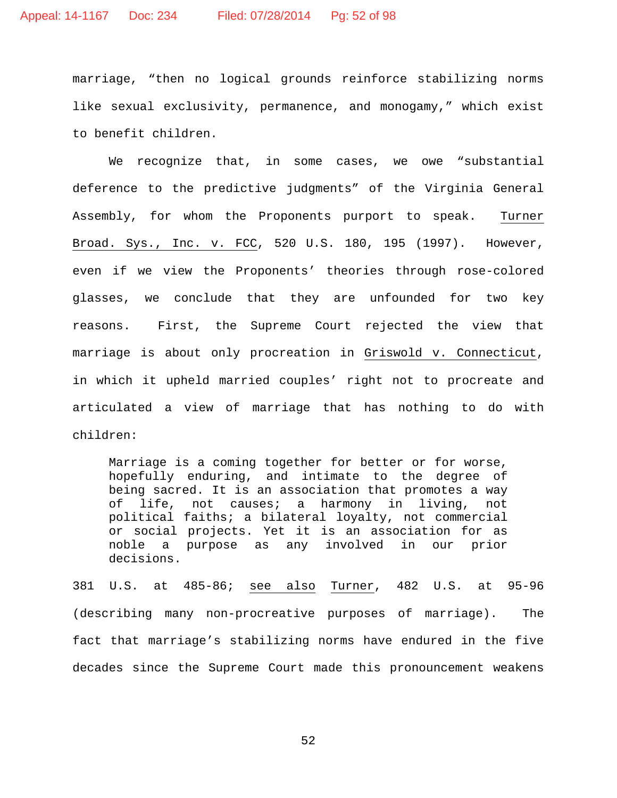marriage, "then no logical grounds reinforce stabilizing norms like sexual exclusivity, permanence, and monogamy," which exist to benefit children.

We recognize that, in some cases, we owe "substantial deference to the predictive judgments" of the Virginia General Assembly, for whom the Proponents purport to speak. Turner Broad. Sys., Inc. v. FCC, 520 U.S. 180, 195 (1997). However, even if we view the Proponents' theories through rose-colored glasses, we conclude that they are unfounded for two key reasons. First, the Supreme Court rejected the view that marriage is about only procreation in Griswold v. Connecticut, in which it upheld married couples' right not to procreate and articulated a view of marriage that has nothing to do with children:

Marriage is a coming together for better or for worse, hopefully enduring, and intimate to the degree of being sacred. It is an association that promotes a way of life, not causes; a harmony in living, not political faiths; a bilateral loyalty, not commercial or social projects. Yet it is an association for as noble a purpose as any involved in our prior decisions.

381 U.S. at 485-86; see also Turner, 482 U.S. at 95-96 (describing many non-procreative purposes of marriage). The fact that marriage's stabilizing norms have endured in the five decades since the Supreme Court made this pronouncement weakens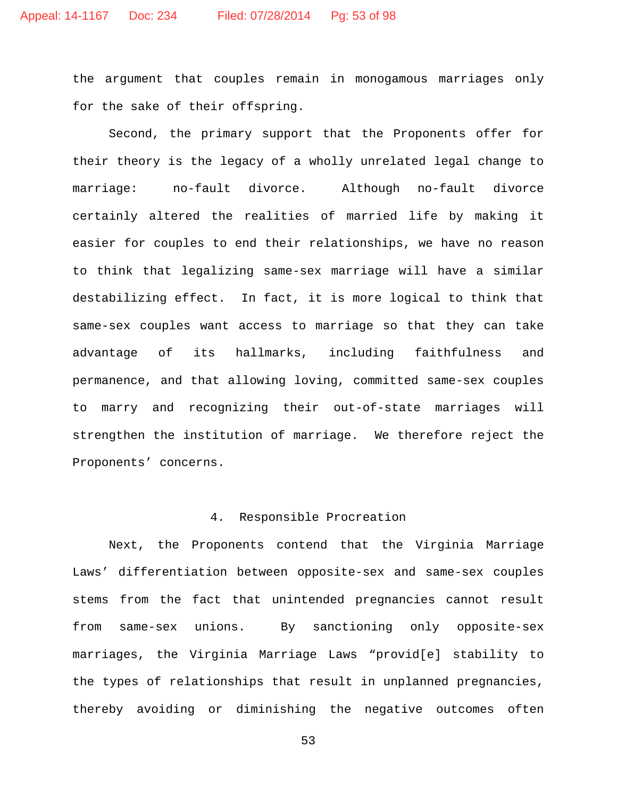the argument that couples remain in monogamous marriages only for the sake of their offspring.

Second, the primary support that the Proponents offer for their theory is the legacy of a wholly unrelated legal change to marriage: no-fault divorce. Although no-fault divorce certainly altered the realities of married life by making it easier for couples to end their relationships, we have no reason to think that legalizing same-sex marriage will have a similar destabilizing effect. In fact, it is more logical to think that same-sex couples want access to marriage so that they can take advantage of its hallmarks, including faithfulness and permanence, and that allowing loving, committed same-sex couples to marry and recognizing their out-of-state marriages will strengthen the institution of marriage. We therefore reject the Proponents' concerns.

## 4. Responsible Procreation

Next, the Proponents contend that the Virginia Marriage Laws' differentiation between opposite-sex and same-sex couples stems from the fact that unintended pregnancies cannot result from same-sex unions. By sanctioning only opposite-sex marriages, the Virginia Marriage Laws "provid[e] stability to the types of relationships that result in unplanned pregnancies, thereby avoiding or diminishing the negative outcomes often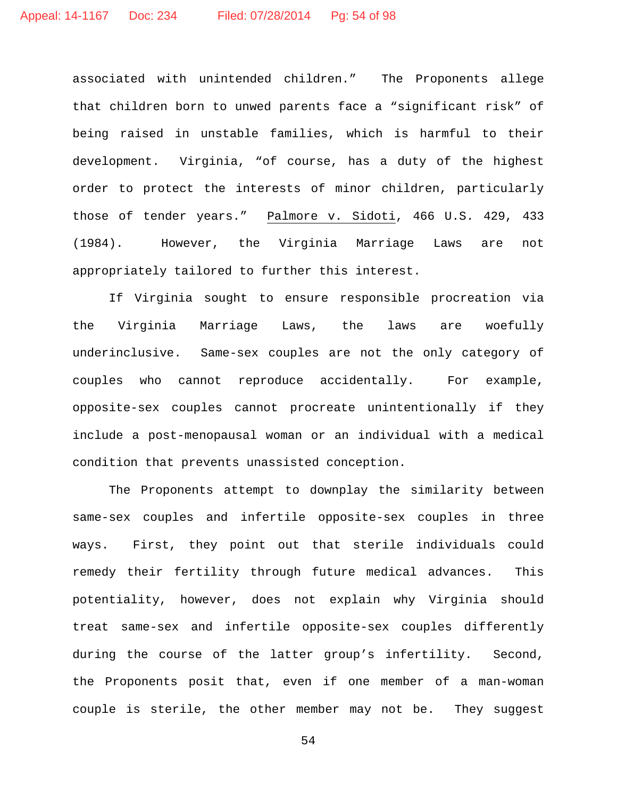associated with unintended children." The Proponents allege that children born to unwed parents face a "significant risk" of being raised in unstable families, which is harmful to their development. Virginia, "of course, has a duty of the highest order to protect the interests of minor children, particularly those of tender years." Palmore v. Sidoti, 466 U.S. 429, 433 (1984). However, the Virginia Marriage Laws are not appropriately tailored to further this interest.

If Virginia sought to ensure responsible procreation via the Virginia Marriage Laws, the laws are woefully underinclusive. Same-sex couples are not the only category of couples who cannot reproduce accidentally. For example, opposite-sex couples cannot procreate unintentionally if they include a post-menopausal woman or an individual with a medical condition that prevents unassisted conception.

The Proponents attempt to downplay the similarity between same-sex couples and infertile opposite-sex couples in three ways. First, they point out that sterile individuals could remedy their fertility through future medical advances. This potentiality, however, does not explain why Virginia should treat same-sex and infertile opposite-sex couples differently during the course of the latter group's infertility. Second, the Proponents posit that, even if one member of a man-woman couple is sterile, the other member may not be. They suggest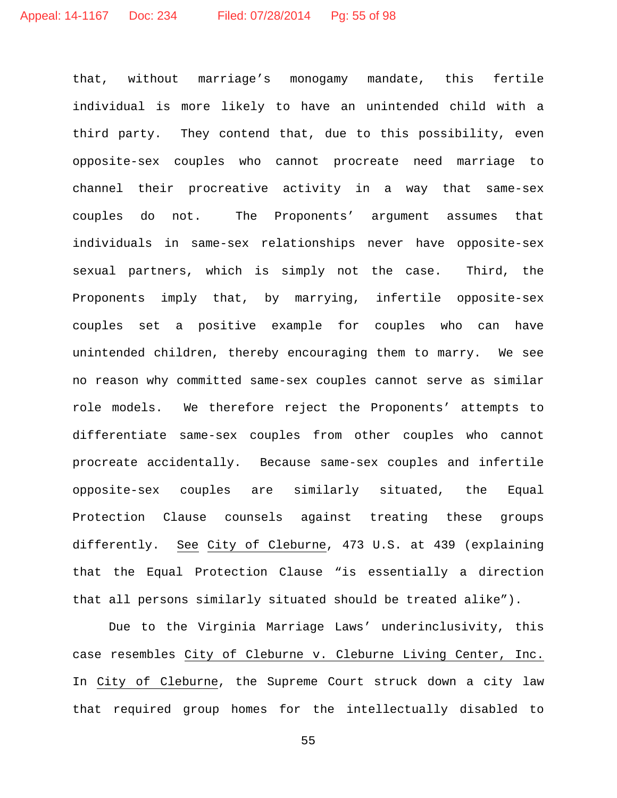that, without marriage's monogamy mandate, this fertile individual is more likely to have an unintended child with a third party. They contend that, due to this possibility, even opposite-sex couples who cannot procreate need marriage to channel their procreative activity in a way that same-sex couples do not. The Proponents' argument assumes that individuals in same-sex relationships never have opposite-sex sexual partners, which is simply not the case. Third, the Proponents imply that, by marrying, infertile opposite-sex couples set a positive example for couples who can have unintended children, thereby encouraging them to marry. We see no reason why committed same-sex couples cannot serve as similar role models. We therefore reject the Proponents' attempts to differentiate same-sex couples from other couples who cannot procreate accidentally. Because same-sex couples and infertile opposite-sex couples are similarly situated, the Equal Protection Clause counsels against treating these groups differently. See City of Cleburne, 473 U.S. at 439 (explaining that the Equal Protection Clause "is essentially a direction that all persons similarly situated should be treated alike").

Due to the Virginia Marriage Laws' underinclusivity, this case resembles City of Cleburne v. Cleburne Living Center, Inc. In City of Cleburne, the Supreme Court struck down a city law that required group homes for the intellectually disabled to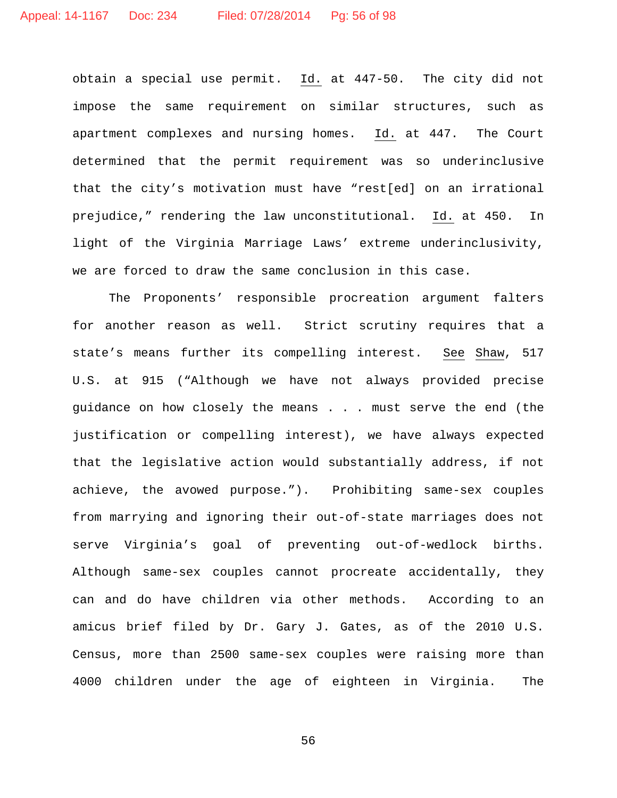obtain a special use permit. Id. at 447-50. The city did not impose the same requirement on similar structures, such as apartment complexes and nursing homes. Id. at 447. The Court determined that the permit requirement was so underinclusive that the city's motivation must have "rest[ed] on an irrational prejudice," rendering the law unconstitutional. Id. at 450. In light of the Virginia Marriage Laws' extreme underinclusivity, we are forced to draw the same conclusion in this case.

The Proponents' responsible procreation argument falters for another reason as well. Strict scrutiny requires that a state's means further its compelling interest. See Shaw, 517 U.S. at 915 ("Although we have not always provided precise guidance on how closely the means . . . must serve the end (the justification or compelling interest), we have always expected that the legislative action would substantially address, if not achieve, the avowed purpose."). Prohibiting same-sex couples from marrying and ignoring their out-of-state marriages does not serve Virginia's goal of preventing out-of-wedlock births. Although same-sex couples cannot procreate accidentally, they can and do have children via other methods. According to an amicus brief filed by Dr. Gary J. Gates, as of the 2010 U.S. Census, more than 2500 same-sex couples were raising more than 4000 children under the age of eighteen in Virginia. The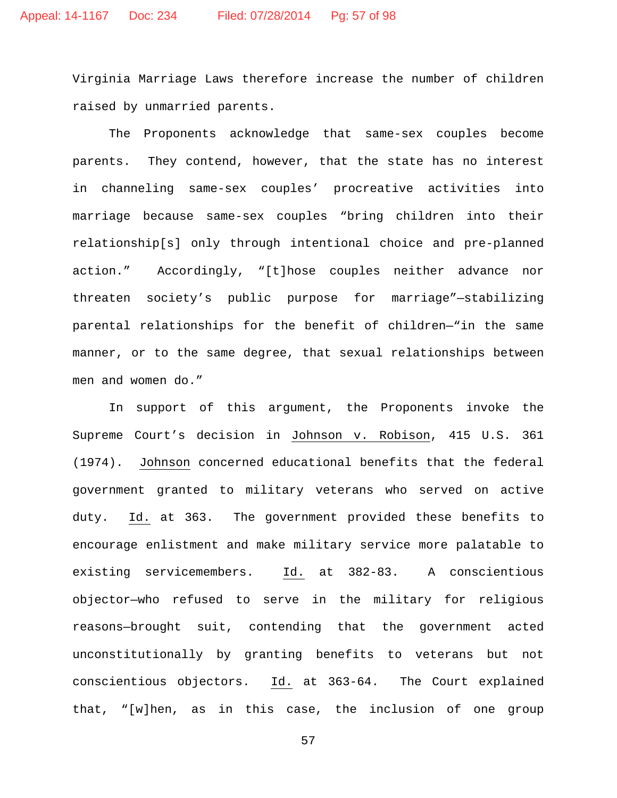Virginia Marriage Laws therefore increase the number of children raised by unmarried parents.

The Proponents acknowledge that same-sex couples become parents. They contend, however, that the state has no interest in channeling same-sex couples' procreative activities into marriage because same-sex couples "bring children into their relationship[s] only through intentional choice and pre-planned action." Accordingly, "[t]hose couples neither advance nor threaten society's public purpose for marriage"—stabilizing parental relationships for the benefit of children—"in the same manner, or to the same degree, that sexual relationships between men and women do."

In support of this argument, the Proponents invoke the Supreme Court's decision in Johnson v. Robison, 415 U.S. 361 (1974). Johnson concerned educational benefits that the federal government granted to military veterans who served on active duty. Id. at 363. The government provided these benefits to encourage enlistment and make military service more palatable to existing servicemembers. Id. at 382-83. A conscientious objector—who refused to serve in the military for religious reasons—brought suit, contending that the government acted unconstitutionally by granting benefits to veterans but not conscientious objectors. Id. at 363-64. The Court explained that, "[w]hen, as in this case, the inclusion of one group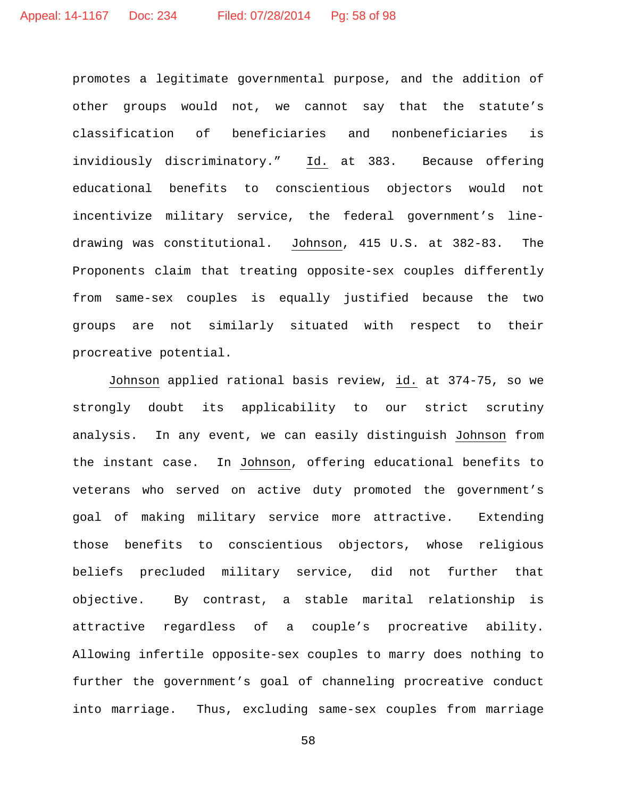promotes a legitimate governmental purpose, and the addition of other groups would not, we cannot say that the statute's classification of beneficiaries and nonbeneficiaries is invidiously discriminatory." Id. at 383. Because offering educational benefits to conscientious objectors would not incentivize military service, the federal government's linedrawing was constitutional. Johnson, 415 U.S. at 382-83. The Proponents claim that treating opposite-sex couples differently from same-sex couples is equally justified because the two groups are not similarly situated with respect to their procreative potential.

Johnson applied rational basis review, id. at 374-75, so we strongly doubt its applicability to our strict scrutiny analysis. In any event, we can easily distinguish Johnson from the instant case. In Johnson, offering educational benefits to veterans who served on active duty promoted the government's goal of making military service more attractive. Extending those benefits to conscientious objectors, whose religious beliefs precluded military service, did not further that objective. By contrast, a stable marital relationship is attractive regardless of a couple's procreative ability. Allowing infertile opposite-sex couples to marry does nothing to further the government's goal of channeling procreative conduct into marriage. Thus, excluding same-sex couples from marriage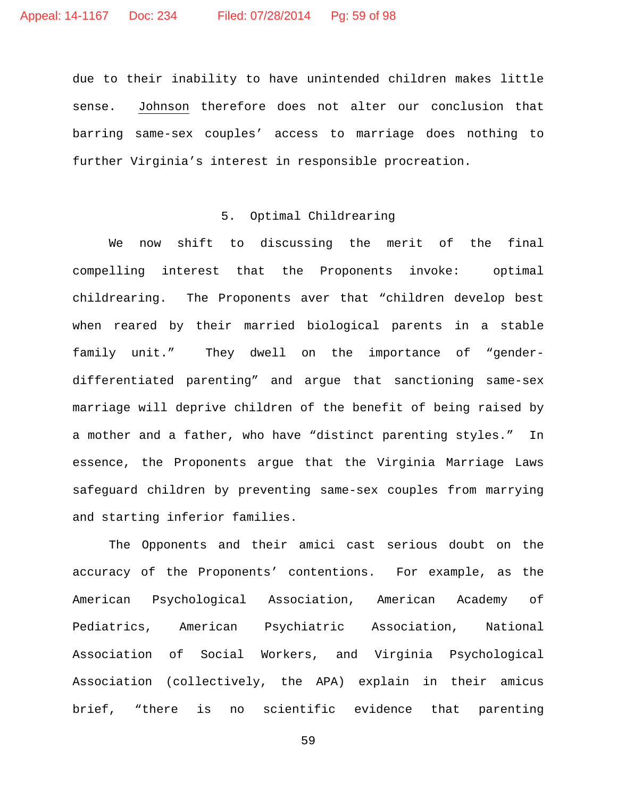due to their inability to have unintended children makes little sense. Johnson therefore does not alter our conclusion that barring same-sex couples' access to marriage does nothing to further Virginia's interest in responsible procreation.

## 5. Optimal Childrearing

We now shift to discussing the merit of the final compelling interest that the Proponents invoke: optimal childrearing. The Proponents aver that "children develop best when reared by their married biological parents in a stable family unit." They dwell on the importance of "genderdifferentiated parenting" and argue that sanctioning same-sex marriage will deprive children of the benefit of being raised by a mother and a father, who have "distinct parenting styles." In essence, the Proponents argue that the Virginia Marriage Laws safeguard children by preventing same-sex couples from marrying and starting inferior families.

The Opponents and their amici cast serious doubt on the accuracy of the Proponents' contentions. For example, as the American Psychological Association, American Academy of Pediatrics, American Psychiatric Association, National Association of Social Workers, and Virginia Psychological Association (collectively, the APA) explain in their amicus brief, "there is no scientific evidence that parenting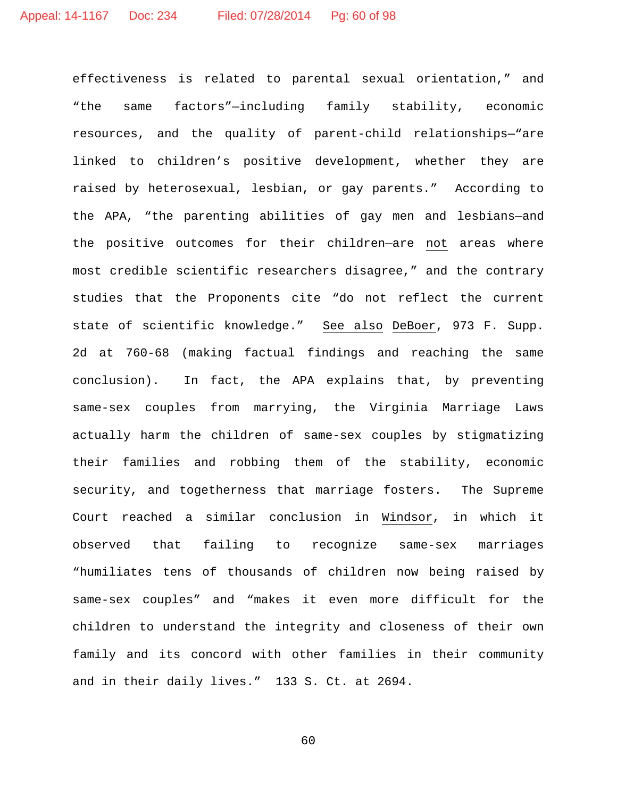effectiveness is related to parental sexual orientation," and "the same factors"—including family stability, economic resources, and the quality of parent-child relationships—"are linked to children's positive development, whether they are raised by heterosexual, lesbian, or gay parents." According to the APA, "the parenting abilities of gay men and lesbians—and the positive outcomes for their children—are not areas where most credible scientific researchers disagree," and the contrary studies that the Proponents cite "do not reflect the current state of scientific knowledge." See also DeBoer, 973 F. Supp. 2d at 760-68 (making factual findings and reaching the same conclusion). In fact, the APA explains that, by preventing same-sex couples from marrying, the Virginia Marriage Laws actually harm the children of same-sex couples by stigmatizing their families and robbing them of the stability, economic security, and togetherness that marriage fosters. The Supreme Court reached a similar conclusion in Windsor, in which it observed that failing to recognize same-sex marriages "humiliates tens of thousands of children now being raised by same-sex couples" and "makes it even more difficult for the children to understand the integrity and closeness of their own family and its concord with other families in their community and in their daily lives." 133 S. Ct. at 2694.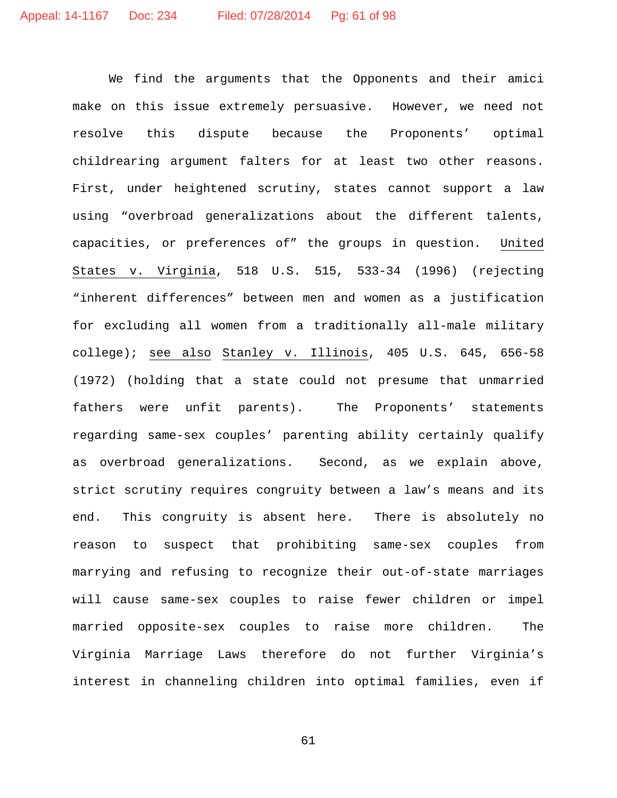We find the arguments that the Opponents and their amici make on this issue extremely persuasive. However, we need not resolve this dispute because the Proponents' optimal childrearing argument falters for at least two other reasons. First, under heightened scrutiny, states cannot support a law using "overbroad generalizations about the different talents, capacities, or preferences of" the groups in question. United States v. Virginia, 518 U.S. 515, 533-34 (1996) (rejecting "inherent differences" between men and women as a justification for excluding all women from a traditionally all-male military college); see also Stanley v. Illinois, 405 U.S. 645, 656-58 (1972) (holding that a state could not presume that unmarried fathers were unfit parents). The Proponents' statements regarding same-sex couples' parenting ability certainly qualify as overbroad generalizations. Second, as we explain above, strict scrutiny requires congruity between a law's means and its end. This congruity is absent here. There is absolutely no reason to suspect that prohibiting same-sex couples from marrying and refusing to recognize their out-of-state marriages will cause same-sex couples to raise fewer children or impel married opposite-sex couples to raise more children. The Virginia Marriage Laws therefore do not further Virginia's interest in channeling children into optimal families, even if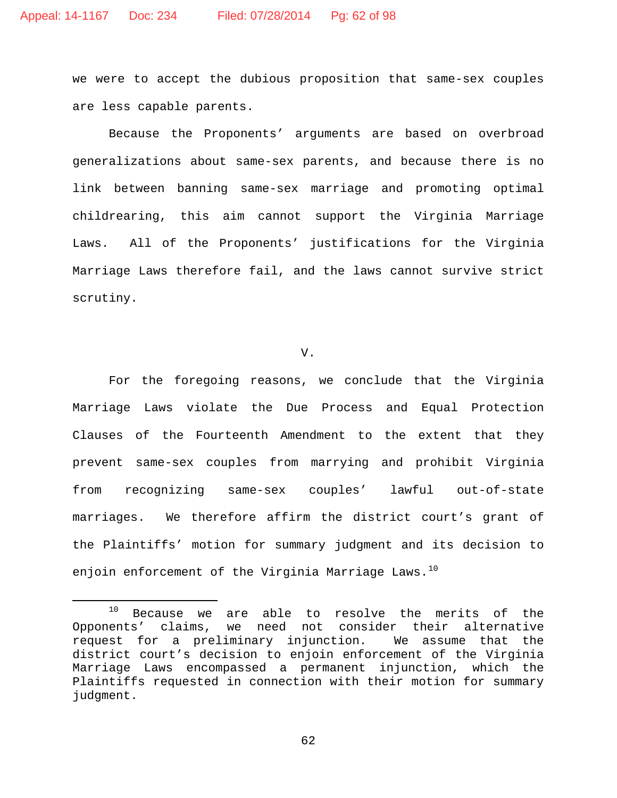we were to accept the dubious proposition that same-sex couples are less capable parents.

Because the Proponents' arguments are based on overbroad generalizations about same-sex parents, and because there is no link between banning same-sex marriage and promoting optimal childrearing, this aim cannot support the Virginia Marriage Laws. All of the Proponents' justifications for the Virginia Marriage Laws therefore fail, and the laws cannot survive strict scrutiny.

### V.

For the foregoing reasons, we conclude that the Virginia Marriage Laws violate the Due Process and Equal Protection Clauses of the Fourteenth Amendment to the extent that they prevent same-sex couples from marrying and prohibit Virginia from recognizing same-sex couples' lawful out-of-state marriages. We therefore affirm the district court's grant of the Plaintiffs' motion for summary judgment and its decision to enjoin enforcement of the Virginia Marriage Laws. $^{10}$  $^{10}$  $^{10}$ 

<span id="page-61-0"></span><sup>&</sup>lt;sup>10</sup> Because we are able to resolve the merits of the Opponents' claims, we need not consider their alternative request for a preliminary injunction. We assume that the district court's decision to enjoin enforcement of the Virginia Marriage Laws encompassed a permanent injunction, which the Plaintiffs requested in connection with their motion for summary judgment.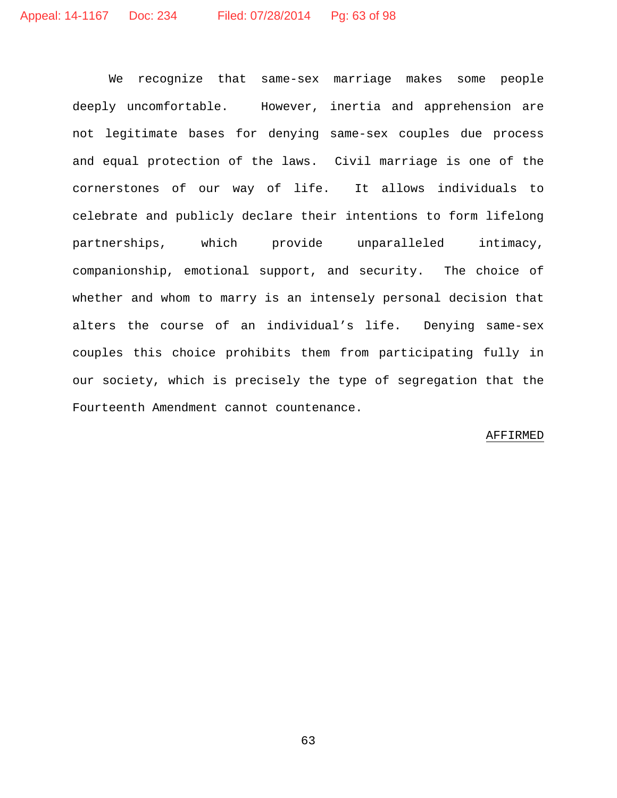We recognize that same-sex marriage makes some people deeply uncomfortable. However, inertia and apprehension are not legitimate bases for denying same-sex couples due process and equal protection of the laws. Civil marriage is one of the cornerstones of our way of life. It allows individuals to celebrate and publicly declare their intentions to form lifelong partnerships, which provide unparalleled intimacy, companionship, emotional support, and security. The choice of whether and whom to marry is an intensely personal decision that alters the course of an individual's life. Denying same-sex couples this choice prohibits them from participating fully in our society, which is precisely the type of segregation that the Fourteenth Amendment cannot countenance.

### AFFIRMED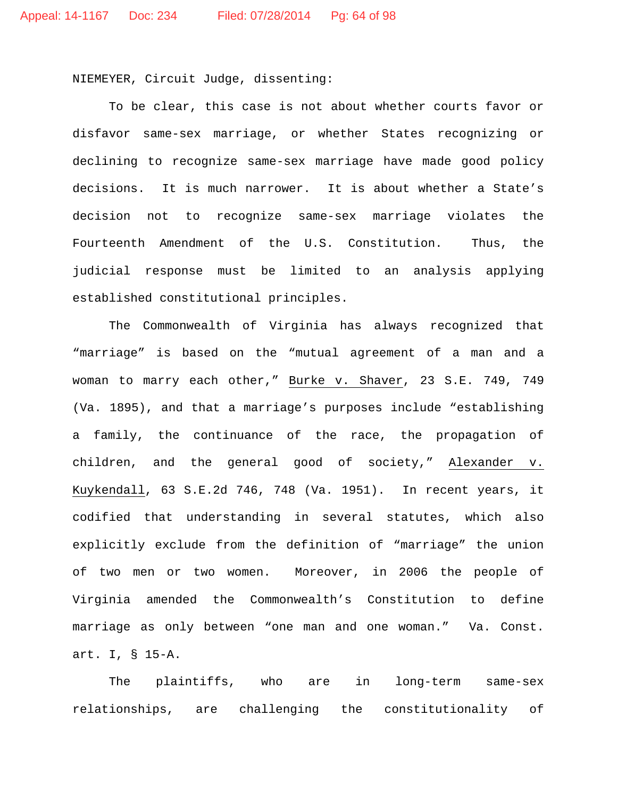NIEMEYER, Circuit Judge, dissenting:

To be clear, this case is not about whether courts favor or disfavor same-sex marriage, or whether States recognizing or declining to recognize same-sex marriage have made good policy decisions. It is much narrower. It is about whether a State's decision not to recognize same-sex marriage violates the Fourteenth Amendment of the U.S. Constitution. Thus, the judicial response must be limited to an analysis applying established constitutional principles.

The Commonwealth of Virginia has always recognized that "marriage" is based on the "mutual agreement of a man and a woman to marry each other," Burke v. Shaver, 23 S.E. 749, 749 (Va. 1895), and that a marriage's purposes include "establishing a family, the continuance of the race, the propagation of children, and the general good of society," Alexander v. Kuykendall, 63 S.E.2d 746, 748 (Va. 1951). In recent years, it codified that understanding in several statutes, which also explicitly exclude from the definition of "marriage" the union of two men or two women. Moreover, in 2006 the people of Virginia amended the Commonwealth's Constitution to define marriage as only between "one man and one woman." Va. Const. art. I, § 15-A.

The plaintiffs, who are in long-term same-sex relationships, are challenging the constitutionality of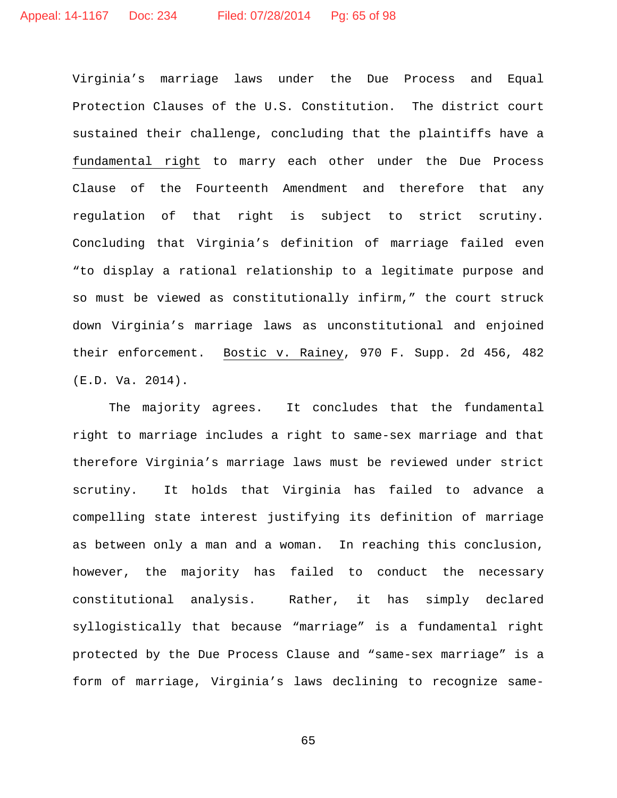Virginia's marriage laws under the Due Process and Equal Protection Clauses of the U.S. Constitution. The district court sustained their challenge, concluding that the plaintiffs have a fundamental right to marry each other under the Due Process Clause of the Fourteenth Amendment and therefore that any regulation of that right is subject to strict scrutiny. Concluding that Virginia's definition of marriage failed even "to display a rational relationship to a legitimate purpose and so must be viewed as constitutionally infirm," the court struck down Virginia's marriage laws as unconstitutional and enjoined their enforcement. Bostic v. Rainey, 970 F. Supp. 2d 456, 482 (E.D. Va. 2014).

The majority agrees. It concludes that the fundamental right to marriage includes a right to same-sex marriage and that therefore Virginia's marriage laws must be reviewed under strict scrutiny. It holds that Virginia has failed to advance a compelling state interest justifying its definition of marriage as between only a man and a woman. In reaching this conclusion, however, the majority has failed to conduct the necessary constitutional analysis. Rather, it has simply declared syllogistically that because "marriage" is a fundamental right protected by the Due Process Clause and "same-sex marriage" is a form of marriage, Virginia's laws declining to recognize same-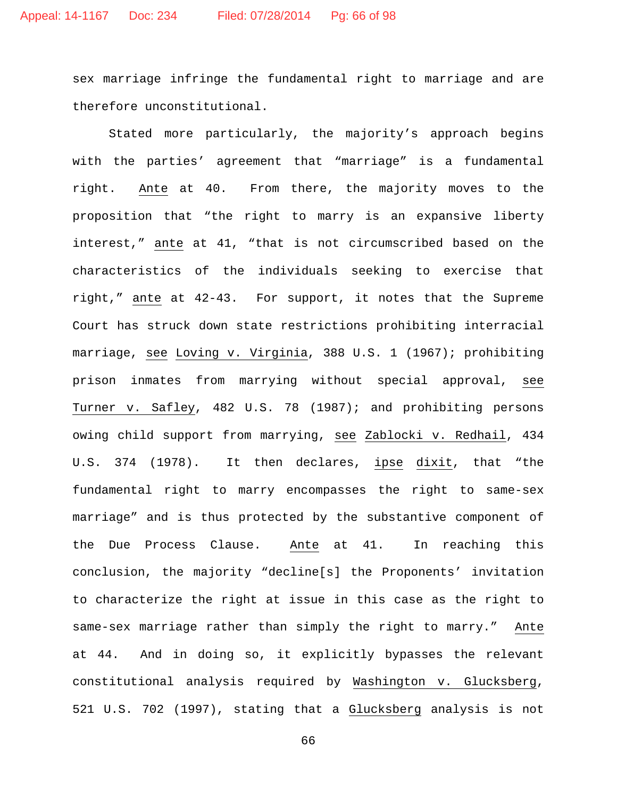sex marriage infringe the fundamental right to marriage and are therefore unconstitutional.

Stated more particularly, the majority's approach begins with the parties' agreement that "marriage" is a fundamental right. Ante at 40. From there, the majority moves to the proposition that "the right to marry is an expansive liberty interest," ante at 41, "that is not circumscribed based on the characteristics of the individuals seeking to exercise that right," ante at 42-43. For support, it notes that the Supreme Court has struck down state restrictions prohibiting interracial marriage, see Loving v. Virginia, 388 U.S. 1 (1967); prohibiting prison inmates from marrying without special approval, see Turner v. Safley, 482 U.S. 78 (1987); and prohibiting persons owing child support from marrying, see Zablocki v. Redhail, 434 U.S. 374 (1978). It then declares, ipse dixit, that "the fundamental right to marry encompasses the right to same-sex marriage" and is thus protected by the substantive component of the Due Process Clause. Ante at 41. In reaching this conclusion, the majority "decline[s] the Proponents' invitation to characterize the right at issue in this case as the right to same-sex marriage rather than simply the right to marry." Ante at 44. And in doing so, it explicitly bypasses the relevant constitutional analysis required by Washington v. Glucksberg, 521 U.S. 702 (1997), stating that a Glucksberg analysis is not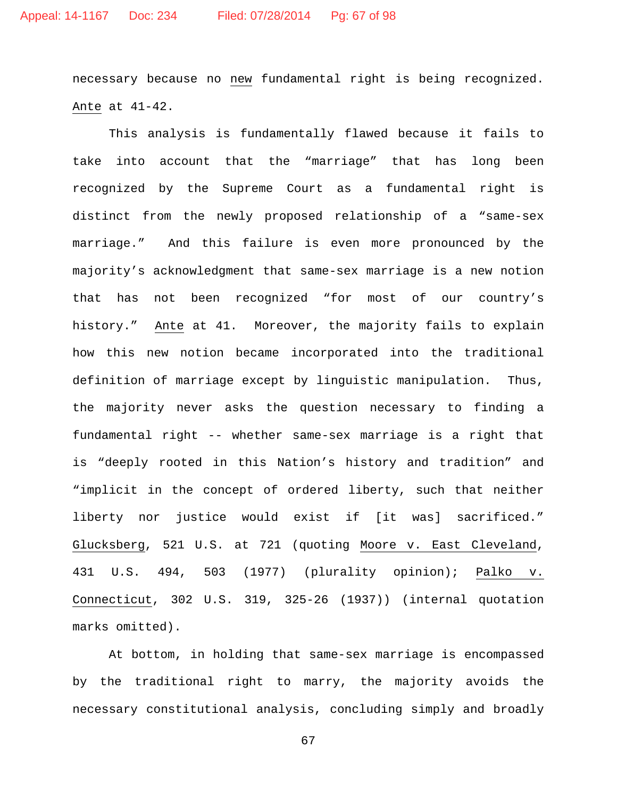necessary because no new fundamental right is being recognized. Ante at 41-42.

This analysis is fundamentally flawed because it fails to take into account that the "marriage" that has long been recognized by the Supreme Court as a fundamental right is distinct from the newly proposed relationship of a "same-sex marriage." And this failure is even more pronounced by the majority's acknowledgment that same-sex marriage is a new notion that has not been recognized "for most of our country's history." Ante at 41. Moreover, the majority fails to explain how this new notion became incorporated into the traditional definition of marriage except by linguistic manipulation. Thus, the majority never asks the question necessary to finding a fundamental right -- whether same-sex marriage is a right that is "deeply rooted in this Nation's history and tradition" and "implicit in the concept of ordered liberty, such that neither liberty nor justice would exist if [it was] sacrificed." Glucksberg, 521 U.S. at 721 (quoting Moore v. East Cleveland, 431 U.S. 494, 503 (1977) (plurality opinion); Palko v. Connecticut, 302 U.S. 319, 325-26 (1937)) (internal quotation marks omitted).

At bottom, in holding that same-sex marriage is encompassed by the traditional right to marry, the majority avoids the necessary constitutional analysis, concluding simply and broadly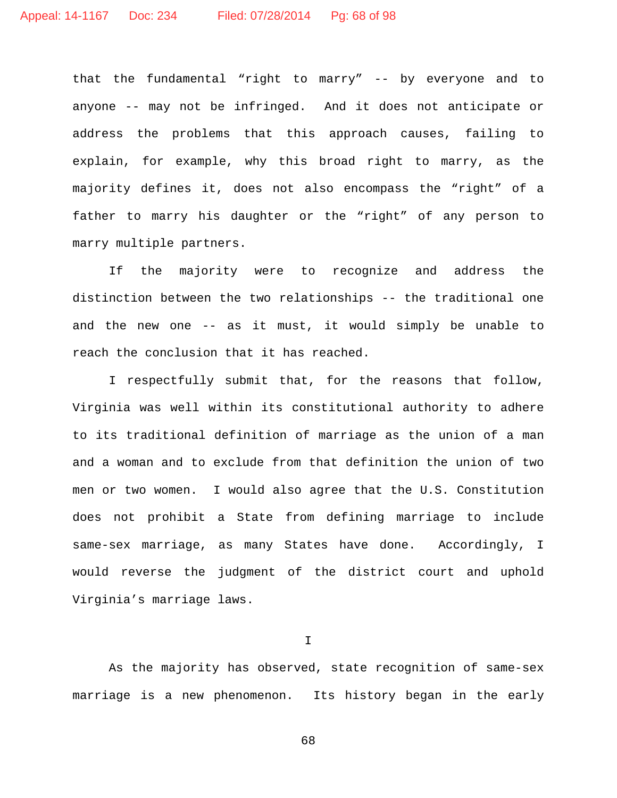that the fundamental "right to marry" -- by everyone and to anyone -- may not be infringed. And it does not anticipate or address the problems that this approach causes, failing to explain, for example, why this broad right to marry, as the majority defines it, does not also encompass the "right" of a father to marry his daughter or the "right" of any person to marry multiple partners.

If the majority were to recognize and address the distinction between the two relationships -- the traditional one and the new one -- as it must, it would simply be unable to reach the conclusion that it has reached.

I respectfully submit that, for the reasons that follow, Virginia was well within its constitutional authority to adhere to its traditional definition of marriage as the union of a man and a woman and to exclude from that definition the union of two men or two women. I would also agree that the U.S. Constitution does not prohibit a State from defining marriage to include same-sex marriage, as many States have done. Accordingly, I would reverse the judgment of the district court and uphold Virginia's marriage laws.

I

As the majority has observed, state recognition of same-sex marriage is a new phenomenon. Its history began in the early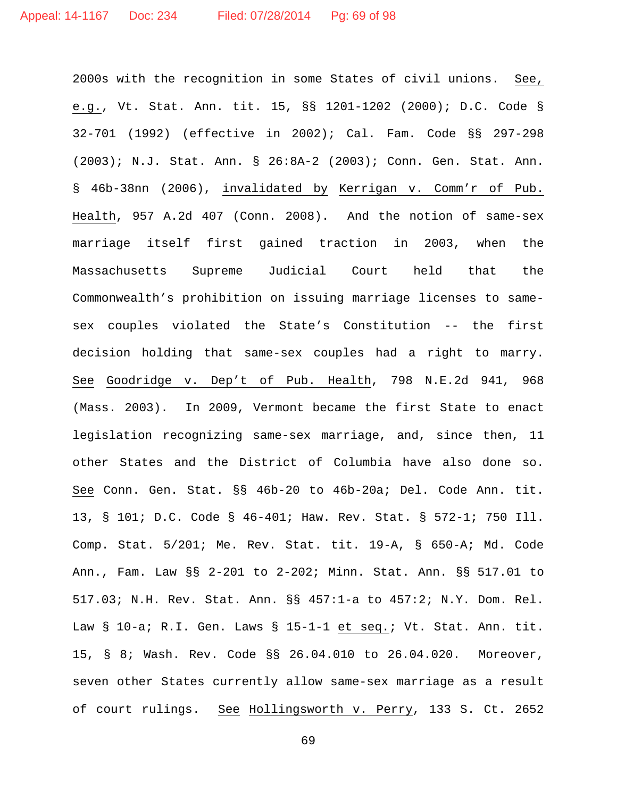2000s with the recognition in some States of civil unions. See, e.g., Vt. Stat. Ann. tit. 15, §§ 1201-1202 (2000); D.C. Code § 32-701 (1992) (effective in 2002); Cal. Fam. Code §§ 297-298 (2003); N.J. Stat. Ann. § 26:8A-2 (2003); Conn. Gen. Stat. Ann. § 46b-38nn (2006), invalidated by Kerrigan v. Comm'r of Pub. Health, 957 A.2d 407 (Conn. 2008). And the notion of same-sex marriage itself first gained traction in 2003, when the Massachusetts Supreme Judicial Court held that the Commonwealth's prohibition on issuing marriage licenses to samesex couples violated the State's Constitution -- the first decision holding that same-sex couples had a right to marry. See Goodridge v. Dep't of Pub. Health, 798 N.E.2d 941, 968 (Mass. 2003). In 2009, Vermont became the first State to enact legislation recognizing same-sex marriage, and, since then, 11 other States and the District of Columbia have also done so. See Conn. Gen. Stat. §§ 46b-20 to 46b-20a; Del. Code Ann. tit. 13, § 101; D.C. Code § 46-401; Haw. Rev. Stat. § 572-1; 750 Ill. Comp. Stat. 5/201; Me. Rev. Stat. tit. 19-A, § 650-A; Md. Code Ann., Fam. Law §§ 2-201 to 2-202; Minn. Stat. Ann. §§ 517.01 to 517.03; N.H. Rev. Stat. Ann. §§ 457:1-a to 457:2; N.Y. Dom. Rel. Law § 10-a; R.I. Gen. Laws § 15-1-1 et seq.; Vt. Stat. Ann. tit. 15, § 8; Wash. Rev. Code §§ 26.04.010 to 26.04.020. Moreover, seven other States currently allow same-sex marriage as a result of court rulings. See Hollingsworth v. Perry, 133 S. Ct. 2652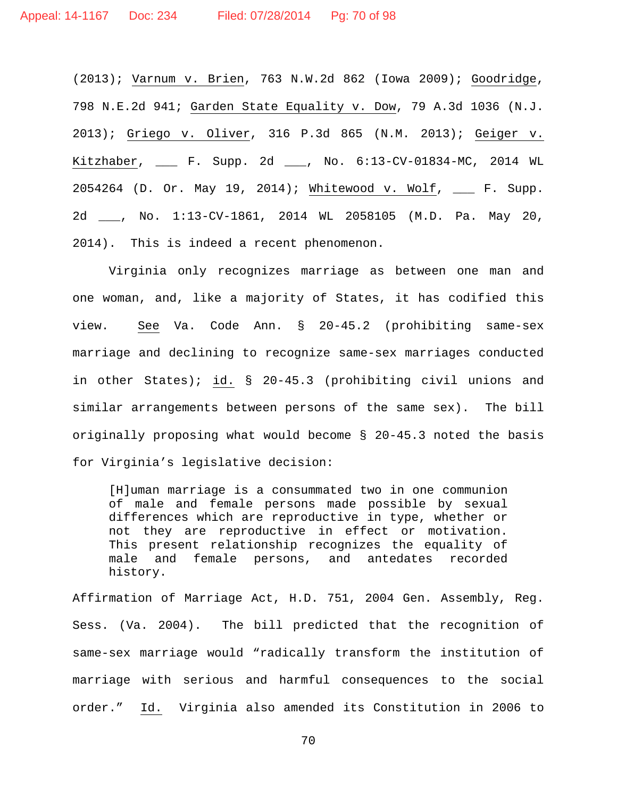(2013); Varnum v. Brien, 763 N.W.2d 862 (Iowa 2009); Goodridge, 798 N.E.2d 941; Garden State Equality v. Dow, 79 A.3d 1036 (N.J. 2013); Griego v. Oliver, 316 P.3d 865 (N.M. 2013); Geiger v. Kitzhaber, \_\_\_ F. Supp. 2d \_\_\_, No. 6:13-CV-01834-MC, 2014 WL 2054264 (D. Or. May 19, 2014); Whitewood v. Wolf, \_\_\_ F. Supp. 2d \_\_\_, No. 1:13-CV-1861, 2014 WL 2058105 (M.D. Pa. May 20, 2014). This is indeed a recent phenomenon.

Virginia only recognizes marriage as between one man and one woman, and, like a majority of States, it has codified this view. See Va. Code Ann. § 20-45.2 (prohibiting same-sex marriage and declining to recognize same-sex marriages conducted in other States); id. § 20-45.3 (prohibiting civil unions and similar arrangements between persons of the same sex). The bill originally proposing what would become § 20-45.3 noted the basis for Virginia's legislative decision:

[H]uman marriage is a consummated two in one communion of male and female persons made possible by sexual differences which are reproductive in type, whether or not they are reproductive in effect or motivation. This present relationship recognizes the equality of male and female persons, and antedates recorded history.

Affirmation of Marriage Act, H.D. 751, 2004 Gen. Assembly, Reg. Sess. (Va. 2004). The bill predicted that the recognition of same-sex marriage would "radically transform the institution of marriage with serious and harmful consequences to the social order." Id. Virginia also amended its Constitution in 2006 to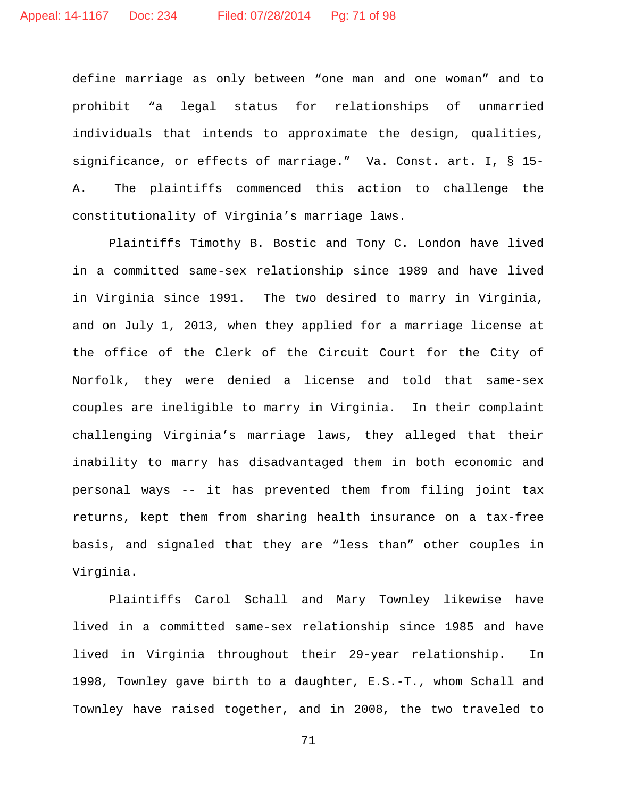define marriage as only between "one man and one woman" and to prohibit "a legal status for relationships of unmarried individuals that intends to approximate the design, qualities, significance, or effects of marriage." Va. Const. art. I, § 15- A. The plaintiffs commenced this action to challenge the constitutionality of Virginia's marriage laws.

Plaintiffs Timothy B. Bostic and Tony C. London have lived in a committed same-sex relationship since 1989 and have lived in Virginia since 1991. The two desired to marry in Virginia, and on July 1, 2013, when they applied for a marriage license at the office of the Clerk of the Circuit Court for the City of Norfolk, they were denied a license and told that same-sex couples are ineligible to marry in Virginia. In their complaint challenging Virginia's marriage laws, they alleged that their inability to marry has disadvantaged them in both economic and personal ways -- it has prevented them from filing joint tax returns, kept them from sharing health insurance on a tax-free basis, and signaled that they are "less than" other couples in Virginia.

Plaintiffs Carol Schall and Mary Townley likewise have lived in a committed same-sex relationship since 1985 and have lived in Virginia throughout their 29-year relationship. In 1998, Townley gave birth to a daughter, E.S.-T., whom Schall and Townley have raised together, and in 2008, the two traveled to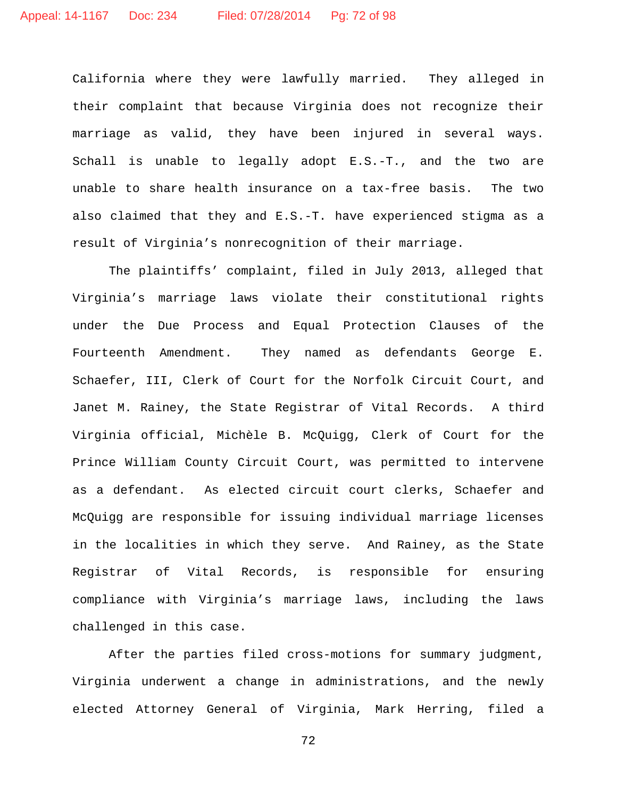California where they were lawfully married. They alleged in their complaint that because Virginia does not recognize their marriage as valid, they have been injured in several ways. Schall is unable to legally adopt E.S.-T., and the two are unable to share health insurance on a tax-free basis. The two also claimed that they and E.S.-T. have experienced stigma as a result of Virginia's nonrecognition of their marriage.

The plaintiffs' complaint, filed in July 2013, alleged that Virginia's marriage laws violate their constitutional rights under the Due Process and Equal Protection Clauses of the Fourteenth Amendment. They named as defendants George E. Schaefer, III, Clerk of Court for the Norfolk Circuit Court, and Janet M. Rainey, the State Registrar of Vital Records. A third Virginia official, Michèle B. McQuigg, Clerk of Court for the Prince William County Circuit Court, was permitted to intervene as a defendant. As elected circuit court clerks, Schaefer and McQuigg are responsible for issuing individual marriage licenses in the localities in which they serve. And Rainey, as the State Registrar of Vital Records, is responsible for ensuring compliance with Virginia's marriage laws, including the laws challenged in this case.

After the parties filed cross-motions for summary judgment, Virginia underwent a change in administrations, and the newly elected Attorney General of Virginia, Mark Herring, filed a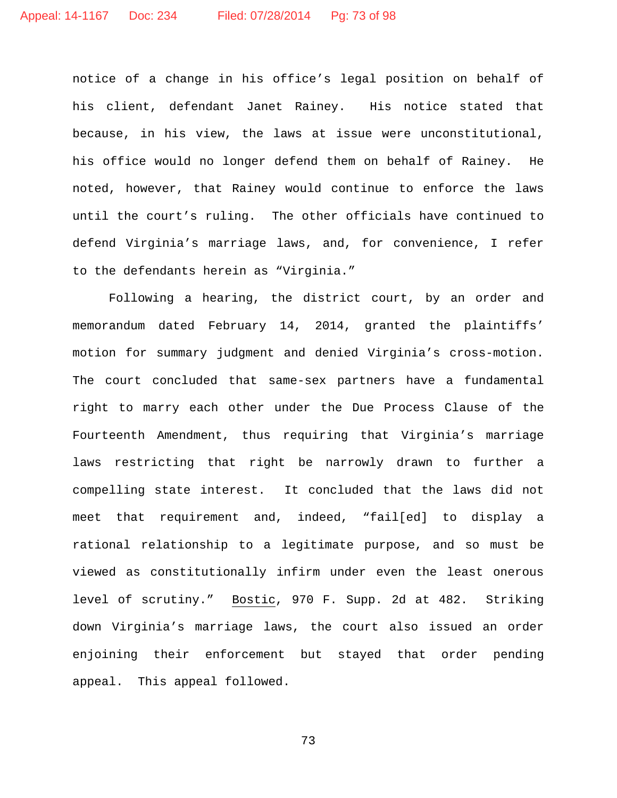notice of a change in his office's legal position on behalf of his client, defendant Janet Rainey. His notice stated that because, in his view, the laws at issue were unconstitutional, his office would no longer defend them on behalf of Rainey. He noted, however, that Rainey would continue to enforce the laws until the court's ruling. The other officials have continued to defend Virginia's marriage laws, and, for convenience, I refer to the defendants herein as "Virginia."

Following a hearing, the district court, by an order and memorandum dated February 14, 2014, granted the plaintiffs' motion for summary judgment and denied Virginia's cross-motion. The court concluded that same-sex partners have a fundamental right to marry each other under the Due Process Clause of the Fourteenth Amendment, thus requiring that Virginia's marriage laws restricting that right be narrowly drawn to further a compelling state interest. It concluded that the laws did not meet that requirement and, indeed, "fail[ed] to display a rational relationship to a legitimate purpose, and so must be viewed as constitutionally infirm under even the least onerous level of scrutiny." Bostic, 970 F. Supp. 2d at 482. Striking down Virginia's marriage laws, the court also issued an order enjoining their enforcement but stayed that order pending appeal. This appeal followed.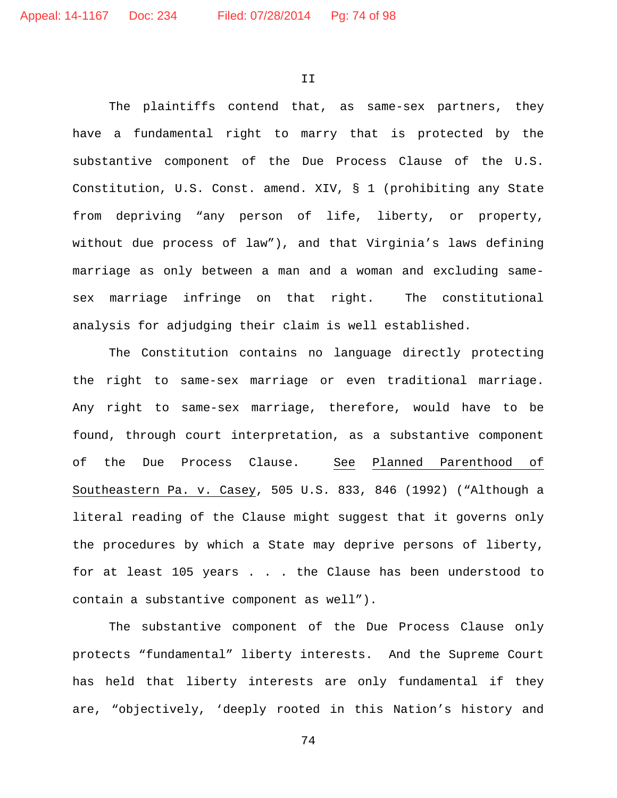II

The plaintiffs contend that, as same-sex partners, they have a fundamental right to marry that is protected by the substantive component of the Due Process Clause of the U.S. Constitution, U.S. Const. amend. XIV, § 1 (prohibiting any State from depriving "any person of life, liberty, or property, without due process of law"), and that Virginia's laws defining marriage as only between a man and a woman and excluding samesex marriage infringe on that right. The constitutional analysis for adjudging their claim is well established.

The Constitution contains no language directly protecting the right to same-sex marriage or even traditional marriage. Any right to same-sex marriage, therefore, would have to be found, through court interpretation, as a substantive component of the Due Process Clause. See Planned Parenthood of Southeastern Pa. v. Casey, 505 U.S. 833, 846 (1992) ("Although a literal reading of the Clause might suggest that it governs only the procedures by which a State may deprive persons of liberty, for at least 105 years . . . the Clause has been understood to contain a substantive component as well").

The substantive component of the Due Process Clause only protects "fundamental" liberty interests. And the Supreme Court has held that liberty interests are only fundamental if they are, "objectively, 'deeply rooted in this Nation's history and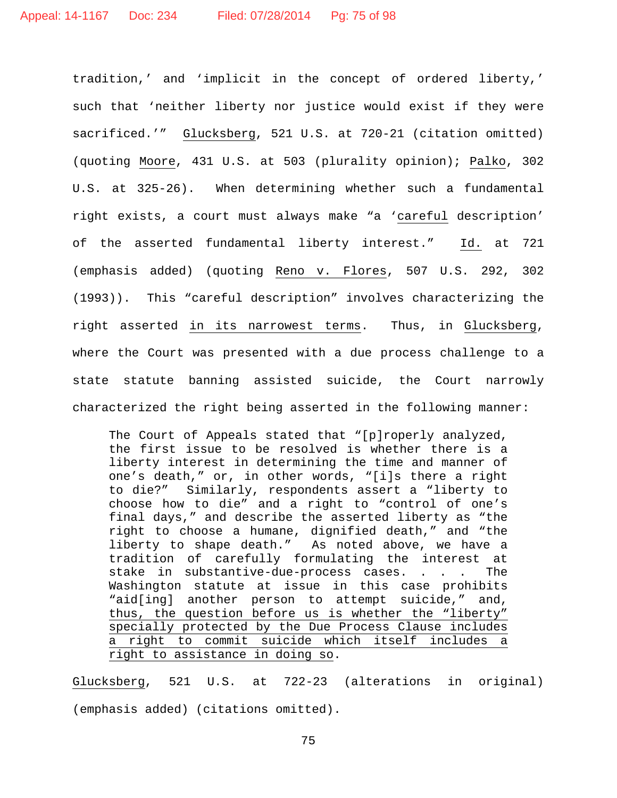tradition,' and 'implicit in the concept of ordered liberty,' such that 'neither liberty nor justice would exist if they were sacrificed.'" Glucksberg, 521 U.S. at 720-21 (citation omitted) (quoting Moore, 431 U.S. at 503 (plurality opinion); Palko, 302 U.S. at 325-26). When determining whether such a fundamental right exists, a court must always make "a 'careful description' of the asserted fundamental liberty interest." Id. at 721 (emphasis added) (quoting Reno v. Flores, 507 U.S. 292, 302 (1993)). This "careful description" involves characterizing the right asserted in its narrowest terms. Thus, in Glucksberg, where the Court was presented with a due process challenge to a state statute banning assisted suicide, the Court narrowly characterized the right being asserted in the following manner:

The Court of Appeals stated that "[p]roperly analyzed, the first issue to be resolved is whether there is a liberty interest in determining the time and manner of one's death," or, in other words, "[i]s there a right to die?" Similarly, respondents assert a "liberty to choose how to die" and a right to "control of one's final days," and describe the asserted liberty as "the right to choose a humane, dignified death," and "the liberty to shape death." As noted above, we have a tradition of carefully formulating the interest at stake in substantive-due-process cases. . . . The Washington statute at issue in this case prohibits "aid[ing] another person to attempt suicide," and, thus, the question before us is whether the "liberty" specially protected by the Due Process Clause includes a right to commit suicide which itself includes a right to assistance in doing so.

Glucksberg, 521 U.S. at 722-23 (alterations in original) (emphasis added) (citations omitted).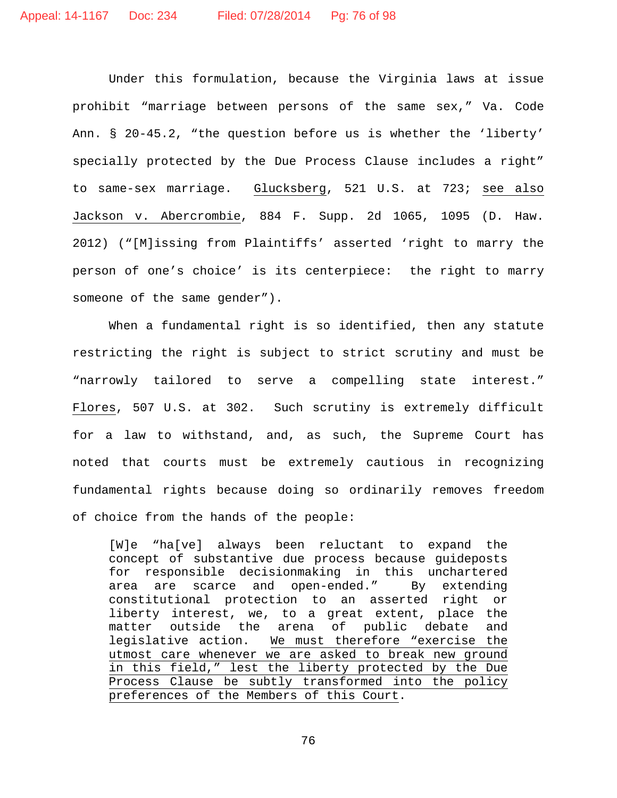Under this formulation, because the Virginia laws at issue prohibit "marriage between persons of the same sex," Va. Code Ann. § 20-45.2, "the question before us is whether the 'liberty' specially protected by the Due Process Clause includes a right" to same-sex marriage. Glucksberg, 521 U.S. at 723; see also Jackson v. Abercrombie, 884 F. Supp. 2d 1065, 1095 (D. Haw. 2012) ("[M]issing from Plaintiffs' asserted 'right to marry the person of one's choice' is its centerpiece: the right to marry someone of the same gender").

When a fundamental right is so identified, then any statute restricting the right is subject to strict scrutiny and must be "narrowly tailored to serve a compelling state interest." Flores, 507 U.S. at 302. Such scrutiny is extremely difficult for a law to withstand, and, as such, the Supreme Court has noted that courts must be extremely cautious in recognizing fundamental rights because doing so ordinarily removes freedom of choice from the hands of the people:

[W]e "ha[ve] always been reluctant to expand the concept of substantive due process because guideposts for responsible decisionmaking in this unchartered<br>area are scarce and open-ended." By extending area are scarce and open-ended." By constitutional protection to an asserted right or liberty interest, we, to a great extent, place the matter outside the arena of public debate and legislative action. We must therefore "exercise the utmost care whenever we are asked to break new ground in this field," lest the liberty protected by the Due Process Clause be subtly transformed into the policy preferences of the Members of this Court.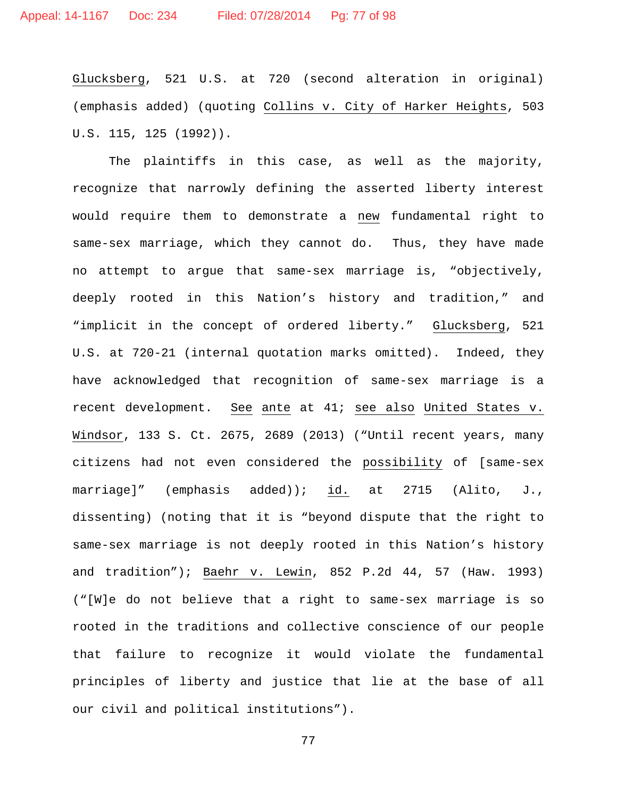Glucksberg, 521 U.S. at 720 (second alteration in original) (emphasis added) (quoting Collins v. City of Harker Heights, 503 U.S. 115, 125 (1992)).

The plaintiffs in this case, as well as the majority, recognize that narrowly defining the asserted liberty interest would require them to demonstrate a new fundamental right to same-sex marriage, which they cannot do. Thus, they have made no attempt to argue that same-sex marriage is, "objectively, deeply rooted in this Nation's history and tradition," and "implicit in the concept of ordered liberty." Glucksberg, 521 U.S. at 720-21 (internal quotation marks omitted). Indeed, they have acknowledged that recognition of same-sex marriage is a recent development. See ante at 41; see also United States v. Windsor, 133 S. Ct. 2675, 2689 (2013) ("Until recent years, many citizens had not even considered the possibility of [same-sex marriage]" (emphasis added)); id. at 2715 (Alito, J., dissenting) (noting that it is "beyond dispute that the right to same-sex marriage is not deeply rooted in this Nation's history and tradition"); Baehr v. Lewin, 852 P.2d 44, 57 (Haw. 1993) ("[W]e do not believe that a right to same-sex marriage is so rooted in the traditions and collective conscience of our people that failure to recognize it would violate the fundamental principles of liberty and justice that lie at the base of all our civil and political institutions").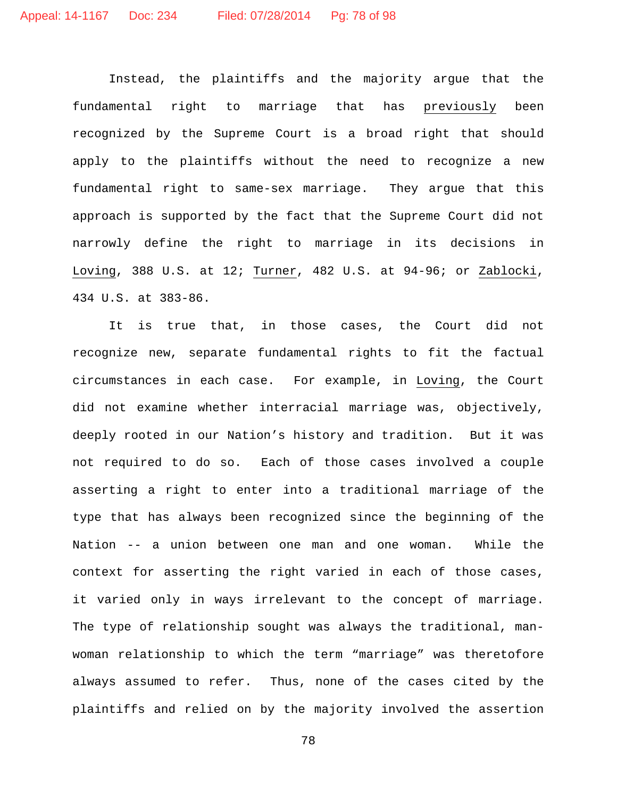Instead, the plaintiffs and the majority argue that the fundamental right to marriage that has previously been recognized by the Supreme Court is a broad right that should apply to the plaintiffs without the need to recognize a new fundamental right to same-sex marriage. They argue that this approach is supported by the fact that the Supreme Court did not narrowly define the right to marriage in its decisions in Loving, 388 U.S. at 12; Turner, 482 U.S. at 94-96; or Zablocki, 434 U.S. at 383-86.

It is true that, in those cases, the Court did not recognize new, separate fundamental rights to fit the factual circumstances in each case. For example, in Loving, the Court did not examine whether interracial marriage was, objectively, deeply rooted in our Nation's history and tradition. But it was not required to do so. Each of those cases involved a couple asserting a right to enter into a traditional marriage of the type that has always been recognized since the beginning of the Nation -- a union between one man and one woman. While the context for asserting the right varied in each of those cases, it varied only in ways irrelevant to the concept of marriage. The type of relationship sought was always the traditional, manwoman relationship to which the term "marriage" was theretofore always assumed to refer. Thus, none of the cases cited by the plaintiffs and relied on by the majority involved the assertion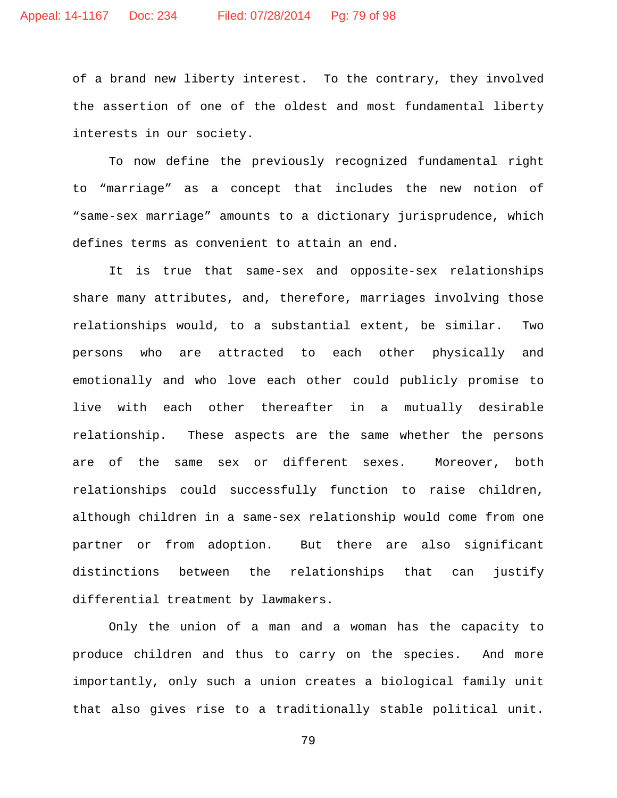of a brand new liberty interest. To the contrary, they involved the assertion of one of the oldest and most fundamental liberty interests in our society.

To now define the previously recognized fundamental right to "marriage" as a concept that includes the new notion of "same-sex marriage" amounts to a dictionary jurisprudence, which defines terms as convenient to attain an end.

It is true that same-sex and opposite-sex relationships share many attributes, and, therefore, marriages involving those relationships would, to a substantial extent, be similar. Two persons who are attracted to each other physically and emotionally and who love each other could publicly promise to live with each other thereafter in a mutually desirable relationship. These aspects are the same whether the persons are of the same sex or different sexes. Moreover, both relationships could successfully function to raise children, although children in a same-sex relationship would come from one partner or from adoption. But there are also significant distinctions between the relationships that can justify differential treatment by lawmakers.

Only the union of a man and a woman has the capacity to produce children and thus to carry on the species. And more importantly, only such a union creates a biological family unit that also gives rise to a traditionally stable political unit.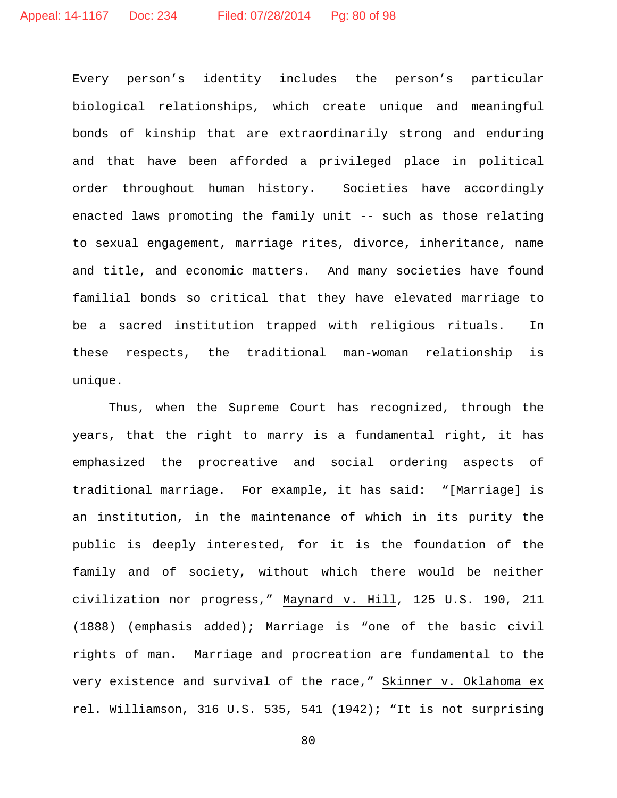Every person's identity includes the person's particular biological relationships, which create unique and meaningful bonds of kinship that are extraordinarily strong and enduring and that have been afforded a privileged place in political order throughout human history. Societies have accordingly enacted laws promoting the family unit -- such as those relating to sexual engagement, marriage rites, divorce, inheritance, name and title, and economic matters. And many societies have found familial bonds so critical that they have elevated marriage to be a sacred institution trapped with religious rituals. In these respects, the traditional man-woman relationship is unique.

Thus, when the Supreme Court has recognized, through the years, that the right to marry is a fundamental right, it has emphasized the procreative and social ordering aspects of traditional marriage. For example, it has said: "[Marriage] is an institution, in the maintenance of which in its purity the public is deeply interested, for it is the foundation of the family and of society, without which there would be neither civilization nor progress," Maynard v. Hill, 125 U.S. 190, 211 (1888) (emphasis added); Marriage is "one of the basic civil rights of man. Marriage and procreation are fundamental to the very existence and survival of the race," Skinner v. Oklahoma ex rel. Williamson, 316 U.S. 535, 541 (1942); "It is not surprising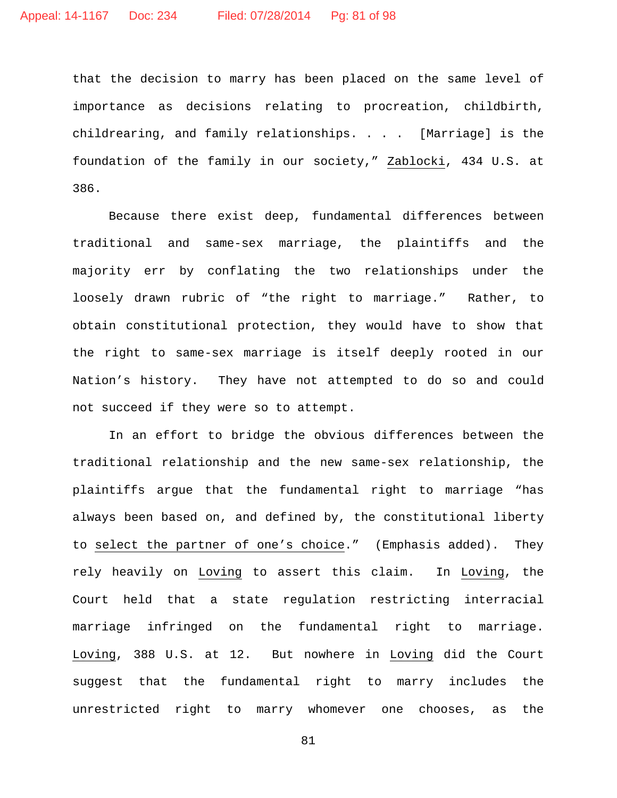that the decision to marry has been placed on the same level of importance as decisions relating to procreation, childbirth, childrearing, and family relationships. . . . [Marriage] is the foundation of the family in our society," Zablocki, 434 U.S. at 386.

Because there exist deep, fundamental differences between traditional and same-sex marriage, the plaintiffs and the majority err by conflating the two relationships under the loosely drawn rubric of "the right to marriage." Rather, to obtain constitutional protection, they would have to show that the right to same-sex marriage is itself deeply rooted in our Nation's history. They have not attempted to do so and could not succeed if they were so to attempt.

In an effort to bridge the obvious differences between the traditional relationship and the new same-sex relationship, the plaintiffs argue that the fundamental right to marriage "has always been based on, and defined by, the constitutional liberty to select the partner of one's choice." (Emphasis added). They rely heavily on Loving to assert this claim. In Loving, the Court held that a state regulation restricting interracial marriage infringed on the fundamental right to marriage. Loving, 388 U.S. at 12. But nowhere in Loving did the Court suggest that the fundamental right to marry includes the unrestricted right to marry whomever one chooses, as the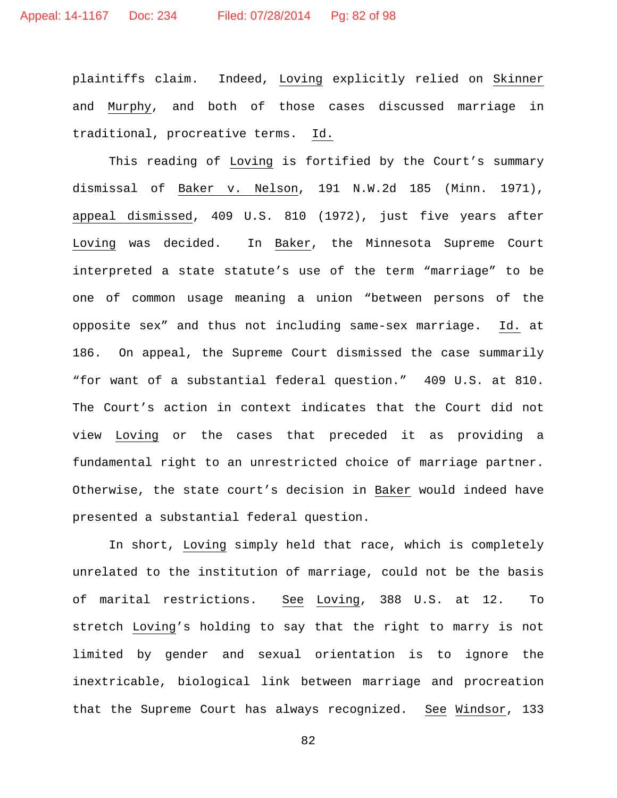plaintiffs claim. Indeed, Loving explicitly relied on Skinner and Murphy, and both of those cases discussed marriage in traditional, procreative terms. Id.

This reading of Loving is fortified by the Court's summary dismissal of Baker v. Nelson, 191 N.W.2d 185 (Minn. 1971), appeal dismissed, 409 U.S. 810 (1972), just five years after Loving was decided. In Baker, the Minnesota Supreme Court interpreted a state statute's use of the term "marriage" to be one of common usage meaning a union "between persons of the opposite sex" and thus not including same-sex marriage. Id. at 186. On appeal, the Supreme Court dismissed the case summarily "for want of a substantial federal question." 409 U.S. at 810. The Court's action in context indicates that the Court did not view Loving or the cases that preceded it as providing a fundamental right to an unrestricted choice of marriage partner. Otherwise, the state court's decision in Baker would indeed have presented a substantial federal question.

In short, Loving simply held that race, which is completely unrelated to the institution of marriage, could not be the basis of marital restrictions. See Loving, 388 U.S. at 12. To stretch Loving's holding to say that the right to marry is not limited by gender and sexual orientation is to ignore the inextricable, biological link between marriage and procreation that the Supreme Court has always recognized. See Windsor, 133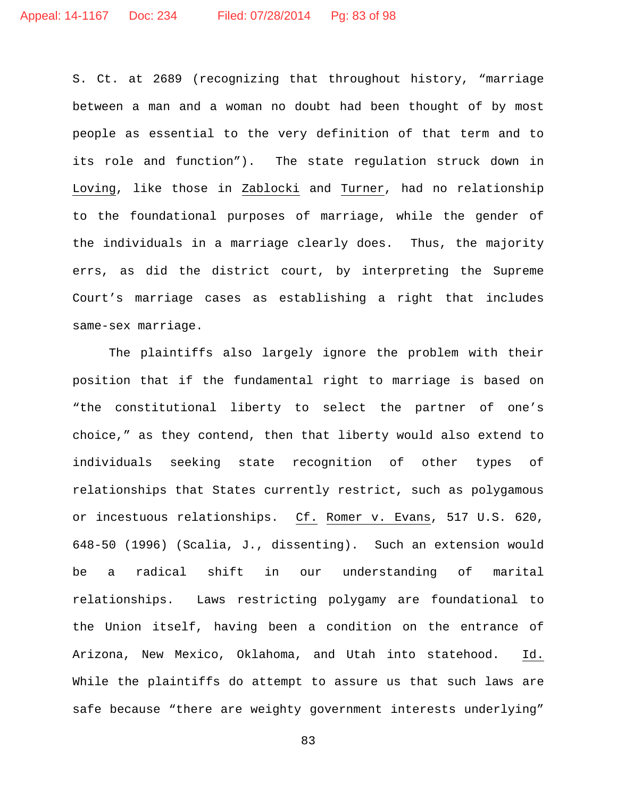S. Ct. at 2689 (recognizing that throughout history, "marriage between a man and a woman no doubt had been thought of by most people as essential to the very definition of that term and to its role and function"). The state regulation struck down in Loving, like those in Zablocki and Turner, had no relationship to the foundational purposes of marriage, while the gender of the individuals in a marriage clearly does. Thus, the majority errs, as did the district court, by interpreting the Supreme Court's marriage cases as establishing a right that includes same-sex marriage.

The plaintiffs also largely ignore the problem with their position that if the fundamental right to marriage is based on "the constitutional liberty to select the partner of one's choice," as they contend, then that liberty would also extend to individuals seeking state recognition of other types of relationships that States currently restrict, such as polygamous or incestuous relationships. Cf. Romer v. Evans, 517 U.S. 620, 648-50 (1996) (Scalia, J., dissenting). Such an extension would be a radical shift in our understanding of marital relationships. Laws restricting polygamy are foundational to the Union itself, having been a condition on the entrance of Arizona, New Mexico, Oklahoma, and Utah into statehood. Id. While the plaintiffs do attempt to assure us that such laws are safe because "there are weighty government interests underlying"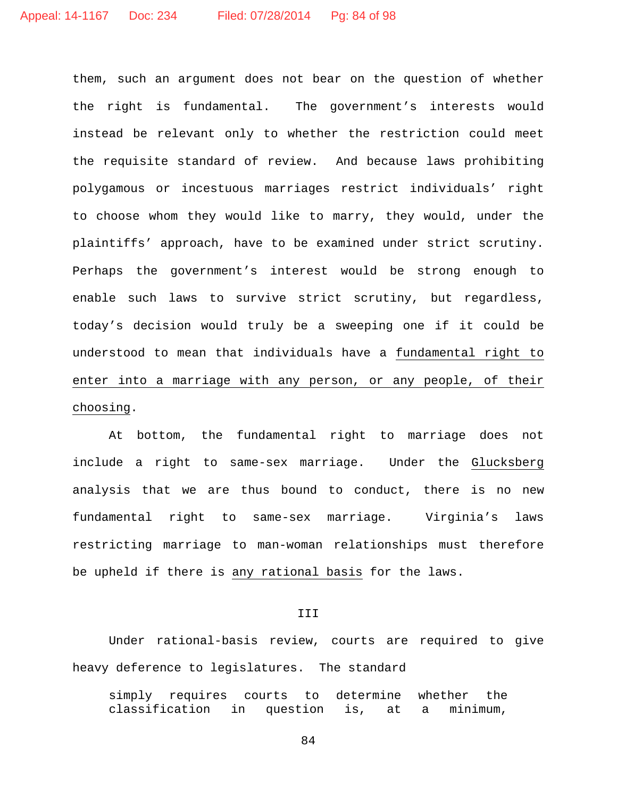them, such an argument does not bear on the question of whether the right is fundamental. The government's interests would instead be relevant only to whether the restriction could meet the requisite standard of review. And because laws prohibiting polygamous or incestuous marriages restrict individuals' right to choose whom they would like to marry, they would, under the plaintiffs' approach, have to be examined under strict scrutiny. Perhaps the government's interest would be strong enough to enable such laws to survive strict scrutiny, but regardless, today's decision would truly be a sweeping one if it could be understood to mean that individuals have a fundamental right to enter into a marriage with any person, or any people, of their choosing.

At bottom, the fundamental right to marriage does not include a right to same-sex marriage. Under the Glucksberg analysis that we are thus bound to conduct, there is no new fundamental right to same-sex marriage. Virginia's laws restricting marriage to man-woman relationships must therefore be upheld if there is any rational basis for the laws.

## III

Under rational-basis review, courts are required to give heavy deference to legislatures. The standard

simply requires courts to determine whether the<br>classification in question is, at a minimum, classification in question is, at a minimum,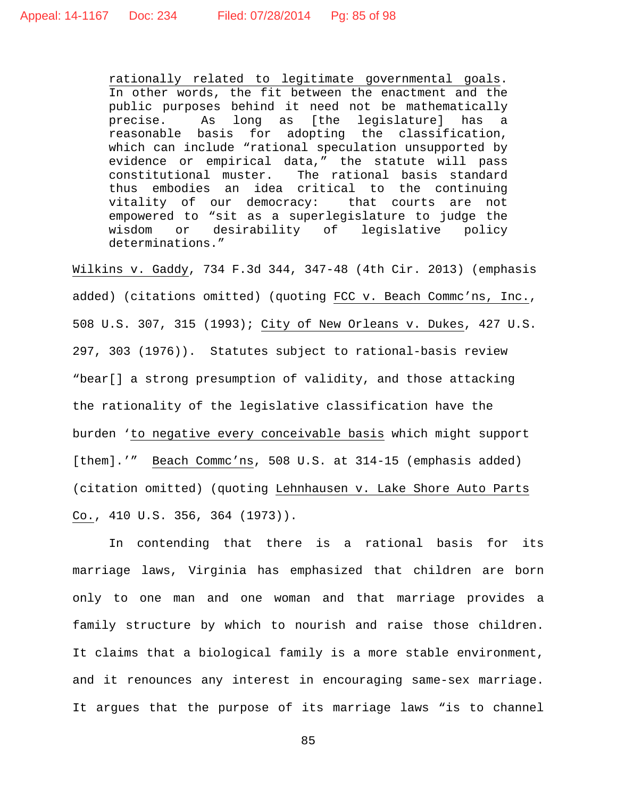rationally related to legitimate governmental goals. In other words, the fit between the enactment and the public purposes behind it need not be mathematically precise. As long as [the legislature] has a reasonable basis for adopting the classification, which can include "rational speculation unsupported by evidence or empirical data," the statute will pass constitutional muster. The rational basis standard thus embodies an idea critical to the continuing vitality of our democracy: that courts are not empowered to "sit as a superlegislature to judge the or desirability of legislative policy determinations."

Wilkins v. Gaddy, 734 F.3d 344, 347-48 (4th Cir. 2013) (emphasis added) (citations omitted) (quoting FCC v. Beach Commc'ns, Inc., 508 U.S. 307, 315 (1993); City of New Orleans v. Dukes, 427 U.S. 297, 303 (1976)). Statutes subject to rational-basis review "bear[] a strong presumption of validity, and those attacking the rationality of the legislative classification have the burden 'to negative every conceivable basis which might support [them].'" Beach Commc'ns, 508 U.S. at 314-15 (emphasis added) (citation omitted) (quoting Lehnhausen v. Lake Shore Auto Parts Co., 410 U.S. 356, 364 (1973)).

In contending that there is a rational basis for its marriage laws, Virginia has emphasized that children are born only to one man and one woman and that marriage provides a family structure by which to nourish and raise those children. It claims that a biological family is a more stable environment, and it renounces any interest in encouraging same-sex marriage. It argues that the purpose of its marriage laws "is to channel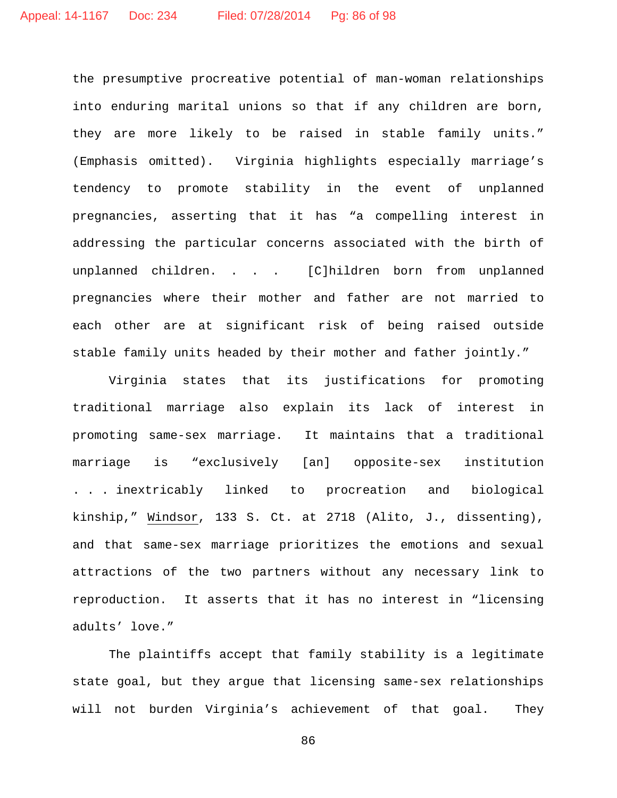the presumptive procreative potential of man-woman relationships into enduring marital unions so that if any children are born, they are more likely to be raised in stable family units." (Emphasis omitted). Virginia highlights especially marriage's tendency to promote stability in the event of unplanned pregnancies, asserting that it has "a compelling interest in addressing the particular concerns associated with the birth of unplanned children. . . . [C]hildren born from unplanned pregnancies where their mother and father are not married to each other are at significant risk of being raised outside stable family units headed by their mother and father jointly."

Virginia states that its justifications for promoting traditional marriage also explain its lack of interest in promoting same-sex marriage. It maintains that a traditional marriage is "exclusively [an] opposite-sex institution . . . inextricably linked to procreation and biological kinship," Windsor, 133 S. Ct. at 2718 (Alito, J., dissenting), and that same-sex marriage prioritizes the emotions and sexual attractions of the two partners without any necessary link to reproduction. It asserts that it has no interest in "licensing adults' love."

The plaintiffs accept that family stability is a legitimate state goal, but they argue that licensing same-sex relationships will not burden Virginia's achievement of that goal. They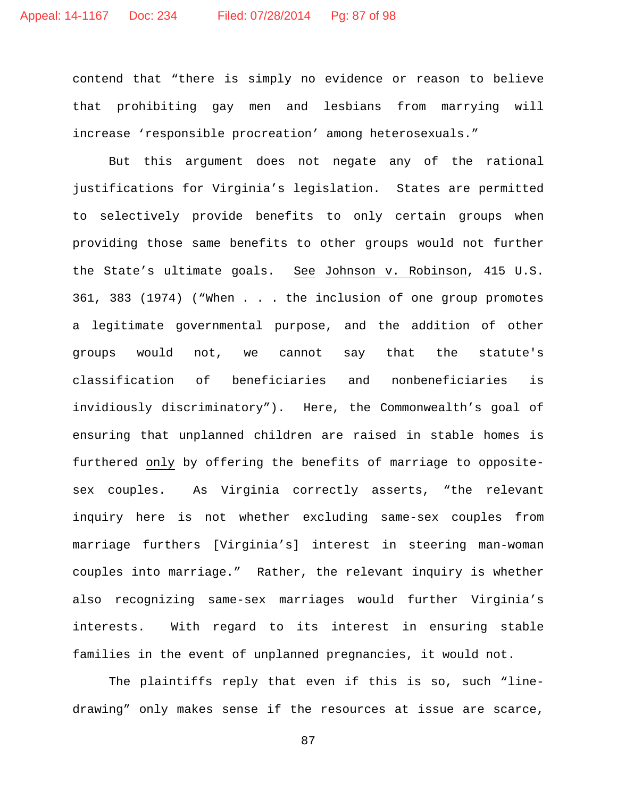contend that "there is simply no evidence or reason to believe that prohibiting gay men and lesbians from marrying will increase 'responsible procreation' among heterosexuals."

But this argument does not negate any of the rational justifications for Virginia's legislation. States are permitted to selectively provide benefits to only certain groups when providing those same benefits to other groups would not further the State's ultimate goals. See Johnson v. Robinson, 415 U.S. 361, 383 (1974) ("When . . . the inclusion of one group promotes a legitimate governmental purpose, and the addition of other groups would not, we cannot say that the statute's classification of beneficiaries and nonbeneficiaries is invidiously discriminatory"). Here, the Commonwealth's goal of ensuring that unplanned children are raised in stable homes is furthered only by offering the benefits of marriage to oppositesex couples. As Virginia correctly asserts, "the relevant inquiry here is not whether excluding same-sex couples from marriage furthers [Virginia's] interest in steering man-woman couples into marriage." Rather, the relevant inquiry is whether also recognizing same-sex marriages would further Virginia's interests. With regard to its interest in ensuring stable families in the event of unplanned pregnancies, it would not.

The plaintiffs reply that even if this is so, such "linedrawing" only makes sense if the resources at issue are scarce,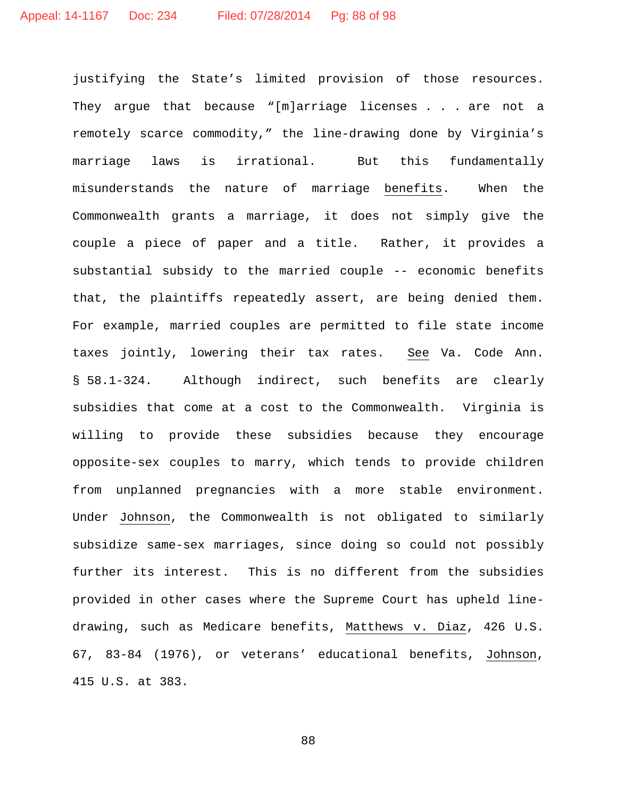justifying the State's limited provision of those resources. They argue that because "[m]arriage licenses . . . are not a remotely scarce commodity," the line-drawing done by Virginia's marriage laws is irrational. But this fundamentally misunderstands the nature of marriage benefits. When the Commonwealth grants a marriage, it does not simply give the couple a piece of paper and a title. Rather, it provides a substantial subsidy to the married couple -- economic benefits that, the plaintiffs repeatedly assert, are being denied them. For example, married couples are permitted to file state income taxes jointly, lowering their tax rates. See Va. Code Ann. § 58.1-324. Although indirect, such benefits are clearly subsidies that come at a cost to the Commonwealth. Virginia is willing to provide these subsidies because they encourage opposite-sex couples to marry, which tends to provide children from unplanned pregnancies with a more stable environment. Under Johnson, the Commonwealth is not obligated to similarly subsidize same-sex marriages, since doing so could not possibly further its interest. This is no different from the subsidies provided in other cases where the Supreme Court has upheld linedrawing, such as Medicare benefits, Matthews v. Diaz, 426 U.S. 67, 83-84 (1976), or veterans' educational benefits, Johnson, 415 U.S. at 383.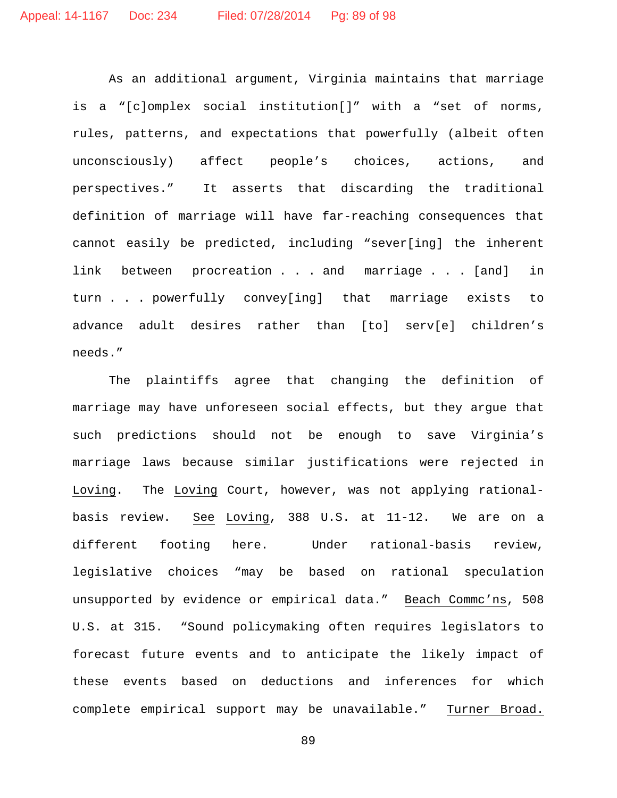As an additional argument, Virginia maintains that marriage is a "[c]omplex social institution[]" with a "set of norms, rules, patterns, and expectations that powerfully (albeit often unconsciously) affect people's choices, actions, and perspectives." It asserts that discarding the traditional definition of marriage will have far-reaching consequences that cannot easily be predicted, including "sever[ing] the inherent link between procreation . . . and marriage . . . [and] in turn . . . powerfully convey[ing] that marriage exists to advance adult desires rather than [to] serv[e] children's needs."

The plaintiffs agree that changing the definition of marriage may have unforeseen social effects, but they argue that such predictions should not be enough to save Virginia's marriage laws because similar justifications were rejected in Loving. The Loving Court, however, was not applying rationalbasis review. See Loving, 388 U.S. at 11-12. We are on a different footing here. Under rational-basis review, legislative choices "may be based on rational speculation unsupported by evidence or empirical data." Beach Commc'ns, 508 U.S. at 315. "Sound policymaking often requires legislators to forecast future events and to anticipate the likely impact of these events based on deductions and inferences for which complete empirical support may be unavailable." Turner Broad.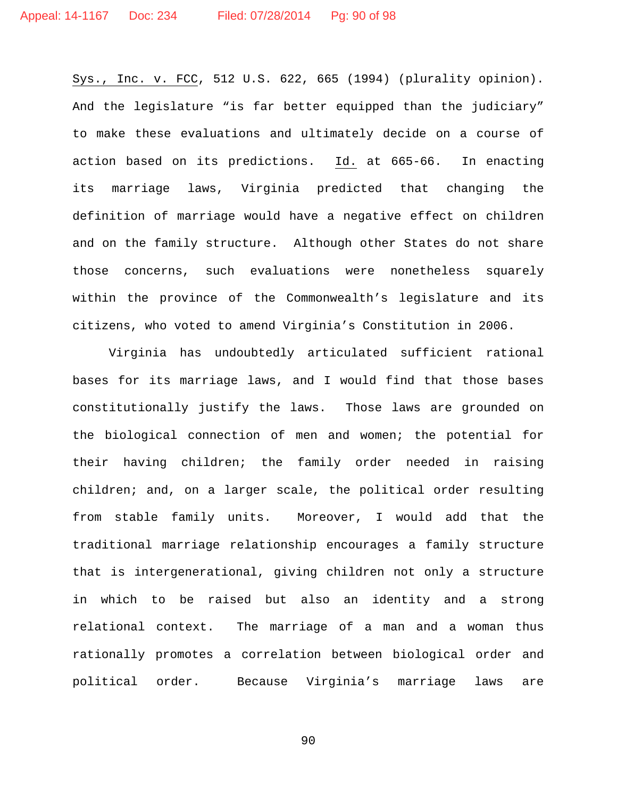Sys., Inc. v. FCC, 512 U.S. 622, 665 (1994) (plurality opinion). And the legislature "is far better equipped than the judiciary" to make these evaluations and ultimately decide on a course of action based on its predictions. Id. at 665-66. In enacting its marriage laws, Virginia predicted that changing the definition of marriage would have a negative effect on children and on the family structure. Although other States do not share those concerns, such evaluations were nonetheless squarely within the province of the Commonwealth's legislature and its citizens, who voted to amend Virginia's Constitution in 2006.

Virginia has undoubtedly articulated sufficient rational bases for its marriage laws, and I would find that those bases constitutionally justify the laws. Those laws are grounded on the biological connection of men and women; the potential for their having children; the family order needed in raising children; and, on a larger scale, the political order resulting from stable family units. Moreover, I would add that the traditional marriage relationship encourages a family structure that is intergenerational, giving children not only a structure in which to be raised but also an identity and a strong relational context. The marriage of a man and a woman thus rationally promotes a correlation between biological order and political order. Because Virginia's marriage laws are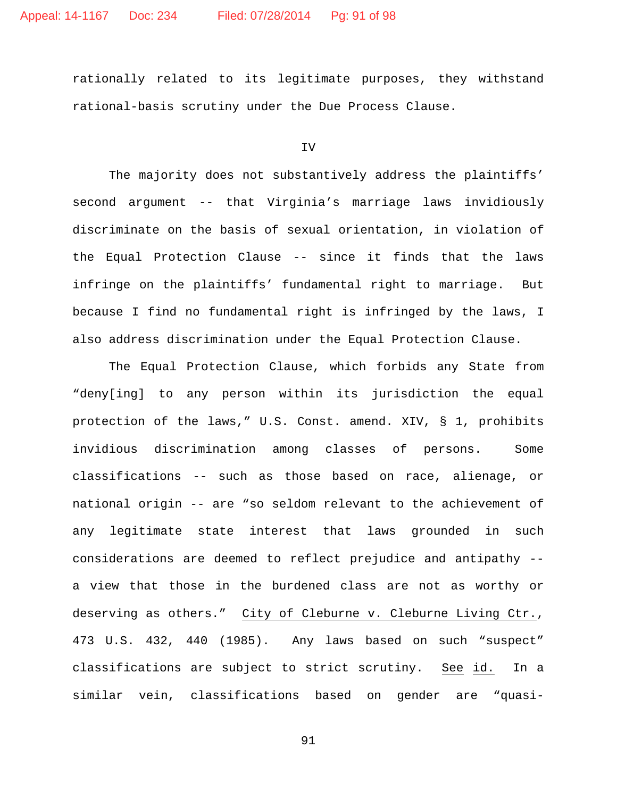rationally related to its legitimate purposes, they withstand rational-basis scrutiny under the Due Process Clause.

IV

The majority does not substantively address the plaintiffs' second argument -- that Virginia's marriage laws invidiously discriminate on the basis of sexual orientation, in violation of the Equal Protection Clause -- since it finds that the laws infringe on the plaintiffs' fundamental right to marriage. But because I find no fundamental right is infringed by the laws, I also address discrimination under the Equal Protection Clause.

The Equal Protection Clause, which forbids any State from "deny[ing] to any person within its jurisdiction the equal protection of the laws," U.S. Const. amend. XIV, § 1, prohibits invidious discrimination among classes of persons. Some classifications -- such as those based on race, alienage, or national origin -- are "so seldom relevant to the achievement of any legitimate state interest that laws grounded in such considerations are deemed to reflect prejudice and antipathy - a view that those in the burdened class are not as worthy or deserving as others." City of Cleburne v. Cleburne Living Ctr., 473 U.S. 432, 440 (1985). Any laws based on such "suspect" classifications are subject to strict scrutiny. See id. In a similar vein, classifications based on gender are "quasi-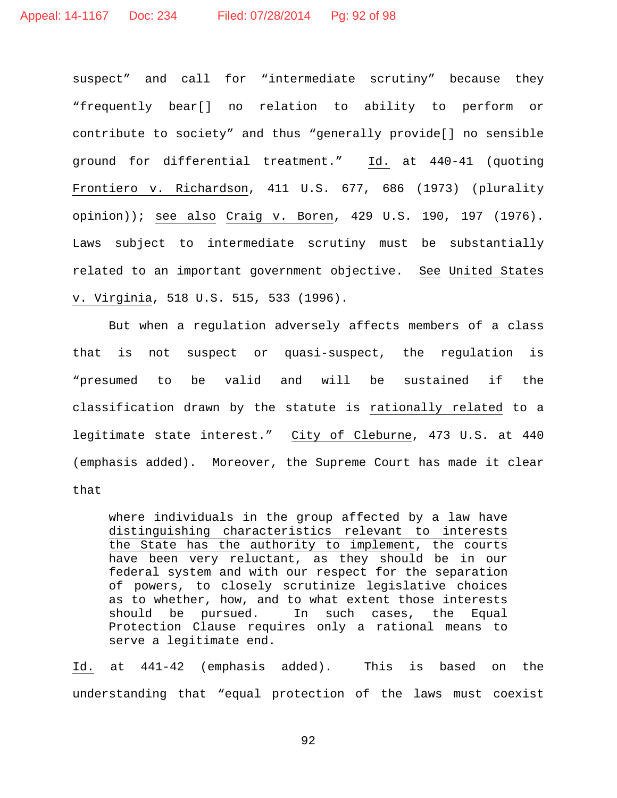suspect" and call for "intermediate scrutiny" because they "frequently bear[] no relation to ability to perform or contribute to society" and thus "generally provide[] no sensible ground for differential treatment." Id. at 440-41 (quoting Frontiero v. Richardson, 411 U.S. 677, 686 (1973) (plurality opinion)); see also Craig v. Boren, 429 U.S. 190, 197 (1976). Laws subject to intermediate scrutiny must be substantially related to an important government objective. See United States v. Virginia, 518 U.S. 515, 533 (1996).

But when a regulation adversely affects members of a class that is not suspect or quasi-suspect, the regulation is "presumed to be valid and will be sustained if the classification drawn by the statute is rationally related to a legitimate state interest." City of Cleburne, 473 U.S. at 440 (emphasis added). Moreover, the Supreme Court has made it clear that

where individuals in the group affected by a law have distinguishing characteristics relevant to interests the State has the authority to implement, the courts have been very reluctant, as they should be in our federal system and with our respect for the separation of powers, to closely scrutinize legislative choices as to whether, how, and to what extent those interests should be pursued. In such cases, the Equal Protection Clause requires only a rational means to serve a legitimate end.

Id. at 441-42 (emphasis added). This is based on the understanding that "equal protection of the laws must coexist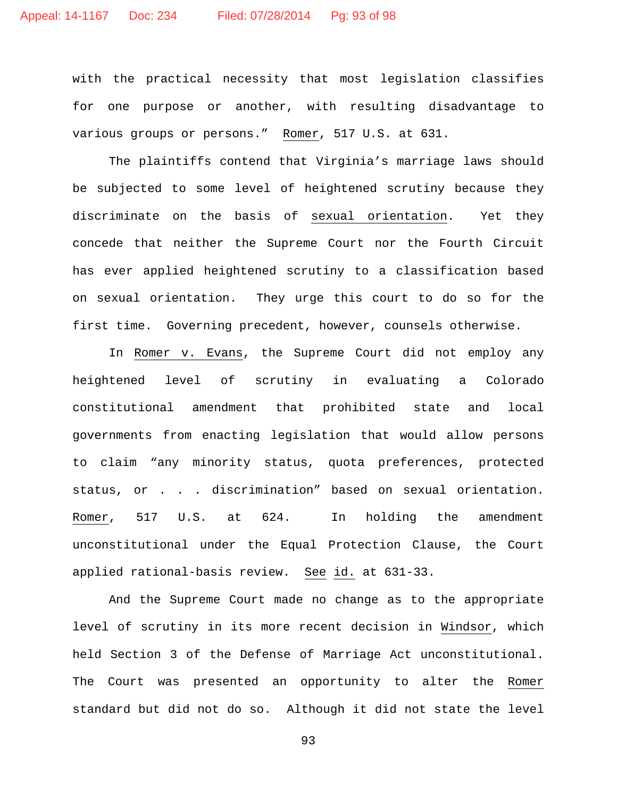with the practical necessity that most legislation classifies for one purpose or another, with resulting disadvantage to various groups or persons." Romer, 517 U.S. at 631.

The plaintiffs contend that Virginia's marriage laws should be subjected to some level of heightened scrutiny because they discriminate on the basis of sexual orientation. Yet they concede that neither the Supreme Court nor the Fourth Circuit has ever applied heightened scrutiny to a classification based on sexual orientation. They urge this court to do so for the first time. Governing precedent, however, counsels otherwise.

In Romer v. Evans, the Supreme Court did not employ any heightened level of scrutiny in evaluating a Colorado constitutional amendment that prohibited state and local governments from enacting legislation that would allow persons to claim "any minority status, quota preferences, protected status, or . . . discrimination" based on sexual orientation. Romer, 517 U.S. at 624. In holding the amendment unconstitutional under the Equal Protection Clause, the Court applied rational-basis review. See id. at 631-33.

And the Supreme Court made no change as to the appropriate level of scrutiny in its more recent decision in Windsor, which held Section 3 of the Defense of Marriage Act unconstitutional. The Court was presented an opportunity to alter the Romer standard but did not do so. Although it did not state the level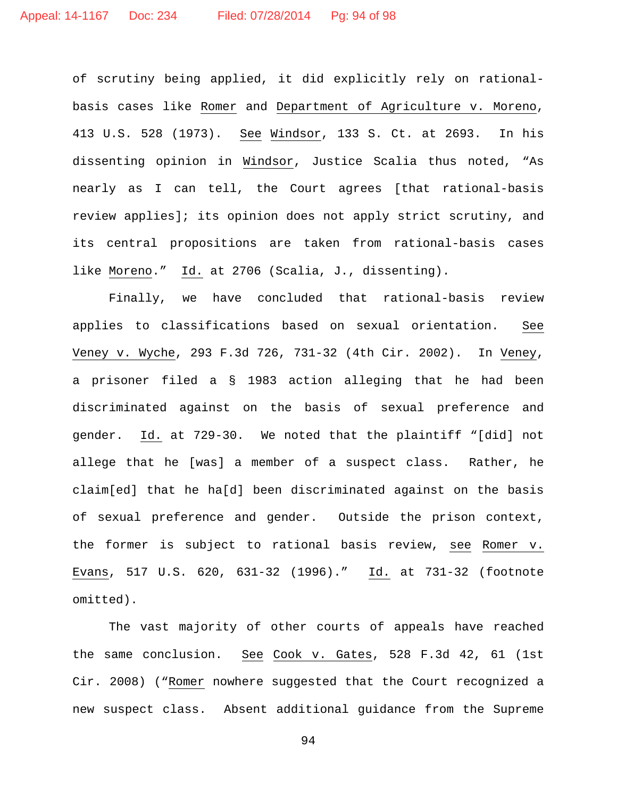of scrutiny being applied, it did explicitly rely on rationalbasis cases like Romer and Department of Agriculture v. Moreno, 413 U.S. 528 (1973). See Windsor, 133 S. Ct. at 2693. In his dissenting opinion in Windsor, Justice Scalia thus noted, "As nearly as I can tell, the Court agrees [that rational-basis review applies]; its opinion does not apply strict scrutiny, and its central propositions are taken from rational-basis cases like Moreno." Id. at 2706 (Scalia, J., dissenting).

Finally, we have concluded that rational-basis review applies to classifications based on sexual orientation. See Veney v. Wyche, 293 F.3d 726, 731-32 (4th Cir. 2002). In Veney, a prisoner filed a § 1983 action alleging that he had been discriminated against on the basis of sexual preference and gender. Id. at 729-30. We noted that the plaintiff "[did] not allege that he [was] a member of a suspect class. Rather, he claim[ed] that he ha[d] been discriminated against on the basis of sexual preference and gender. Outside the prison context, the former is subject to rational basis review, see Romer v. Evans, 517 U.S. 620, 631-32 (1996)." Id. at 731-32 (footnote omitted).

The vast majority of other courts of appeals have reached the same conclusion. See Cook v. Gates, 528 F.3d 42, 61 (1st Cir. 2008) ("Romer nowhere suggested that the Court recognized a new suspect class. Absent additional guidance from the Supreme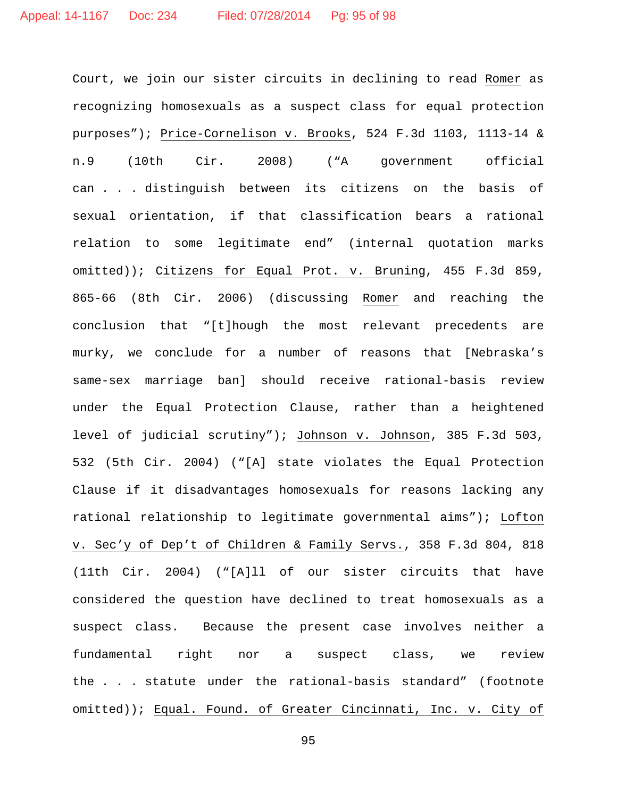Court, we join our sister circuits in declining to read Romer as recognizing homosexuals as a suspect class for equal protection purposes"); Price-Cornelison v. Brooks, 524 F.3d 1103, 1113-14 & n.9 (10th Cir. 2008) ("A government official can . . . distinguish between its citizens on the basis of sexual orientation, if that classification bears a rational relation to some legitimate end" (internal quotation marks omitted)); Citizens for Equal Prot. v. Bruning, 455 F.3d 859, 865-66 (8th Cir. 2006) (discussing Romer and reaching the conclusion that "[t]hough the most relevant precedents are murky, we conclude for a number of reasons that [Nebraska's same-sex marriage ban] should receive rational-basis review under the Equal Protection Clause, rather than a heightened level of judicial scrutiny"); Johnson v. Johnson, 385 F.3d 503, 532 (5th Cir. 2004) ("[A] state violates the Equal Protection Clause if it disadvantages homosexuals for reasons lacking any rational relationship to legitimate governmental aims"); Lofton v. Sec'y of Dep't of Children & Family Servs., 358 F.3d 804, 818 (11th Cir. 2004) ("[A]ll of our sister circuits that have considered the question have declined to treat homosexuals as a suspect class. Because the present case involves neither a fundamental right nor a suspect class, we review the . . . statute under the rational-basis standard" (footnote omitted)); Equal. Found. of Greater Cincinnati, Inc. v. City of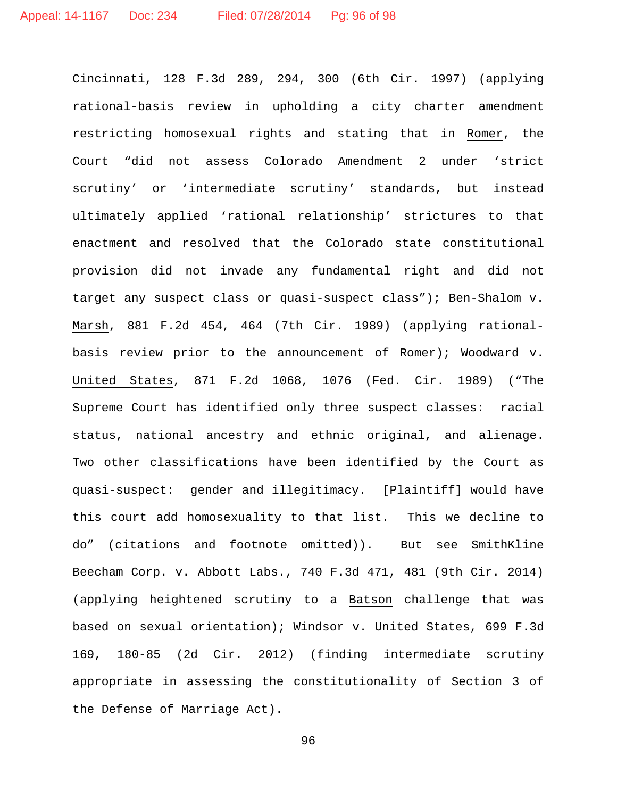Cincinnati, 128 F.3d 289, 294, 300 (6th Cir. 1997) (applying rational-basis review in upholding a city charter amendment restricting homosexual rights and stating that in Romer, the Court "did not assess Colorado Amendment 2 under 'strict scrutiny' or 'intermediate scrutiny' standards, but instead ultimately applied 'rational relationship' strictures to that enactment and resolved that the Colorado state constitutional provision did not invade any fundamental right and did not target any suspect class or quasi-suspect class"); Ben-Shalom v. Marsh, 881 F.2d 454, 464 (7th Cir. 1989) (applying rationalbasis review prior to the announcement of Romer); Woodward v. United States, 871 F.2d 1068, 1076 (Fed. Cir. 1989) ("The Supreme Court has identified only three suspect classes: racial status, national ancestry and ethnic original, and alienage. Two other classifications have been identified by the Court as quasi-suspect: gender and illegitimacy. [Plaintiff] would have this court add homosexuality to that list. This we decline to do" (citations and footnote omitted)). But see SmithKline Beecham Corp. v. Abbott Labs., 740 F.3d 471, 481 (9th Cir. 2014) (applying heightened scrutiny to a Batson challenge that was based on sexual orientation); Windsor v. United States, 699 F.3d 169, 180-85 (2d Cir. 2012) (finding intermediate scrutiny appropriate in assessing the constitutionality of Section 3 of the Defense of Marriage Act).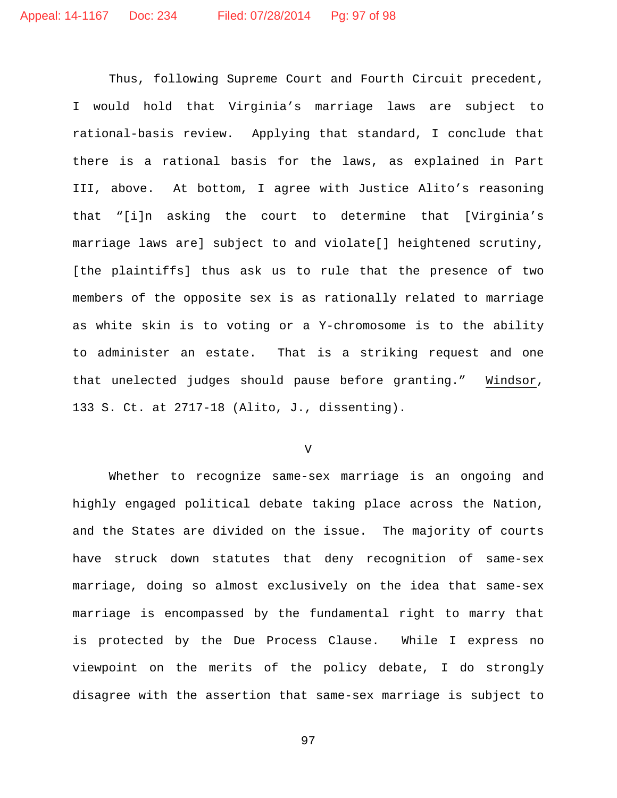Thus, following Supreme Court and Fourth Circuit precedent, I would hold that Virginia's marriage laws are subject to rational-basis review. Applying that standard, I conclude that there is a rational basis for the laws, as explained in Part III, above. At bottom, I agree with Justice Alito's reasoning that "[i]n asking the court to determine that [Virginia's marriage laws are] subject to and violate[] heightened scrutiny, [the plaintiffs] thus ask us to rule that the presence of two members of the opposite sex is as rationally related to marriage as white skin is to voting or a Y-chromosome is to the ability to administer an estate. That is a striking request and one that unelected judges should pause before granting." Windsor, 133 S. Ct. at 2717-18 (Alito, J., dissenting).

V

Whether to recognize same-sex marriage is an ongoing and highly engaged political debate taking place across the Nation, and the States are divided on the issue. The majority of courts have struck down statutes that deny recognition of same-sex marriage, doing so almost exclusively on the idea that same-sex marriage is encompassed by the fundamental right to marry that is protected by the Due Process Clause. While I express no viewpoint on the merits of the policy debate, I do strongly disagree with the assertion that same-sex marriage is subject to